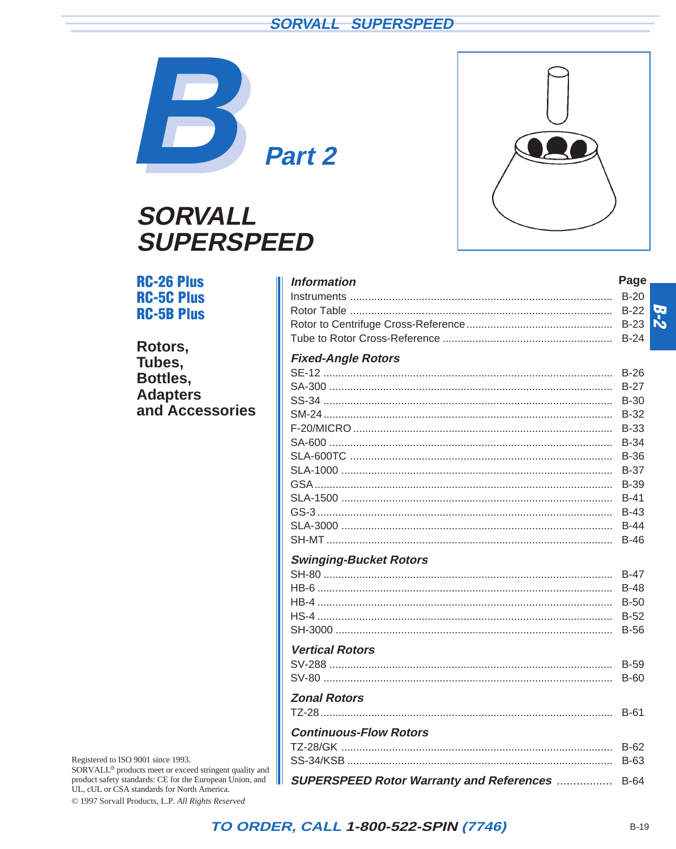## **SORVALL<sup>®</sup> SUPERSPEED**



# **SORVALL® SUPERSPEED**



#### **RC-26 Plus Information** Page **RC-5C Plus RC-5B Plus** Rotors. **Fixed-Angle Rotors** Tubes. Bottles. **Adapters** and Accessories **Swinging-Bucket Rotors Vertical Rotors Zonal Rotors Continuous-Flow Rotors** SUPERSPEED Rotor Warranty and References ................. B-64

Registered to ISO 9001 since 1993. SORVALL<sup>®</sup> products meet or exceed stringent quality and product safety standards: CE for the European Union, and UL, cUL or CSA standards for North America. © 1997 Sorvall Products, L.P. All Rights Reserved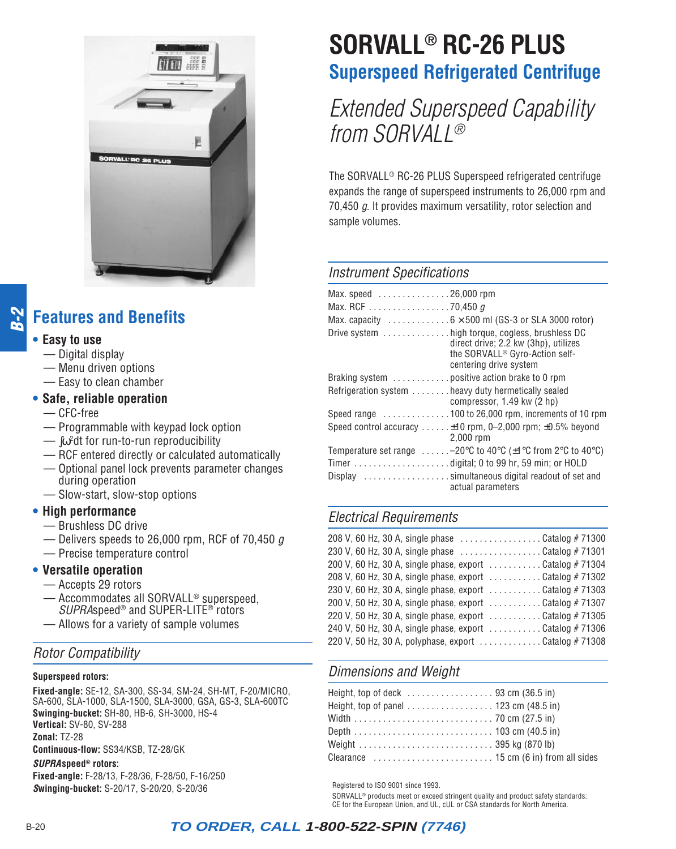<span id="page-1-0"></span>

#### **B-2 Features and Benefits**

#### **• Easy to use**

- Digital display
- Menu driven options
- Easy to clean chamber

#### **• Safe, reliable operation**

- CFC-free
- Programmable with keypad lock option
- $-\int$   $\omega^2$ dt for run-to-run reproducibility
- RCF entered directly or calculated automatically
- Optional panel lock prevents parameter changes during operation
- Slow-start, slow-stop options
- **• High performance**
	- Brushless DC drive
	- $-$  Delivers speeds to 26,000 rpm, RCF of 70,450  $q$
	- Precise temperature control

#### **• Versatile operation**

- Accepts 29 rotors
- Accommodates all SORVALL® superspeed, SUPRAspeed® and SUPER-LITE® rotors
- Allows for a variety of sample volumes

## Rotor Compatibility

#### **Superspeed rotors:**

**Fixed-angle:** SE-12, SA-300, SS-34, SM-24, SH-MT, F-20/MICRO, SA-600, SLA-1000, SLA-1500, SLA-3000, GSA, GS-3, SLA-600TC **Swinging-bucket:** SH-80, HB-6, SH-3000, HS-4 **Vertical:** SV-80, SV-288 **Zonal:** TZ-28 **Continuous-flow:** SS34/KSB, TZ-28/GK **SUPRAspeed® rotors:**

**Fixed-angle:** F-28/13, F-28/36, F-28/50, F-16/250 **Swinging-bucket:** S-20/17, S-20/20, S-20/36

# **SORVALL® RC-26 PLUS Superspeed Refrigerated Centrifuge**

Extended Superspeed Capability from SORVALL®

The SORVALL® RC-26 PLUS Superspeed refrigerated centrifuge expands the range of superspeed instruments to 26,000 rpm and 70,450 g. It provides maximum versatility, rotor selection and sample volumes.

#### Instrument Specifications

| Max. speed $\ldots \ldots \ldots \ldots 26,000$ rpm<br>Max. RCF 70,450 g<br>Max. capacity $\dots \dots \dots \dots 6 \times 500$ ml (GS-3 or SLA 3000 rotor)    |
|-----------------------------------------------------------------------------------------------------------------------------------------------------------------|
| Drive system high torque, cogless, brushless DC<br>direct drive; 2.2 kw (3hp), utilizes<br>the SORVALL <sup>®</sup> Gyro-Action self-<br>centering drive system |
| Braking system  positive action brake to 0 rpm                                                                                                                  |
| Refrigeration system  heavy duty hermetically sealed<br>compressor, 1.49 kw (2 hp)                                                                              |
| Speed range 100 to 26,000 rpm, increments of 10 rpm                                                                                                             |
| Speed control accuracy  ±10 rpm, 0-2,000 rpm; ±0.5% beyond<br>$2,000$ rpm                                                                                       |
| Temperature set range $\dots \dots -20$ °C to 40°C ( $\pm$ 1°C from 2°C to 40°C)                                                                                |
|                                                                                                                                                                 |
| Display simultaneous digital readout of set and<br>actual parameters                                                                                            |

## Electrical Requirements

| 208 V, 60 Hz, 30 A, single phase Catalog #71300           |
|-----------------------------------------------------------|
| 230 V, 60 Hz, 30 A, single phase Catalog #71301           |
| 200 V, 60 Hz, 30 A, single phase, export  Catalog # 71304 |
| 208 V, 60 Hz, 30 A, single phase, export  Catalog # 71302 |
| 230 V, 60 Hz, 30 A, single phase, export Catalog #71303   |
| 200 V, 50 Hz, 30 A, single phase, export  Catalog # 71307 |
| 220 V, 50 Hz, 30 A, single phase, export  Catalog # 71305 |
| 240 V, 50 Hz, 30 A, single phase, export  Catalog # 71306 |
| 220 V, 50 Hz, 30 A, polyphase, export  Catalog # 71308    |

## Dimensions and Weight

| Height, top of deck $\ldots \ldots \ldots \ldots \ldots$ 93 cm (36.5 in) |  |
|--------------------------------------------------------------------------|--|
| Height, top of panel $\dots\dots\dots\dots\dots$ 123 cm (48.5 in)        |  |
|                                                                          |  |
|                                                                          |  |
|                                                                          |  |
|                                                                          |  |

Registered to ISO 9001 since 1993.

SORVALL® products meet or exceed stringent quality and product safety standards: CE for the European Union, and UL, cUL or CSA standards for North America.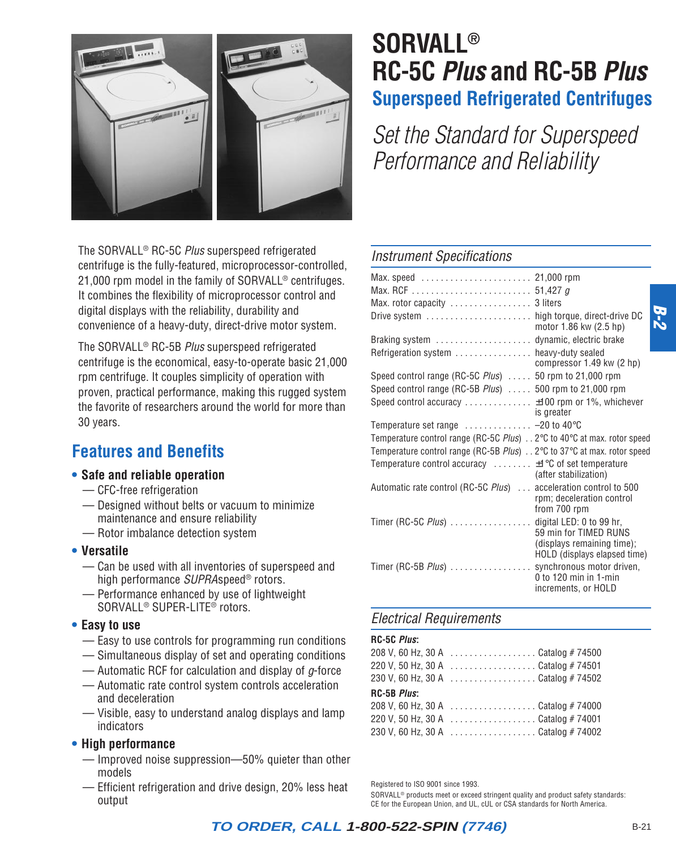

The SORVALL® RC-5C Plus superspeed refrigerated centrifuge is the fully-featured, microprocessor-controlled, 21,000 rpm model in the family of SORVALL<sup>®</sup> centrifuges. It combines the flexibility of microprocessor control and digital displays with the reliability, durability and convenience of a heavy-duty, direct-drive motor system.

The SORVALL® RC-5B Plus superspeed refrigerated centrifuge is the economical, easy-to-operate basic 21,000 rpm centrifuge. It couples simplicity of operation with proven, practical performance, making this rugged system the favorite of researchers around the world for more than 30 years.

## **Features and Benefits**

#### **• Safe and reliable operation**

- CFC-free refrigeration
- Designed without belts or vacuum to minimize maintenance and ensure reliability
- Rotor imbalance detection system

#### **• Versatile**

- Can be used with all inventories of superspeed and high performance SUPRAspeed® rotors.
- Performance enhanced by use of lightweight SORVALL® SUPER-LITE® rotors.

#### **• Easy to use**

- Easy to use controls for programming run conditions
- Simultaneous display of set and operating conditions
- Automatic RCF for calculation and display of  $q$ -force
- Automatic rate control system controls acceleration and deceleration
- Visible, easy to understand analog displays and lamp indicators

#### **• High performance**

- Improved noise suppression—50% quieter than other models
- Efficient refrigeration and drive design, 20% less heat output

# **SORVALL® RC-5C Plus and RC-5B Plus Superspeed Refrigerated Centrifuges**

Set the Standard for Superspeed Performance and Reliability

#### Instrument Specifications

| Max. rotor capacity  3 liters                                                                       |                                                                                                             |
|-----------------------------------------------------------------------------------------------------|-------------------------------------------------------------------------------------------------------------|
| Drive system  high torque, direct-drive DC                                                          | motor 1.86 kw (2.5 hp)                                                                                      |
| Braking system  dynamic, electric brake                                                             |                                                                                                             |
| Refrigeration system  heavy-duty sealed                                                             | compressor 1.49 kw (2 hp)                                                                                   |
| Speed control range (RC-5C Plus)  50 rpm to 21,000 rpm                                              |                                                                                                             |
| Speed control range (RC-5B Plus)  500 rpm to 21,000 rpm                                             |                                                                                                             |
| Speed control accuracy  ±100 rpm or 1%, whichever                                                   |                                                                                                             |
|                                                                                                     | is greater                                                                                                  |
| Temperature set range $\dots\dots\dots\dots -20$ to 40 °C                                           |                                                                                                             |
| Temperature control range (RC-5C Plus) 2°C to 40°C at max. rotor speed                              |                                                                                                             |
| Temperature control range (RC-5B Plus) $\ldots$ 2 $\degree$ C to 37 $\degree$ C at max. rotor speed |                                                                                                             |
| Temperature control accuracy $\dots \dots$ $\pm 1^{\circ}$ C of set temperature                     | (after stabilization)                                                                                       |
| Automatic rate control (RC-5C Plus)  acceleration control to 500                                    | rpm; deceleration control<br>from 700 rpm                                                                   |
| Timer (RC-5C Plus)  digital LED: 0 to 99 hr,                                                        | 59 min for TIMED RUNS<br>(displays remaining time);                                                         |
| Timer (RC-5B $Plus$ )                                                                               | HOLD (displays elapsed time)<br>synchronous motor driven,<br>$0$ to 120 min in 1-min<br>increments, or HOLD |

#### Electrical Requirements

#### **RC-5C Plus:**

|                     | 208 V, 60 Hz, 30 A  Catalog # 74500 |
|---------------------|-------------------------------------|
|                     | 220 V, 50 Hz, 30 A Catalog # 74501  |
|                     | 230 V, 60 Hz, 30 A Catalog # 74502  |
| RC-5B <i>Plus</i> : |                                     |
|                     | 208 V, 60 Hz, 30 A Catalog # 74000  |
|                     | 220 V, 50 Hz, 30 A Catalog # 74001  |
|                     | 230 V, 60 Hz, 30 A Catalog # 74002  |
|                     |                                     |

Registered to ISO 9001 since 1993.

SORVALL® products meet or exceed stringent quality and product safety standards: CE for the European Union, and UL, cUL or CSA standards for North America.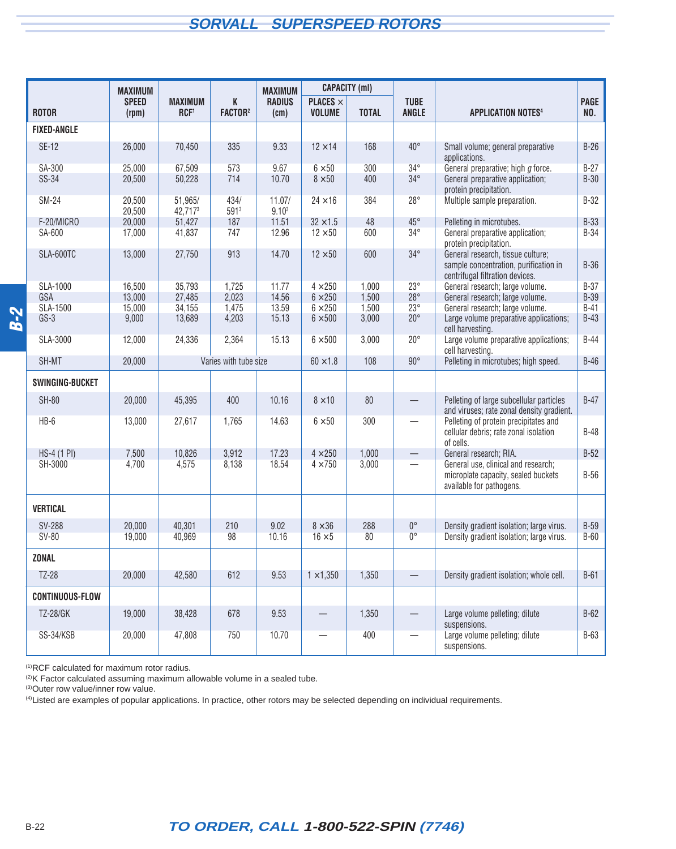## **SORVALL SUPERSPEED ROTORS**

<span id="page-3-0"></span>

|                        | <b>MAXIMUM</b>        |                                    |                          | <b>MAXIMUM</b>              |                                         | <b>CAPACITY (ml)</b> |                             |                                                                                                               |             |
|------------------------|-----------------------|------------------------------------|--------------------------|-----------------------------|-----------------------------------------|----------------------|-----------------------------|---------------------------------------------------------------------------------------------------------------|-------------|
| <b>ROTOR</b>           | <b>SPEED</b><br>(rpm) | <b>MAXIMUM</b><br>RCF <sup>1</sup> | K<br>FACTOR <sup>2</sup> | <b>RADIUS</b><br>(cm)       | <b>PLACES</b> $\times$<br><b>VOLUME</b> | <b>TOTAL</b>         | <b>TUBE</b><br><b>ANGLE</b> | <b>APPLICATION NOTES4</b>                                                                                     | PAGE<br>NO. |
| <b>FIXED-ANGLE</b>     |                       |                                    |                          |                             |                                         |                      |                             |                                                                                                               |             |
| <b>SE-12</b>           | 26,000                | 70,450                             | 335                      | 9.33                        | $12 \times 14$                          | 168                  | $40^{\circ}$                | Small volume; general preparative<br>applications.                                                            | $B-26$      |
| SA-300                 | 25,000                | 67,509                             | 573                      | 9.67                        | $6 \times 50$                           | 300                  | $34^{\circ}$                | General preparative; high g force.                                                                            | $B-27$      |
| SS-34                  | 20,500                | 50,228                             | 714                      | 10.70                       | $8\times50$                             | 400                  | $34^{\circ}$                | General preparative application;<br>protein precipitation.                                                    | $B-30$      |
| <b>SM-24</b>           | 20,500<br>20,500      | 51,965/<br>42,7173                 | 434/<br>5913             | 11.07/<br>9.10 <sup>3</sup> | $24 \times 16$                          | 384                  | $28^{\circ}$                | Multiple sample preparation.                                                                                  | $B-32$      |
| F-20/MICRO             | 20,000                | 51,427                             | 187                      | 11.51                       | $32 \times 1.5$                         | 48                   | $45^{\circ}$                | Pelleting in microtubes.                                                                                      | <b>B-33</b> |
| SA-600                 | 17,000                | 41,837                             | 747                      | 12.96                       | $12 \times 50$                          | 600                  | $34^\circ$                  | General preparative application;<br>protein precipitation.                                                    | $B-34$      |
| SLA-600TC              | 13,000                | 27,750                             | 913                      | 14.70                       | $12 \times 50$                          | 600                  | $34^\circ$                  | General research, tissue culture;<br>sample concentration, purification in<br>centrifugal filtration devices. | $B-36$      |
| SLA-1000               | 16,500                | 35,793                             | 1,725                    | 11.77                       | $4 \times 250$                          | 1,000                | $23^\circ$                  | General research; large volume.                                                                               | $B-37$      |
| GSA                    | 13,000                | 27,485                             | 2,023                    | 14.56                       | $6 \times 250$                          | 1,500                | $28^\circ$                  | General research; large volume.                                                                               | <b>B-39</b> |
| <b>SLA-1500</b>        | 15,000                | 34,155                             | 1,475                    | 13.59                       | $6 \times 250$                          | 1,500                | $23^\circ$                  | General research; large volume.                                                                               | $B-41$      |
| $GS-3$                 | 9,000                 | 13,689                             | 4,203                    | 15.13                       | $6 \times 500$                          | 3,000                | $20^{\circ}$                | Large volume preparative applications;<br>cell harvesting.                                                    | $B-43$      |
| SLA-3000               | 12,000                | 24,336                             | 2,364                    | 15.13                       | $6 \times 500$                          | 3,000                | $20^{\circ}$                | Large volume preparative applications;<br>cell harvesting.                                                    | $B-44$      |
| SH-MT                  | 20,000                |                                    | Varies with tube size    |                             | $60 \times 1.8$                         | 108                  | $90^\circ$                  | Pelleting in microtubes; high speed.                                                                          | $B-46$      |
| SWINGING-BUCKET        |                       |                                    |                          |                             |                                         |                      |                             |                                                                                                               |             |
| <b>SH-80</b>           | 20,000                | 45,395                             | 400                      | 10.16                       | $8 \times 10$                           | 80                   |                             | Pelleting of large subcellular particles<br>and viruses; rate zonal density gradient.                         | $B-47$      |
| HB-6                   | 13,000                | 27,617                             | 1,765                    | 14.63                       | $6\times50$                             | 300                  |                             | Pelleting of protein precipitates and<br>cellular debris; rate zonal isolation<br>of cells.                   | $B-48$      |
| HS-4 (1 PI)            | 7,500                 | 10,826                             | 3,912                    | 17.23                       | $4 \times 250$                          | 1,000                | $\qquad \qquad -$           | General research; RIA.                                                                                        | $B-52$      |
| SH-3000                | 4,700                 | 4,575                              | 8,138                    | 18.54                       | $4 \times 750$                          | 3,000                |                             | General use, clinical and research;<br>microplate capacity, sealed buckets<br>available for pathogens.        | $B-56$      |
| <b>VERTICAL</b>        |                       |                                    |                          |                             |                                         |                      |                             |                                                                                                               |             |
| <b>SV-288</b>          | 20,000                | 40,301                             | 210                      | 9.02                        | $8 \times 36$                           | 288                  | $0^{\circ}$                 | Density gradient isolation; large virus.                                                                      | $B-59$      |
| <b>SV-80</b>           | 19,000                | 40,969                             | 98                       | 10.16                       | $16 \times 5$                           | 80                   | $0^{\circ}$                 | Density gradient isolation; large virus.                                                                      | $B-60$      |
| <b>ZONAL</b>           |                       |                                    |                          |                             |                                         |                      |                             |                                                                                                               |             |
| TZ-28                  | 20,000                | 42,580                             | 612                      | 9.53                        | $1 \times 1,350$                        | 1,350                | $\overline{\phantom{0}}$    | Density gradient isolation; whole cell.                                                                       | $B-61$      |
| <b>CONTINUOUS-FLOW</b> |                       |                                    |                          |                             |                                         |                      |                             |                                                                                                               |             |
| TZ-28/GK               | 19,000                | 38,428                             | 678                      | 9.53                        | —                                       | 1,350                |                             | Large volume pelleting; dilute<br>suspensions.                                                                | $B-62$      |
| SS-34/KSB              | 20,000                | 47,808                             | 750                      | 10.70                       |                                         | 400                  |                             | Large volume pelleting; dilute<br>suspensions.                                                                | $B-63$      |

(1)RCF calculated for maximum rotor radius.

 $(2)K$  Factor calculated assuming maximum allowable volume in a sealed tube.

(3) Outer row value/inner row value.

(4)Listed are examples of popular applications. In practice, other rotors may be selected depending on individual requirements.

## B-22 **TO ORDER, CALL 1-800-522-SPIN (7746)**

**B-2**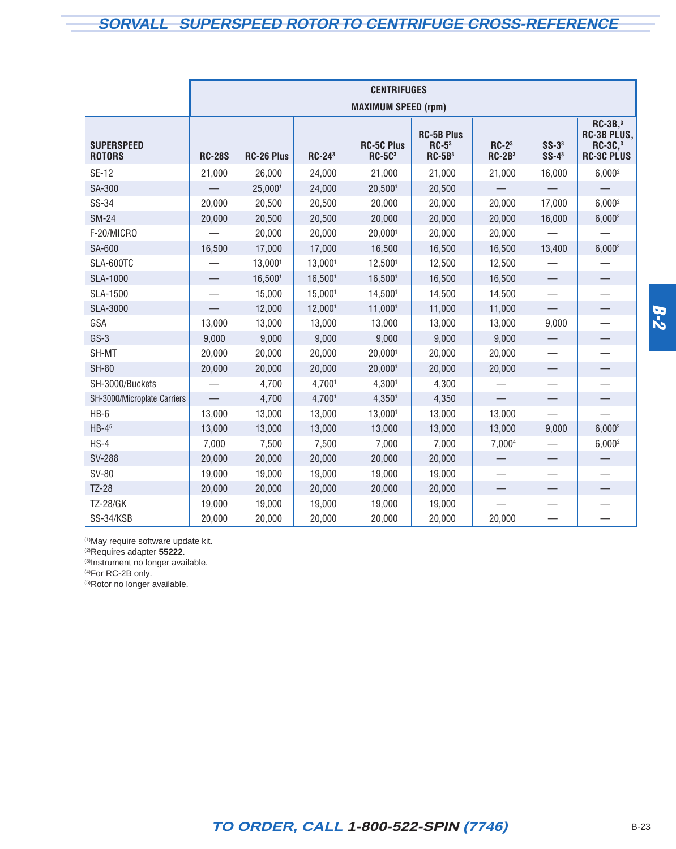## <span id="page-4-0"></span>**SORVALL SUPERSPEED ROTOR TO CENTRIFUGE CROSS-REFERENCE**

|                                    |                            |                   |                           | <b>CENTRIFUGES</b>            |                                          |                          |                                   |                                                                       |  |  |  |  |  |  |
|------------------------------------|----------------------------|-------------------|---------------------------|-------------------------------|------------------------------------------|--------------------------|-----------------------------------|-----------------------------------------------------------------------|--|--|--|--|--|--|
|                                    | <b>MAXIMUM SPEED (rpm)</b> |                   |                           |                               |                                          |                          |                                   |                                                                       |  |  |  |  |  |  |
| <b>SUPERSPEED</b><br><b>ROTORS</b> | <b>RC-28S</b>              | <b>RC-26 Plus</b> | <b>RC-24</b> <sup>3</sup> | <b>RC-5C Plus</b><br>$RC-5C3$ | <b>RC-5B Plus</b><br>$RC-53$<br>$RC-5B3$ | $RC-23$<br>$RC-2B3$      | $SS-33$<br>$SS-4^3$               | $RC-3B3$<br><b>RC-3B PLUS,</b><br><b>RC-3C,3</b><br><b>RC-3C PLUS</b> |  |  |  |  |  |  |
| <b>SE-12</b>                       | 21,000                     | 26,000            | 24,000                    | 21,000                        | 21,000                                   | 21,000                   | 16,000                            | $6,000^2$                                                             |  |  |  |  |  |  |
| SA-300                             |                            | 25,0001           | 24,000                    | 20,5001                       | 20,500                                   |                          |                                   |                                                                       |  |  |  |  |  |  |
| SS-34                              | 20,000                     | 20,500            | 20,500                    | 20,000                        | 20,000                                   | 20,000                   | 17,000                            | $6,000^2$                                                             |  |  |  |  |  |  |
| <b>SM-24</b>                       | 20,000                     | 20,500            | 20,500                    | 20,000                        | 20,000                                   | 20,000                   | 16,000                            | $6,000^2$                                                             |  |  |  |  |  |  |
| F-20/MICRO                         |                            | 20,000            | 20,000                    | 20,0001                       | 20,000                                   | 20,000                   |                                   |                                                                       |  |  |  |  |  |  |
| SA-600                             | 16,500                     | 17,000            | 17,000                    | 16,500                        | 16,500                                   | 16,500                   | 13,400                            | $6,000^2$                                                             |  |  |  |  |  |  |
| SLA-600TC                          |                            | 13,0001           | 13,0001                   | 12,5001                       | 12,500                                   | 12,500                   |                                   |                                                                       |  |  |  |  |  |  |
| <b>SLA-1000</b>                    |                            | 16,5001           | 16,5001                   | 16,5001                       | 16,500                                   | 16,500                   | $\qquad \qquad -$                 |                                                                       |  |  |  |  |  |  |
| SLA-1500                           |                            | 15,000            | 15,0001                   | 14,5001                       | 14,500                                   | 14,500                   |                                   |                                                                       |  |  |  |  |  |  |
| <b>SLA-3000</b>                    |                            | 12,000            | 12,0001                   | 11,0001                       | 11,000                                   | 11,000                   | $\overline{\phantom{0}}$          | —                                                                     |  |  |  |  |  |  |
| GSA                                | 13,000                     | 13,000            | 13,000                    | 13,000                        | 13,000                                   | 13,000                   | 9,000                             |                                                                       |  |  |  |  |  |  |
| $GS-3$                             | 9,000                      | 9,000             | 9,000                     | 9,000                         | 9,000                                    | 9,000                    |                                   | —                                                                     |  |  |  |  |  |  |
| SH-MT                              | 20,000                     | 20,000            | 20,000                    | 20,0001                       | 20,000                                   | 20,000                   | $\overbrace{\phantom{123221111}}$ | $\overline{\phantom{0}}$                                              |  |  |  |  |  |  |
| <b>SH-80</b>                       | 20,000                     | 20,000            | 20,000                    | 20,0001                       | 20,000                                   | 20,000                   |                                   |                                                                       |  |  |  |  |  |  |
| SH-3000/Buckets                    |                            | 4,700             | 4,7001                    | 4,3001                        | 4,300                                    |                          |                                   |                                                                       |  |  |  |  |  |  |
| SH-3000/Microplate Carriers        |                            | 4,700             | 4,7001                    | 4,3501                        | 4,350                                    |                          | $\overline{\phantom{0}}$          | $\overline{\phantom{0}}$                                              |  |  |  |  |  |  |
| $HB-6$                             | 13,000                     | 13,000            | 13,000                    | 13,0001                       | 13,000                                   | 13,000                   |                                   |                                                                       |  |  |  |  |  |  |
| $HB-45$                            | 13,000                     | 13,000            | 13,000                    | 13,000                        | 13,000                                   | 13,000                   | 9,000                             | $6,000^2$                                                             |  |  |  |  |  |  |
| $HS-4$                             | 7,000                      | 7,500             | 7,500                     | 7,000                         | 7,000                                    | 7,0004                   |                                   | $6,000^2$                                                             |  |  |  |  |  |  |
| <b>SV-288</b>                      | 20,000                     | 20,000            | 20,000                    | 20,000                        | 20,000                                   |                          | $\overline{\phantom{0}}$          |                                                                       |  |  |  |  |  |  |
| SV-80                              | 19,000                     | 19,000            | 19,000                    | 19,000                        | 19,000                                   | $\overline{\phantom{0}}$ |                                   | $\overline{\phantom{0}}$                                              |  |  |  |  |  |  |
| <b>TZ-28</b>                       | 20,000                     | 20,000            | 20,000                    | 20,000                        | 20,000                                   |                          |                                   |                                                                       |  |  |  |  |  |  |
| <b>TZ-28/GK</b>                    | 19,000                     | 19,000            | 19,000                    | 19,000                        | 19,000                                   |                          |                                   |                                                                       |  |  |  |  |  |  |
| SS-34/KSB                          | 20,000                     | 20,000            | 20,000                    | 20,000                        | 20,000                                   | 20,000                   |                                   |                                                                       |  |  |  |  |  |  |

(1)May require software update kit.

(2)Requires adapter **55222**.

(3)Instrument no longer available.

(4)For RC-2B only.

(5)Rotor no longer available.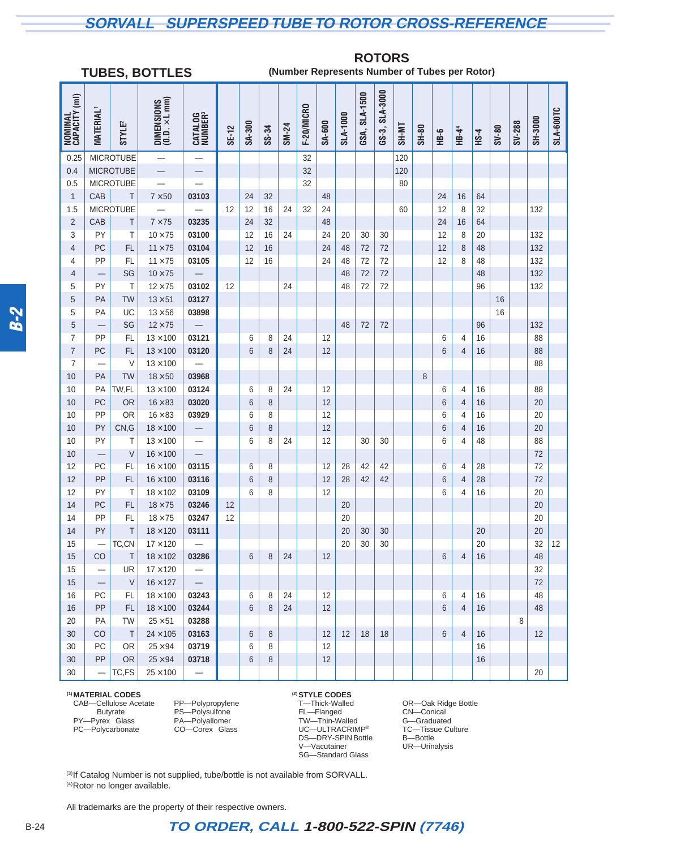## <span id="page-5-0"></span>**SORVALL SUPERSPEED TUBE TO ROTOR CROSS-REFERENCE**

#### **TUBES, BOTTLES**

#### **ROTORS (Number Represents Number of Tubes per Rotor)**

|                          | 100L0, 0011L0            |                    |                                                                               |                                |          |                |       |       |            |        |          |               |                |       |       |                | . <i>.</i>        |             |         |        |          |           |
|--------------------------|--------------------------|--------------------|-------------------------------------------------------------------------------|--------------------------------|----------|----------------|-------|-------|------------|--------|----------|---------------|----------------|-------|-------|----------------|-------------------|-------------|---------|--------|----------|-----------|
| NOMINAL<br>CAPACITY (ml) | <b>MATERIAL</b>          | STYLE <sup>2</sup> | $\begin{array}{c} \text{DIMENSIONS} \\ \text{(0.0. \times L mm)} \end{array}$ | CATALOG<br>NUMBER <sup>3</sup> | SE-12    | SA-300         | SS-34 | SM-24 | F-20/MICRO | SA-600 | SLA-1000 | GSA, SLA-1500 | GS-3, SLA-3000 | SH-MT | SH-80 | HB-6           | HB-4 <sup>4</sup> | <b>HS-4</b> | $8V-80$ | SV-288 | SH-3000  | SLA-600TC |
| 0.25                     |                          | <b>MICROTUBE</b>   |                                                                               |                                |          |                |       |       | 32         |        |          |               |                | 120   |       |                |                   |             |         |        |          |           |
| 0.4                      |                          | <b>MICROTUBE</b>   |                                                                               |                                |          |                |       |       | 32         |        |          |               |                | 120   |       |                |                   |             |         |        |          |           |
| 0.5                      |                          | <b>MICROTUBE</b>   |                                                                               |                                |          |                |       |       | 32         |        |          |               |                | 80    |       |                |                   |             |         |        |          |           |
| $\mathbf{1}$             | CAB                      | T                  | $7 \times 50$                                                                 | 03103                          |          | 24             | 32    |       |            | 48     |          |               |                |       |       | 24             | 16                | 64          |         |        |          |           |
| 1.5                      |                          | <b>MICROTUBE</b>   |                                                                               |                                | 12       | 12             | 16    | 24    | 32         | 24     |          |               |                | 60    |       | 12             | 8                 | 32          |         |        | 132      |           |
| $\overline{2}$           | CAB                      | Τ                  | $7 \times 75$                                                                 | 03235                          |          | 24             | 32    |       |            | 48     |          |               |                |       |       | 24             | 16                | 64          |         |        |          |           |
| 3                        | PY                       | T                  | $10 \times 75$                                                                | 03100                          |          | 12             | 16    | 24    |            | 24     | 20       | 30            | 30             |       |       | 12             | 8                 | 20          |         |        | 132      |           |
| $\overline{4}$           | PC                       | <b>FL</b>          | $11 \times 75$                                                                | 03104                          |          | 12             | 16    |       |            | 24     | 48       | 72            | 72             |       |       | 12             | $\,8\,$           | 48          |         |        | 132      |           |
| 4                        | PP                       | FL                 | $11 \times 75$                                                                | 03105                          |          | 12             | 16    |       |            | 24     | 48       | 72            | 72             |       |       | 12             | 8                 | 48          |         |        | 132      |           |
| $\overline{4}$           |                          | SG                 | $10 \times 75$                                                                |                                |          |                |       |       |            |        | 48       | 72            | 72             |       |       |                |                   | 48          |         |        | 132      |           |
| 5                        | PY                       | T                  | $12 \times 75$                                                                | 03102                          | 12       |                |       | 24    |            |        | 48       | 72            | 72             |       |       |                |                   | 96          |         |        | 132      |           |
| 5                        | PA                       | <b>TW</b>          | $13 \times 51$                                                                | 03127                          |          |                |       |       |            |        |          |               |                |       |       |                |                   |             | 16      |        |          |           |
| 5                        | PA                       | UC                 | $13 \times 56$                                                                | 03898                          |          |                |       |       |            |        |          |               |                |       |       |                |                   |             | 16      |        |          |           |
| 5                        |                          | SG                 | $12 \times 75$                                                                |                                |          |                |       |       |            |        | 48       | 72            | 72             |       |       |                |                   | 96          |         |        | 132      |           |
| 7                        | PP                       | FL                 | $13 \times 100$                                                               | 03121                          |          | 6              | 8     | 24    |            | 12     |          |               |                |       |       | 6              | 4                 | 16          |         |        | 88       |           |
| $\overline{7}$           | PC                       | <b>FL</b>          | $13 \times 100$                                                               | 03120                          |          | 6              | 8     | 24    |            | 12     |          |               |                |       |       | 6              | 4                 | 16          |         |        | 88       |           |
| $\overline{7}$           |                          | $\vee$             | $13 \times 100$                                                               |                                |          |                |       |       |            |        |          |               |                |       |       |                |                   |             |         |        | 88       |           |
| 10                       | PA                       | <b>TW</b>          | $18 \times 50$                                                                | 03968                          |          |                |       |       |            |        |          |               |                |       | 8     |                |                   |             |         |        |          |           |
| 10                       | PA                       | TW,FL              | $13 \times 100$                                                               | 03124                          |          | 6              | 8     | 24    |            | 12     |          |               |                |       |       | 6              | 4                 | 16          |         |        | 88       |           |
| 10                       | PC                       | OR                 | $16 \times 83$                                                                | 03020                          |          | 6              | 8     |       |            | 12     |          |               |                |       |       | 6              | 4                 | 16          |         |        | 20       |           |
| 10                       | PP                       | <b>OR</b>          | $16 \times 83$                                                                | 03929                          |          | 6              | 8     |       |            | 12     |          |               |                |       |       | 6              | 4                 | 16          |         |        | 20       |           |
| 10                       | PY                       | CN,G               | $18 \times 100$                                                               |                                |          | 6              | 8     |       |            | 12     |          |               |                |       |       | 6              | 4                 | 16          |         |        | 20       |           |
| 10                       | PY                       | Τ                  | $13 \times 100$                                                               | $\overline{\phantom{0}}$       |          | 6              | 8     | 24    |            | 12     |          | 30            | 30             |       |       | 6              | 4                 | 48          |         |        | 88       |           |
| 10                       | $\overline{\phantom{0}}$ | V                  | $16 \times 100$                                                               | $\overline{\phantom{0}}$       |          |                |       |       |            |        |          |               |                |       |       |                |                   |             |         |        | 72       |           |
| 12                       | PC                       | FL                 | $16 \times 100$                                                               | 03115                          |          | 6              | 8     |       |            | 12     | 28       | 42            | 42             |       |       | 6              | 4                 | 28          |         |        | 72       |           |
| 12                       | PP                       | <b>FL</b>          | $16 \times 100$                                                               | 03116                          |          | 6              | 8     |       |            | 12     | 28       | 42            | 42             |       |       | 6              | 4                 | 28          |         |        | 72       |           |
| 12<br>14                 | PY<br>PC                 | Τ<br><b>FL</b>     | $18 \times 102$<br>$18 \times 75$                                             | 03109                          |          | 6              | 8     |       |            | 12     |          |               |                |       |       | 6              | 4                 | 16          |         |        | 20       |           |
| 14                       | PP                       | FL                 | $18 \times 75$                                                                | 03246<br>03247                 | 12<br>12 |                |       |       |            |        | 20<br>20 |               |                |       |       |                |                   |             |         |        | 20<br>20 |           |
| 14                       | PY                       | T                  | $18 \times 120$                                                               | 03111                          |          |                |       |       |            |        | 20       | 30            | 30             |       |       |                |                   | 20          |         |        | 20       |           |
| 15                       |                          | TC,CN              | $17 \times 120$                                                               |                                |          |                |       |       |            |        | 20       | 30            | 30             |       |       |                |                   | 20          |         |        | 32       | 12        |
| $15\,$                   | CO                       | $\top$             | $18\times102$                                                                 | 03286                          |          | $6\,$          | 8     | 24    |            | 12     |          |               |                |       |       | $\,6\,$        | $\overline{4}$    | 16          |         |        | 48       |           |
| 15                       |                          | UR                 | $17 \times 120$                                                               | $\qquad \qquad -$              |          |                |       |       |            |        |          |               |                |       |       |                |                   |             |         |        | 32       |           |
| 15                       |                          | $\vee$             | $16\times127$                                                                 | $\overline{\phantom{0}}$       |          |                |       |       |            |        |          |               |                |       |       |                |                   |             |         |        | 72       |           |
| 16                       | PC                       | FL                 | $18\times100$                                                                 | 03243                          |          | 6              | 8     | 24    |            | 12     |          |               |                |       |       | 6              | 4                 | 16          |         |        | 48       |           |
| 16                       | PP                       | <b>FL</b>          | $18\times100$                                                                 | 03244                          |          | $6\phantom{1}$ | 8     | 24    |            | 12     |          |               |                |       |       | $6\phantom{1}$ | 4                 | 16          |         |        | 48       |           |
| 20                       | PA                       | <b>TW</b>          | $25\times51$                                                                  | 03288                          |          |                |       |       |            |        |          |               |                |       |       |                |                   |             |         | 8      |          |           |
| 30                       | CO                       | $\top$             | $24\times105$                                                                 | 03163                          |          | 6              | 8     |       |            | 12     | 12       | 18            | 18             |       |       | 6              | $\overline{4}$    | 16          |         |        | 12       |           |
| 30                       | PC                       | OR                 | $25\times94$                                                                  | 03719                          |          | 6              | 8     |       |            | 12     |          |               |                |       |       |                |                   | 16          |         |        |          |           |
| $30\,$                   | PP                       | <b>OR</b>          | $25\times94$                                                                  | 03718                          |          | 6              | 8     |       |            | 12     |          |               |                |       |       |                |                   | 16          |         |        |          |           |
| 30                       | $\overline{\phantom{0}}$ | TC,FS              | $25\times100$                                                                 | $\overline{\phantom{0}}$       |          |                |       |       |            |        |          |               |                |       |       |                |                   |             |         |        | 20       |           |

## **(1) MATERIAL CODES (2)STYLE CODES**

Butyrate PS—Polysulfone FL—Flanged CN—Conical PY—Pyrex® Glass PA—Polyallomer TW—Thin-Walled G—Graduated PC—Polycarbonate CO—Corex® Glass UC—ULTRACRIMP® TC—Tissue Culture PY—Pyrex Glass PA—Polyallomer TW—Thin-Walled G—Graduated PC—Polycarbonate CO—Corex Glass UC—ULTRACRIMP® TC—Tissue Culture DS-DRY-SPIN Bottle B-Bottle<br>V-Vacutainer UR-Urina SG—Standard Glass

CAB—Cellulose Acetate PP—Polypropylene T—Thick-Walled OR—Oak Ridge Bottle<br>Butyrate PS—Polysulfone FL—Flanged CN—Conical UR—Urinalysis

(3) If Catalog Number is not supplied, tube/bottle is not available from SORVALL. (4)Rotor no longer available.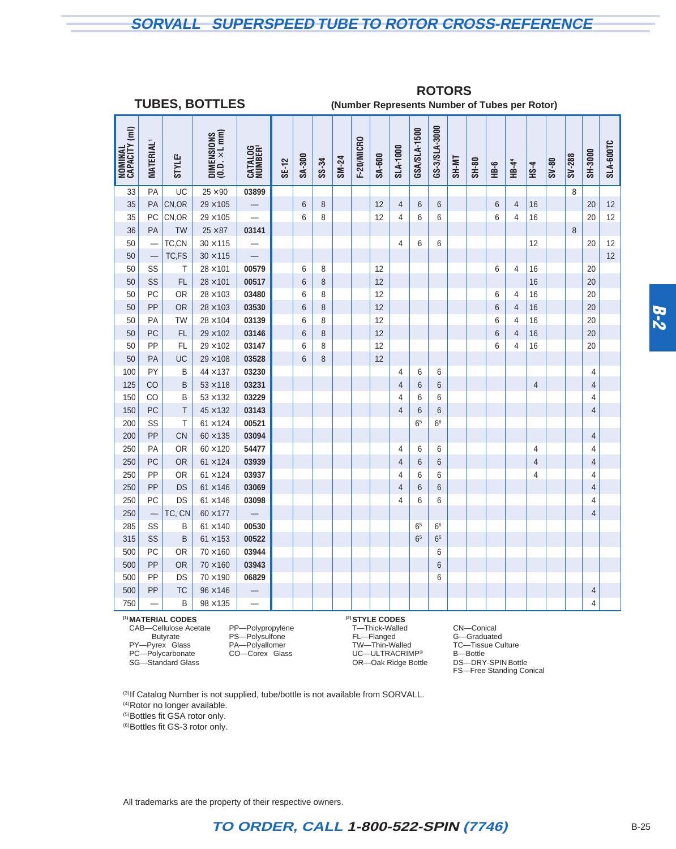## **SORVALL SUPERSPEED TUBE TO ROTOR CROSS-REFERENCE**

**ROTORS**

|                          | <b>TUBES, BOTTLES</b><br>(Number Represents Number of Tubes per Rotor) |                               |                                                                              |                                |       |                |       |       |            |                            |                |                |                |               |       |      |                   |                |         |        |                |           |
|--------------------------|------------------------------------------------------------------------|-------------------------------|------------------------------------------------------------------------------|--------------------------------|-------|----------------|-------|-------|------------|----------------------------|----------------|----------------|----------------|---------------|-------|------|-------------------|----------------|---------|--------|----------------|-----------|
| NOMINAL<br>CAPACITY (ml) | <b>MATERIAL</b> <sup>1</sup>                                           | <b>STYLE<sup>2</sup></b>      | $\begin{array}{c} \text{DIMENSONS} \\ (0.0. \times \text{L mm}) \end{array}$ | CATALOG<br>NUMBER <sup>3</sup> | SE-12 | SA-300         | SS-34 | SM-24 | F-20/MICRO | SA-600                     | SLA-1000       | GSA/SLA-1500   | GS-3/SLA-3000  | <b>TIN-HS</b> | SH-80 | HB-6 | HB-4 <sup>4</sup> | <b>HS-4</b>    | $08-NS$ | SV-288 | SH-3000        | SLA-600TC |
| 33                       | PA                                                                     | UC                            | $25 \times 90$                                                               | 03899                          |       |                |       |       |            |                            |                |                |                |               |       |      |                   |                |         | 8      |                |           |
| 35                       | PA                                                                     | CN,OR                         | $29 \times 105$                                                              |                                |       | 6              | 8     |       |            | 12                         | $\overline{4}$ | 6              | 6              |               |       | 6    | $\overline{4}$    | 16             |         |        | 20             | 12        |
| 35                       | PC                                                                     | CN,OR                         | $29\times105$                                                                |                                |       | 6              | 8     |       |            | 12                         | $\overline{4}$ | 6              | 6              |               |       | 6    | $\overline{4}$    | 16             |         |        | 20             | 12        |
| 36                       | PA                                                                     | <b>TW</b>                     | $25 \times 87$                                                               | 03141                          |       |                |       |       |            |                            |                |                |                |               |       |      |                   |                |         | 8      |                |           |
| 50                       |                                                                        | TC,CN                         | $30 \times 115$                                                              |                                |       |                |       |       |            |                            | $\overline{4}$ | 6              | 6              |               |       |      |                   | 12             |         |        | 20             | 12        |
| 50                       |                                                                        | TC,FS                         | $30 \times 115$                                                              |                                |       |                |       |       |            |                            |                |                |                |               |       |      |                   |                |         |        |                | 12        |
| 50                       | SS                                                                     | T                             | $28 \times 101$                                                              | 00579                          |       | 6              | 8     |       |            | 12                         |                |                |                |               |       | 6    | 4                 | 16             |         |        | 20             |           |
| 50                       | SS                                                                     | FL                            | $28 \times 101$                                                              | 00517                          |       | 6              | 8     |       |            | 12                         |                |                |                |               |       |      |                   | 16             |         |        | 20             |           |
| 50                       | PC                                                                     | <b>OR</b>                     | $28 \times 103$                                                              | 03480                          |       | 6              | 8     |       |            | 12                         |                |                |                |               |       | 6    | 4                 | 16             |         |        | 20             |           |
| 50                       | PP                                                                     | <b>OR</b>                     | $28 \times 103$                                                              | 03530                          |       | $6\phantom{1}$ | 8     |       |            | 12                         |                |                |                |               |       | 6    | $\overline{4}$    | 16             |         |        | 20             |           |
| 50                       | PA                                                                     | <b>TW</b>                     | $28 \times 104$                                                              | 03139                          |       | 6              | 8     |       |            | 12                         |                |                |                |               |       | 6    | $\overline{4}$    | 16             |         |        | 20             |           |
| 50                       | PC                                                                     | <b>FL</b>                     | $29 \times 102$                                                              | 03146                          |       | 6              | 8     |       |            | 12                         |                |                |                |               |       | 6    | $\overline{4}$    | 16             |         |        | 20             |           |
| 50                       | PP                                                                     | FL                            | $29 \times 102$                                                              | 03147                          |       | 6              | 8     |       |            | 12                         |                |                |                |               |       | 6    | $\overline{4}$    | 16             |         |        | 20             |           |
| 50                       | PA                                                                     | UC                            | $29 \times 108$                                                              | 03528                          |       | 6              | 8     |       |            | 12                         |                |                |                |               |       |      |                   |                |         |        |                |           |
| 100                      | PY                                                                     | B                             | $44 \times 137$                                                              | 03230                          |       |                |       |       |            |                            | 4              | 6              | 6              |               |       |      |                   |                |         |        | 4              |           |
| 125                      | CO                                                                     | B                             | $53 \times 118$                                                              | 03231                          |       |                |       |       |            |                            | 4              | 6              | 6              |               |       |      |                   | $\overline{4}$ |         |        | 4              |           |
| 150                      | CO                                                                     | B                             | $53 \times 132$                                                              | 03229                          |       |                |       |       |            |                            | 4              | 6              | 6              |               |       |      |                   |                |         |        | 4              |           |
| 150                      | PC                                                                     | $\top$                        | $45 \times 132$                                                              | 03143                          |       |                |       |       |            |                            | $\overline{4}$ | 6              | 6              |               |       |      |                   |                |         |        | $\overline{4}$ |           |
| 200                      | SS                                                                     | T                             | $61 \times 124$                                                              | 00521                          |       |                |       |       |            |                            |                | 6 <sup>5</sup> | 6 <sup>6</sup> |               |       |      |                   |                |         |        |                |           |
| 200                      | PP                                                                     | CN                            | $60 \times 135$                                                              | 03094                          |       |                |       |       |            |                            |                |                |                |               |       |      |                   |                |         |        | 4              |           |
| 250                      | PA                                                                     | <b>OR</b>                     | $60 \times 120$                                                              | 54477                          |       |                |       |       |            |                            | 4              | 6              | 6              |               |       |      |                   | 4              |         |        | 4              |           |
| 250                      | PC                                                                     | <b>OR</b>                     | $61 \times 124$                                                              | 03939                          |       |                |       |       |            |                            | $\overline{4}$ | 6              | 6              |               |       |      |                   | $\overline{4}$ |         |        | 4              |           |
| 250                      | PP                                                                     | <b>OR</b>                     | $61 \times 124$                                                              | 03937                          |       |                |       |       |            |                            | 4              | 6              | 6              |               |       |      |                   | 4              |         |        | 4              |           |
| 250                      | PP<br>PC                                                               | <b>DS</b>                     | $61 \times 146$                                                              | 03069                          |       |                |       |       |            |                            | 4              | 6              | 6              |               |       |      |                   |                |         |        | $\overline{4}$ |           |
| 250                      |                                                                        | DS                            | $61 \times 146$                                                              | 03098                          |       |                |       |       |            |                            | 4              | 6              | 6              |               |       |      |                   |                |         |        | 4              |           |
| 250                      |                                                                        | TC, CN                        | $60 \times 177$                                                              | 00530                          |       |                |       |       |            |                            |                |                | 6 <sup>6</sup> |               |       |      |                   |                |         |        | 4              |           |
| 285                      | SS<br>SS                                                               | B                             | $61 \times 140$                                                              | 00522                          |       |                |       |       |            |                            |                | 6 <sup>5</sup> |                |               |       |      |                   |                |         |        |                |           |
| 315<br>500               | PC                                                                     | B<br><b>OR</b>                | $61 \times 153$<br>$70 \times 160$                                           | 03944                          |       |                |       |       |            |                            |                | 6 <sup>5</sup> | 6 <sup>6</sup> |               |       |      |                   |                |         |        |                |           |
|                          | PP                                                                     | <b>OR</b>                     | $70 \times 160$                                                              | 03943                          |       |                |       |       |            |                            |                |                | 6              |               |       |      |                   |                |         |        |                |           |
| 500<br>500               | PP                                                                     | DS                            | $70 \times 190$                                                              | 06829                          |       |                |       |       |            |                            |                |                | 6              |               |       |      |                   |                |         |        |                |           |
|                          | PP                                                                     | <b>TC</b>                     |                                                                              |                                |       |                |       |       |            |                            |                |                | 6              |               |       |      |                   |                |         |        |                |           |
| 500                      |                                                                        | B                             | $96 \times 146$                                                              |                                |       |                |       |       |            |                            |                |                |                |               |       |      |                   |                |         |        | 4<br>4         |           |
| 750                      |                                                                        |                               | $98 \times 135$                                                              |                                |       |                |       |       |            |                            |                |                |                |               |       |      |                   |                |         |        |                |           |
|                          |                                                                        | <sup>(1)</sup> MATERIAL CODES |                                                                              |                                |       |                |       |       |            | <sup>(2)</sup> STYLE CODES |                |                |                |               |       |      |                   |                |         |        |                |           |

CAB—Cellulose Acetate PP—Polypropylene T—Thick-Walled CN—Conical Butyrate PS—Polysulfone FL—Flanged G—Graduated<br>
PY—Pyrex® Glass PA—Polyallomer TW—Thin-Walled TC—Tissue Culture<br>
PC—Polycarbonate CO—Corex® Glass UC—ULTRACRIMP® B—Bottle PY—Pyrex® Glass PA—Polyallomer TW—Thin-Walled TC—Tissue Culture PC—Polycarbonate CO—Corex® Glass UC—ULTRACRIMP® B—Bottle

SG—Standard Glass OR—Oak Ridge Bottle DS—DRY-SPIN Bottle FS—Free Standing Conical

(3) If Catalog Number is not supplied, tube/bottle is not available from SORVALL.

(4)Rotor no longer available.

(5)Bottles fit GSA rotor only.

(6)Bottles fit GS-3 rotor only.

All trademarks are the property of their respective owners.

## **TO ORDER, CALL 1-800-522-SPIN (7746)** B-25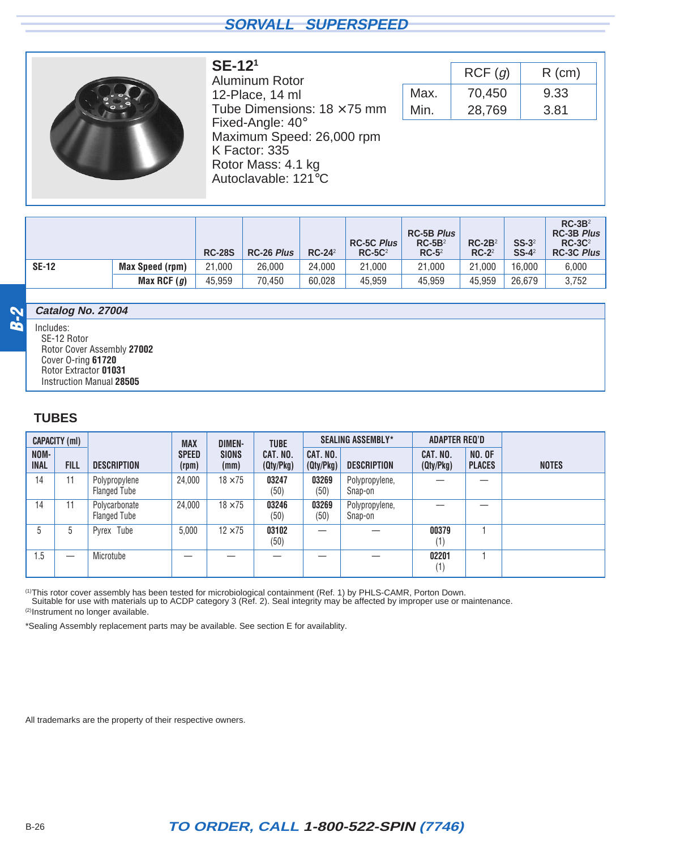<span id="page-7-0"></span>

#### Aluminum Rotor 12-Place, 14 ml Tube Dimensions:  $18 \times 75$  mm Fixed-Angle: 40° Maximum Speed: 26,000 rpm K Factor: 335 Rotor Mass: 4.1 kg Autoclavable: 121°C

**SE-121**

|      | RCF(g) | $R$ (cm) |
|------|--------|----------|
| Max. | 70,450 | 9.33     |
| Min. | 28,769 | 3.81     |

|              |                        | <b>RC-28S</b> | <b>RC-26 Plus</b> | $RC-242$ | <b>RC-5C Plus</b><br>$RC-5C2$ | <b>RC-5B Plus</b><br>$RC-5B2$<br>$RC-52$ | $RC-2B2$<br>$RC-2^2$ | $SS-3^2$<br>$SS-4^2$ | $RC-3B2$<br><b>RC-3B Plus</b><br>$RC-3C2$<br><b>RC-3C Plus</b> |
|--------------|------------------------|---------------|-------------------|----------|-------------------------------|------------------------------------------|----------------------|----------------------|----------------------------------------------------------------|
| <b>SE-12</b> | <b>Max Speed (rpm)</b> | 21.000        | 26,000            | 24.000   | 21,000                        | 21.000                                   | 21.000               | 16.000               | 6,000                                                          |
|              | Max RCF $(g)$          | 45.959        | 70.450            | 60.028   | 45,959                        | 45.959                                   | 45.959               | 26.679               | 3,752                                                          |

#### **Catalog No. 27004**

Includes: SE-12 Rotor Rotor Cover Assembly **27002** Cover O-ring **61720** Rotor Extractor **01031** Instruction Manual **28505**

#### **TUBES**

**B-2**

|                     | CAPACITY (ml) |                                      | <b>MAX</b>            | <b>DIMEN-</b>        | <b>TUBE</b>           |                       | <b>SEALING ASSEMBLY*</b>  | <b>ADAPTER REQ'D</b>  |                                |              |
|---------------------|---------------|--------------------------------------|-----------------------|----------------------|-----------------------|-----------------------|---------------------------|-----------------------|--------------------------------|--------------|
| NOM-<br><b>INAL</b> | <b>FILL</b>   | <b>DESCRIPTION</b>                   | <b>SPEED</b><br>(rpm) | <b>SIONS</b><br>(mm) | CAT. NO.<br>(Qty/Pkg) | CAT. NO.<br>(Qty/Pkg) | <b>DESCRIPTION</b>        | CAT. NO.<br>(Qty/Pkg) | <b>NO. OF</b><br><b>PLACES</b> | <b>NOTES</b> |
| 14                  | 11            | Polypropylene<br><b>Flanged Tube</b> | 24.000                | $18 \times 75$       | 03247<br>(50)         | 03269<br>(50)         | Polypropylene,<br>Snap-on |                       |                                |              |
| 14                  | 11            | Polycarbonate<br><b>Flanged Tube</b> | 24.000                | $18 \times 75$       | 03246<br>(50)         | 03269<br>(50)         | Polypropylene,<br>Snap-on |                       |                                |              |
| 5                   | 5             | Pyrex <sup>®</sup> Tube              | 5,000                 | $12 \times 75$       | 03102<br>(50)         |                       |                           | 00379<br>(1)          |                                |              |
| 1.5                 |               | Microtube                            |                       |                      |                       |                       |                           | 02201<br>(1)          |                                |              |

<sup>(1)</sup>This rotor cover assembly has been tested for microbiological containment (Ref. 1) by PHLS-CAMR, Porton Down.<br>Suitable for use with materials up to ACDP category 3 (Ref. 2). Seal integrity may be affected by improper (2)Instrument no longer available.

\*Sealing Assembly replacement parts may be available. See section E for availablity.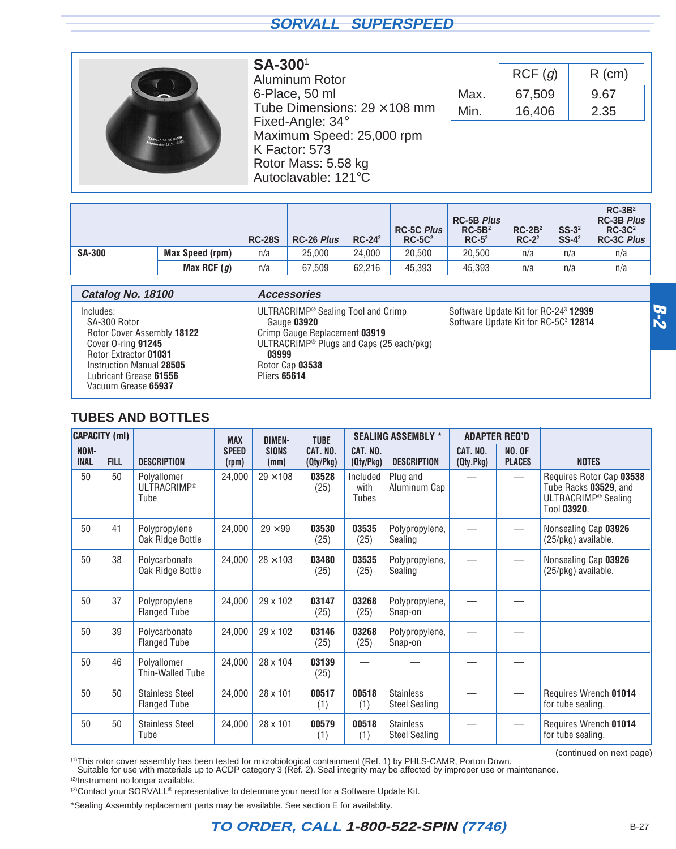<span id="page-8-0"></span>

#### **SA-300**<sup>1</sup>

Aluminum Rotor 6-Place, 50 ml Tube Dimensions:  $29 \times 108$  mm Fixed-Angle: 34° Maximum Speed: 25,000 rpm K Factor: 573 Rotor Mass: 5.58 kg Autoclavable: 121°C

|      | RCF(q) | $R$ (cm) |
|------|--------|----------|
| Max. | 67,509 | 9.67     |
| Min. | 16,406 | 2.35     |

|               |                        | <b>RC-28S</b> | <b>RC-26 Plus</b> | $RC-242$ | <b>RC-5C Plus</b><br>$RC-5C2$ | <b>RC-5B Plus</b><br>$RC-5B2$<br>$RC-52$ | $RC-2B2$<br>$RC-2^2$ | $SS-32$<br>$SS-4^2$ | $RC-3B2$<br><b>RC-3B Plus</b><br>$RC-3C2$<br><b>RC-3C Plus</b> |
|---------------|------------------------|---------------|-------------------|----------|-------------------------------|------------------------------------------|----------------------|---------------------|----------------------------------------------------------------|
| <b>SA-300</b> | <b>Max Speed (rpm)</b> | n/a           | 25.000            | 24,000   | 20.500                        | 20.500                                   | n/a                  | n/a                 | n/a                                                            |
|               | Max RCF $(g)$          | n/a           | 67,509            | 62.216   | 45,393                        | 45.393                                   | n/a                  | n/a                 | n/a                                                            |

| Catalog No. 18100                                                                                                                                                                   | <b>Accessories</b>                                                                                                                                                                                        |                                                                                                             |
|-------------------------------------------------------------------------------------------------------------------------------------------------------------------------------------|-----------------------------------------------------------------------------------------------------------------------------------------------------------------------------------------------------------|-------------------------------------------------------------------------------------------------------------|
| Includes:<br>SA-300 Rotor<br>Rotor Cover Assembly 18122<br>Cover O-ring 91245<br>Rotor Extractor 01031<br>Instruction Manual 28505<br>Lubricant Grease 61556<br>Vacuum Grease 65937 | ULTRACRIMP <sup>®</sup> Sealing Tool and Crimp<br>Gauge 03920<br>Crimp Gauge Replacement 03919<br>ULTRACRIMP <sup>®</sup> Plugs and Caps (25 each/pkg)<br>03999<br>Rotor Cap 03538<br><b>Pliers 65614</b> | Software Update Kit for RC-24 <sup>3</sup> <b>12939</b><br>Software Update Kit for RC-5C <sup>3</sup> 12814 |

#### **TUBES AND BOTTLES**

|                     | <b>CAPACITY (ml)</b> |                                               | <b>MAX</b>            | <b>DIMEN-</b>        | <b>TUBE</b>           |                           | <b>SEALING ASSEMBLY *</b>                |                       | <b>ADAPTER REQ'D</b>           |                                                                                                     |
|---------------------|----------------------|-----------------------------------------------|-----------------------|----------------------|-----------------------|---------------------------|------------------------------------------|-----------------------|--------------------------------|-----------------------------------------------------------------------------------------------------|
| NOM-<br><b>INAL</b> | <b>FILL</b>          | <b>DESCRIPTION</b>                            | <b>SPEED</b><br>(rpm) | <b>SIONS</b><br>(mm) | CAT. NO.<br>(Qty/Pkg) | CAT. NO.<br>(Qty/Pkg)     | <b>DESCRIPTION</b>                       | CAT. NO.<br>(Qty.Pkg) | <b>NO. OF</b><br><b>PLACES</b> | <b>NOTES</b>                                                                                        |
| 50                  | 50                   | Polyallomer<br><b>ULTRACRIMP®</b><br>Tube     | 24,000                | $29 \times 108$      | 03528<br>(25)         | Included<br>with<br>Tubes | Plug and<br>Aluminum Cap                 |                       | $\overline{\phantom{0}}$       | Requires Rotor Cap 03538<br>Tube Racks 03529, and<br>ULTRACRIMP <sup>®</sup> Sealing<br>Tool 03920. |
| 50                  | 41                   | Polypropylene<br>Oak Ridge Bottle             | 24,000                | $29 \times 99$       | 03530<br>(25)         | 03535<br>(25)             | Polypropylene,<br>Sealing                |                       |                                | Nonsealing Cap 03926<br>(25/pkg) available.                                                         |
| 50                  | 38                   | Polycarbonate<br>Oak Ridge Bottle             | 24,000                | $28 \times 103$      | 03480<br>(25)         | 03535<br>(25)             | Polypropylene,<br>Sealing                |                       |                                | Nonsealing Cap 03926<br>(25/pkg) available.                                                         |
| 50                  | 37                   | Polypropylene<br><b>Flanged Tube</b>          | 24,000                | 29 x 102             | 03147<br>(25)         | 03268<br>(25)             | Polypropylene,<br>Snap-on                |                       |                                |                                                                                                     |
| 50                  | 39                   | Polycarbonate<br><b>Flanged Tube</b>          | 24,000                | 29 x 102             | 03146<br>(25)         | 03268<br>(25)             | Polypropylene,<br>Snap-on                |                       |                                |                                                                                                     |
| 50                  | 46                   | Polyallomer<br>Thin-Walled Tube               | 24,000                | 28 x 104             | 03139<br>(25)         |                           |                                          |                       |                                |                                                                                                     |
| 50                  | 50                   | <b>Stainless Steel</b><br><b>Flanged Tube</b> | 24,000                | 28 x 101             | 00517<br>(1)          | 00518<br>(1)              | <b>Stainless</b><br><b>Steel Sealing</b> |                       | $\overline{\phantom{0}}$       | Requires Wrench 01014<br>for tube sealing.                                                          |
| 50                  | 50                   | <b>Stainless Steel</b><br>Tube                | 24,000                | 28 x 101             | 00579<br>(1)          | 00518<br>(1)              | <b>Stainless</b><br><b>Steel Sealing</b> |                       |                                | Requires Wrench 01014<br>for tube sealing.                                                          |

(continued on next page)

(1)This rotor cover assembly has been tested for microbiological containment (Ref. 1) by PHLS-CAMR, Porton Down.

Suitable for use with materials up to ACDP category 3 (Ref. 2). Seal integrity may be affected by improper use or maintenance.

(2)Instrument no longer available.

(3) Contact your SORVALL<sup>®</sup> representative to determine your need for a Software Update Kit.

\*Sealing Assembly replacement parts may be available. See section E for availablity.

**B-2**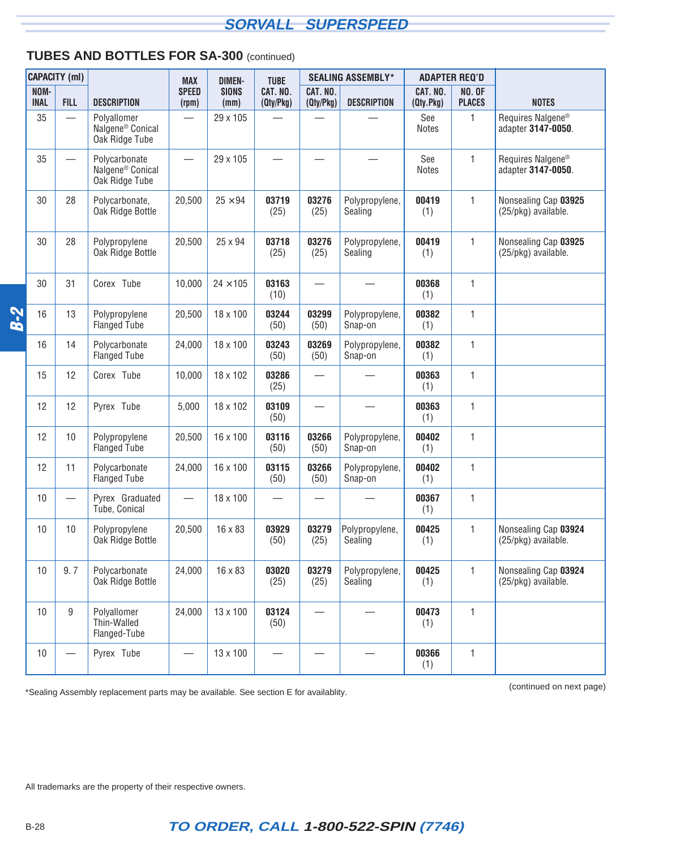#### **TUBES AND BOTTLES FOR SA-300** (continued)

|            |                     | <b>CAPACITY (ml)</b>             |                                                                 | <b>MAX</b>               | <b>DIMEN-</b>        | <b>TUBE</b>           |                       | <b>SEALING ASSEMBLY*</b>  |                       | <b>ADAPTER REQ'D</b>           |                                                     |
|------------|---------------------|----------------------------------|-----------------------------------------------------------------|--------------------------|----------------------|-----------------------|-----------------------|---------------------------|-----------------------|--------------------------------|-----------------------------------------------------|
|            | NOM-<br><b>INAL</b> | <b>FILL</b>                      | <b>DESCRIPTION</b>                                              | <b>SPEED</b><br>(rpm)    | <b>SIONS</b><br>(mm) | CAT. NO.<br>(Qty/Pkg) | CAT. NO.<br>(Qty/Pkg) | <b>DESCRIPTION</b>        | CAT. NO.<br>(Qty.Pkg) | <b>NO. OF</b><br><b>PLACES</b> | <b>NOTES</b>                                        |
|            | 35                  | $\overline{\phantom{0}}$         | Polyallomer<br>Nalgene <sup>®</sup> Conical<br>Oak Ridge Tube   |                          | 29 x 105             |                       |                       |                           | See<br><b>Notes</b>   | 1                              | Requires Nalgene <sup>®</sup><br>adapter 3147-0050. |
|            | 35                  | $\overline{\phantom{0}}$         | Polycarbonate<br>Nalgene <sup>®</sup> Conical<br>Oak Ridge Tube | $\overline{\phantom{0}}$ | 29 x 105             |                       |                       |                           | See<br><b>Notes</b>   | 1                              | Requires Nalgene <sup>®</sup><br>adapter 3147-0050. |
|            | 30                  | 28                               | Polycarbonate,<br>Oak Ridge Bottle                              | 20,500                   | $25 \times 94$       | 03719<br>(25)         | 03276<br>(25)         | Polypropylene,<br>Sealing | 00419<br>(1)          | 1                              | Nonsealing Cap 03925<br>(25/pkg) available.         |
|            | 30                  | 28                               | Polypropylene<br>Oak Ridge Bottle                               | 20,500                   | 25 x 94              | 03718<br>(25)         | 03276<br>(25)         | Polypropylene,<br>Sealing | 00419<br>(1)          | $\mathbf{1}$                   | Nonsealing Cap 03925<br>(25/pkg) available.         |
|            | 30                  | 31                               | Corex <sup>®</sup> Tube                                         | 10,000                   | $24 \times 105$      | 03163<br>(10)         |                       |                           | 00368<br>(1)          | 1                              |                                                     |
| <b>B-2</b> | 16                  | 13                               | Polypropylene<br><b>Flanged Tube</b>                            | 20,500                   | 18 x 100             | 03244<br>(50)         | 03299<br>(50)         | Polypropylene,<br>Snap-on | 00382<br>(1)          | 1                              |                                                     |
|            | 16                  | 14                               | Polycarbonate<br><b>Flanged Tube</b>                            | 24,000                   | 18 x 100             | 03243<br>(50)         | 03269<br>(50)         | Polypropylene,<br>Snap-on | 00382<br>(1)          | 1                              |                                                     |
|            | 15                  | 12                               | Corex <sup>®</sup> Tube                                         | 10,000                   | 18 x 102             | 03286<br>(25)         |                       |                           | 00363<br>(1)          | 1                              |                                                     |
|            | 12                  | 12                               | Pyrex <sup>®</sup> Tube                                         | 5,000                    | 18 x 102             | 03109<br>(50)         |                       |                           | 00363<br>(1)          | 1                              |                                                     |
|            | 12                  | 10                               | Polypropylene<br><b>Flanged Tube</b>                            | 20,500                   | 16 x 100             | 03116<br>(50)         | 03266<br>(50)         | Polypropylene,<br>Snap-on | 00402<br>(1)          | 1                              |                                                     |
|            | 12                  | 11                               | Polycarbonate<br><b>Flanged Tube</b>                            | 24,000                   | 16 x 100             | 03115<br>(50)         | 03266<br>(50)         | Polypropylene,<br>Snap-on | 00402<br>(1)          | 1                              |                                                     |
|            | 10                  |                                  | Pyrex <sup>®</sup> Graduated<br>Tube, Conical                   |                          | 18 x 100             |                       |                       |                           | 00367<br>(1)          | 1                              |                                                     |
|            | 10                  | 10                               | Polypropylene<br>Oak Ridge Bottle                               | 20,500                   | 16 x 83              | 03929<br>(50)         | 03279<br>(25)         | Polypropylene,<br>Sealing | 00425<br>(1)          | $\mathbf{1}$                   | Nonsealing Cap 03924<br>(25/pkg) available.         |
|            | 10                  | 9.7                              | Polycarbonate<br>Oak Ridge Bottle                               | 24,000                   | 16 x 83              | 03020<br>(25)         | 03279<br>(25)         | Polypropylene,<br>Sealing | 00425<br>(1)          | 1                              | Nonsealing Cap 03924<br>(25/pkg) available.         |
|            | 10                  | 9                                | Polyallomer<br>Thin-Walled<br>Flanged-Tube                      | 24,000                   | 13 x 100             | 03124<br>(50)         |                       |                           | 00473<br>(1)          | $\mathbf{1}$                   |                                                     |
|            | 10                  | $\overbrace{\phantom{12322111}}$ | Pyrex <sup>®</sup> Tube                                         |                          | 13 x 100             |                       |                       |                           | 00366<br>(1)          | 1                              |                                                     |

(continued on next page) \*Sealing Assembly replacement parts may be available. See section E for availablity.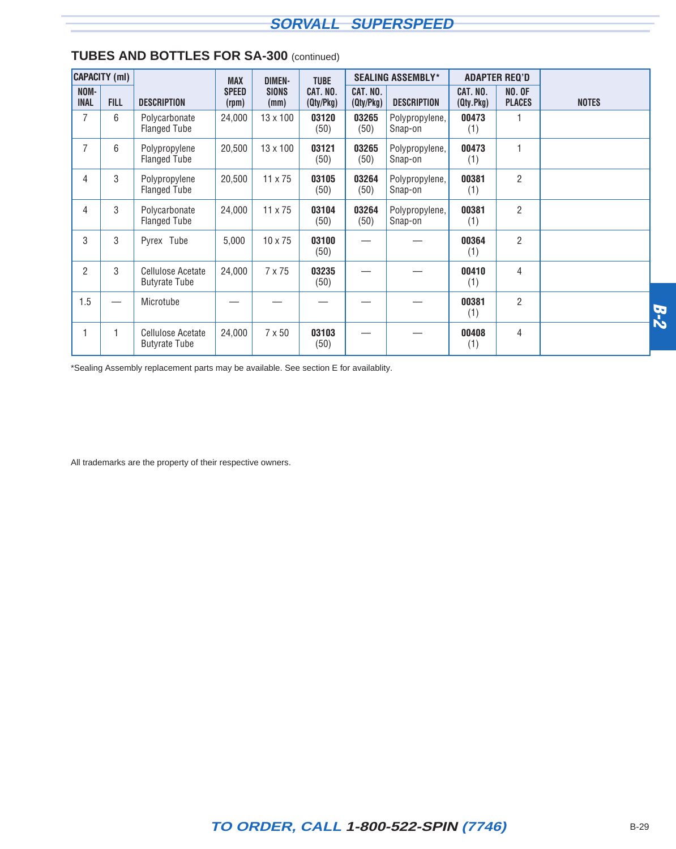|                     | <b>CAPACITY</b> (ml) |                                                  | <b>MAX</b>            | <b>DIMEN-</b>        | <b>TUBE</b>           |                       | <b>SEALING ASSEMBLY*</b>  |                       | <b>ADAPTER REQ'D</b>           |              |            |
|---------------------|----------------------|--------------------------------------------------|-----------------------|----------------------|-----------------------|-----------------------|---------------------------|-----------------------|--------------------------------|--------------|------------|
| NOM-<br><b>INAL</b> | <b>FILL</b>          | <b>DESCRIPTION</b>                               | <b>SPEED</b><br>(rpm) | <b>SIONS</b><br>(mm) | CAT. NO.<br>(Qty/Pkg) | CAT. NO.<br>(Qty/Pkg) | <b>DESCRIPTION</b>        | CAT. NO.<br>(Qty.Pkg) | <b>NO. OF</b><br><b>PLACES</b> | <b>NOTES</b> |            |
|                     | 6                    | Polycarbonate<br><b>Flanged Tube</b>             | 24,000                | 13 x 100             | 03120<br>(50)         | 03265<br>(50)         | Polypropylene,<br>Snap-on | 00473<br>(1)          |                                |              |            |
| $\overline{7}$      | 6                    | Polypropylene<br><b>Flanged Tube</b>             | 20,500                | $13 \times 100$      | 03121<br>(50)         | 03265<br>(50)         | Polypropylene,<br>Snap-on | 00473<br>(1)          | 1                              |              |            |
| 4                   | 3                    | Polypropylene<br><b>Flanged Tube</b>             | 20,500                | 11 x 75              | 03105<br>(50)         | 03264<br>(50)         | Polypropylene,<br>Snap-on | 00381<br>(1)          | $\overline{2}$                 |              |            |
| 4                   | 3                    | Polycarbonate<br><b>Flanged Tube</b>             | 24,000                | 11 x 75              | 03104<br>(50)         | 03264<br>(50)         | Polypropylene,<br>Snap-on | 00381<br>(1)          | $\overline{2}$                 |              |            |
| 3                   | 3                    | Pyrex <sup>®</sup> Tube                          | 5,000                 | $10 \times 75$       | 03100<br>(50)         |                       |                           | 00364<br>(1)          | $\overline{2}$                 |              |            |
| $\overline{2}$      | 3                    | Cellulose Acetate<br><b>Butyrate Tube</b>        | 24,000                | 7 x 75               | 03235<br>(50)         |                       |                           | 00410<br>(1)          | 4                              |              |            |
| 1.5                 |                      | Microtube                                        |                       |                      |                       |                       |                           | 00381<br>(1)          | $\overline{2}$                 |              | <b>B-2</b> |
|                     | 1                    | <b>Cellulose Acetate</b><br><b>Butyrate Tube</b> | 24,000                | $7 \times 50$        | 03103<br>(50)         |                       |                           | 00408<br>(1)          | 4                              |              |            |

#### **TUBES AND BOTTLES FOR SA-300** (continued)

\*Sealing Assembly replacement parts may be available. See section E for availablity.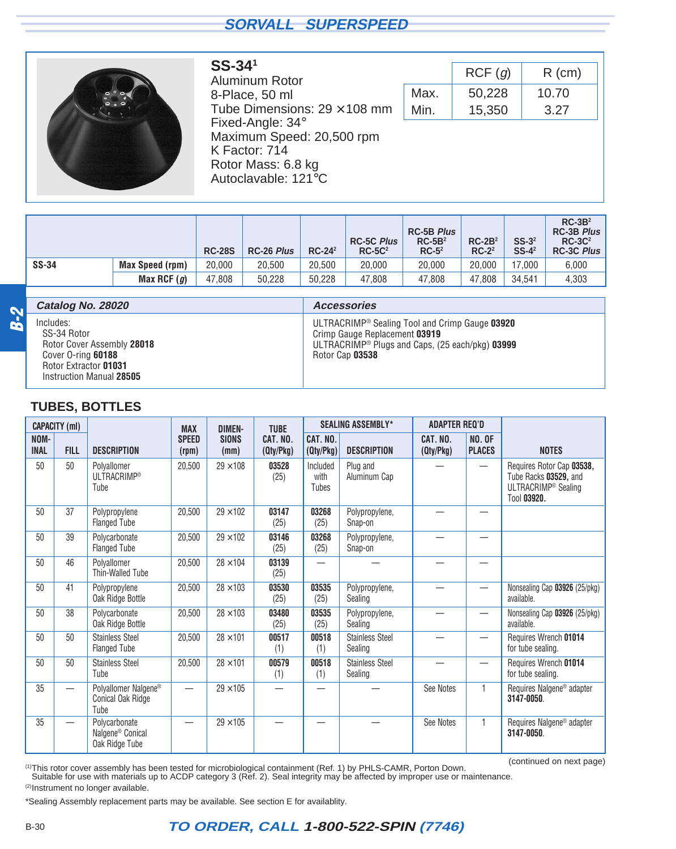<span id="page-11-0"></span>

#### **SS-341** Aluminum Rotor 8-Place, 50 ml Tube Dimensions:  $29 \times 108$  mm Fixed-Angle: 34° Maximum Speed: 20,500 rpm K Factor: 714 Rotor Mass: 6.8 kg Autoclavable: 121°C

|      | RCF(g) | $R$ (cm) |
|------|--------|----------|
| Max. | 50,228 | 10.70    |
| Min. | 15,350 | 3.27     |

|              |                        | <b>RC-28S</b> | RC-26 Plus | $RC-242$ | <b>RC-5C Plus</b><br>$RC-5C2$ | <b>RC-5B Plus</b><br>$RC-5B2$<br>$RC-5^2$ | $RC-2B2$<br>$RC-2^2$ | $SS-32$<br>$SS-4^2$ | $RC-3B2$<br><b>RC-3B Plus</b><br>$RC-3C2$<br><b>RC-3C Plus</b> |
|--------------|------------------------|---------------|------------|----------|-------------------------------|-------------------------------------------|----------------------|---------------------|----------------------------------------------------------------|
| <b>SS-34</b> | <b>Max Speed (rpm)</b> | 20.000        | 20.500     | 20.500   | 20,000                        | 20,000                                    | 20,000               | 17.000              | 6.000                                                          |
|              | Max RCF $(g)$          | 47.808        | 50.228     | 50.228   | 47.808                        | 47.808                                    | 47.808               | 34.541              | 4,303                                                          |

| N   | Catalog No. 28020                                                                                                                 | <b>Accessories</b>                                                                                                                                                                     |
|-----|-----------------------------------------------------------------------------------------------------------------------------------|----------------------------------------------------------------------------------------------------------------------------------------------------------------------------------------|
| ВŘ. | Includes:<br>SS-34 Rotor<br>Rotor Cover Assembly 28018<br>Cover O-ring 60188<br>Rotor Extractor 01031<br>Instruction Manual 28505 | ULTRACRIMP <sup>®</sup> Sealing Tool and Crimp Gauge 03920<br>Crimp Gauge Replacement 03919<br>ULTRACRIMP <sup>®</sup> Plugs and Caps, $(25$ each/pkg) <b>03999</b><br>Rotor Cap 03538 |

## **TUBES, BOTTLES**

|                     | <b>CAPACITY (ml)</b>     |                                                                 | <b>MAX</b>            | <b>DIMEN-</b>        | <b>TUBE</b>           |                           | <b>SEALING ASSEMBLY*</b>          | <b>ADAPTER REQ'D</b>  |                                |                                                                                                      |
|---------------------|--------------------------|-----------------------------------------------------------------|-----------------------|----------------------|-----------------------|---------------------------|-----------------------------------|-----------------------|--------------------------------|------------------------------------------------------------------------------------------------------|
| NOM-<br><b>INAL</b> | <b>FILL</b>              | <b>DESCRIPTION</b>                                              | <b>SPEED</b><br>(rpm) | <b>SIONS</b><br>(mm) | CAT. NO.<br>(Qty/Pkg) | CAT. NO.<br>(Qty/Pkg)     | <b>DESCRIPTION</b>                | CAT. NO.<br>(Qty/Pkg) | <b>NO. OF</b><br><b>PLACES</b> | <b>NOTES</b>                                                                                         |
| 50                  | 50                       | Polvallomer<br><b>ULTRACRIMP®</b><br>Tube                       | 20,500                | $29 \times 108$      | 03528<br>(25)         | Included<br>with<br>Tubes | Plug and<br>Aluminum Cap          |                       |                                | Requires Rotor Cap 03538,<br>Tube Racks 03529, and<br>ULTRACRIMP <sup>®</sup> Sealing<br>Tool 03920. |
| 50                  | 37                       | Polypropylene<br><b>Flanged Tube</b>                            | 20,500                | $29 \times 102$      | 03147<br>(25)         | 03268<br>(25)             | Polypropylene,<br>Snap-on         |                       |                                |                                                                                                      |
| 50                  | 39                       | Polycarbonate<br><b>Flanged Tube</b>                            | 20,500                | $29 \times 102$      | 03146<br>(25)         | 03268<br>(25)             | Polypropylene,<br>Snap-on         |                       |                                |                                                                                                      |
| 50                  | 46                       | Polyallomer<br>Thin-Walled Tube                                 | 20,500                | $28 \times 104$      | 03139<br>(25)         |                           |                                   |                       |                                |                                                                                                      |
| 50                  | 41                       | Polypropylene<br>Oak Ridge Bottle                               | 20,500                | $28 \times 103$      | 03530<br>(25)         | 03535<br>(25)             | Polypropylene,<br>Sealing         |                       |                                | Nonsealing Cap 03926 (25/pkg)<br>available.                                                          |
| 50                  | 38                       | Polycarbonate<br>Oak Ridge Bottle                               | 20,500                | $28 \times 103$      | 03480<br>(25)         | 03535<br>(25)             | Polypropylene,<br>Sealing         |                       |                                | Nonsealing Cap 03926 (25/pkg)<br>available.                                                          |
| 50                  | 50                       | <b>Stainless Steel</b><br><b>Flanged Tube</b>                   | 20,500                | $28 \times 101$      | 00517<br>(1)          | 00518<br>(1)              | <b>Stainless Steel</b><br>Sealing |                       |                                | Requires Wrench 01014<br>for tube sealing.                                                           |
| 50                  | 50                       | <b>Stainless Steel</b><br>Tube                                  | 20,500                | $28 \times 101$      | 00579<br>(1)          | 00518<br>(1)              | <b>Stainless Steel</b><br>Sealing |                       |                                | Requires Wrench 01014<br>for tube sealing.                                                           |
| 35                  |                          | Polyallomer Nalgene®<br>Conical Oak Ridge<br>Tube               |                       | $29 \times 105$      |                       |                           |                                   | See Notes             | $\mathbf{1}$                   | Requires Nalgene <sup>®</sup> adapter<br>3147-0050                                                   |
| 35                  | $\overline{\phantom{0}}$ | Polycarbonate<br>Nalgene <sup>®</sup> Conical<br>Oak Ridge Tube |                       | $29 \times 105$      |                       |                           |                                   | See Notes             |                                | Requires Nalgene <sup>®</sup> adapter<br>3147-0050.                                                  |

(1)This rotor cover assembly has been tested for microbiological containment (Ref. 1) by PHLS-CAMR, Porton Down.<br>Suitable for use with materials up to ACDP category 3 (Ref. 2). Seal integrity may be affected by improper us

(continued on next page)

(2)Instrument no longer available.

\*Sealing Assembly replacement parts may be available. See section E for availablity.

## B-30 **TO ORDER, CALL 1-800-522-SPIN (7746)**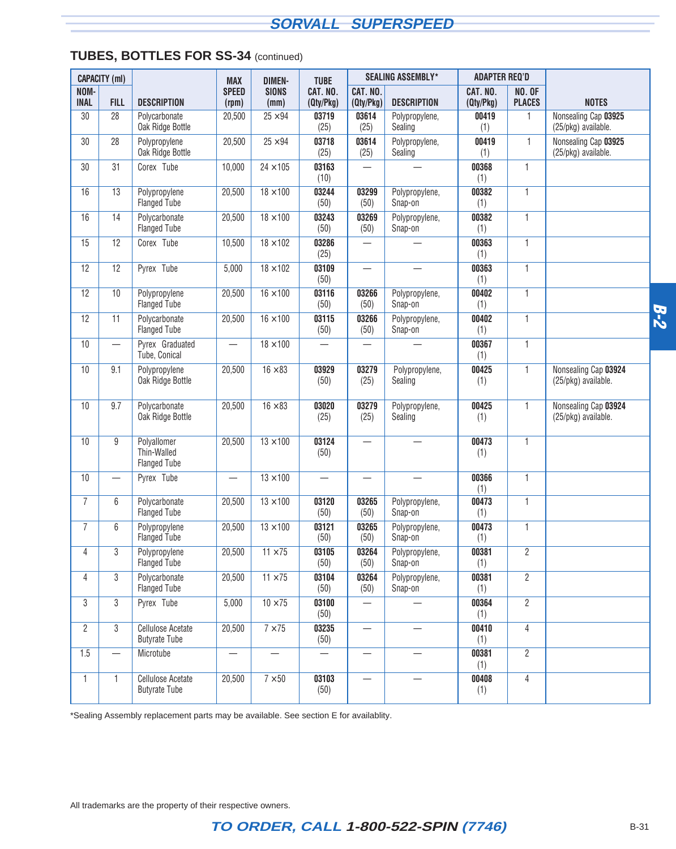### **TUBES, BOTTLES FOR SS-34** (continued)

|                     | <b>CAPACITY (ml)</b>     |                                                   | <b>MAX</b>               | <b>DIMEN-</b>        | <b>TUBE</b>                      |                          | <b>SEALING ASSEMBLY*</b>  | <b>ADAPTER REQ'D</b>  |                                |                                             |       |
|---------------------|--------------------------|---------------------------------------------------|--------------------------|----------------------|----------------------------------|--------------------------|---------------------------|-----------------------|--------------------------------|---------------------------------------------|-------|
| NOM-<br><b>INAL</b> | <b>FILL</b>              | <b>DESCRIPTION</b>                                | <b>SPEED</b><br>(rpm)    | <b>SIONS</b><br>(mm) | CAT. NO.<br>(Qty/Pkg)            | CAT. NO.<br>(Qty/Pkg)    | <b>DESCRIPTION</b>        | CAT. NO.<br>(Qty/Pkg) | <b>NO. OF</b><br><b>PLACES</b> | <b>NOTES</b>                                |       |
| 30                  | 28                       | Polycarbonate<br>Oak Ridge Bottle                 | 20,500                   | $25 \times 94$       | 03719<br>(25)                    | 03614<br>(25)            | Polypropylene,<br>Sealing | 00419<br>(1)          | 1                              | Nonsealing Cap 03925<br>(25/pkg) available. |       |
| 30                  | 28                       | Polypropylene<br>Oak Ridge Bottle                 | 20,500                   | $25 \times 94$       | 03718<br>(25)                    | 03614<br>(25)            | Polypropylene,<br>Sealing | 00419<br>(1)          | 1                              | Nonsealing Cap 03925<br>(25/pkg) available. |       |
| 30                  | 31                       | Corex <sup>®</sup> Tube                           | 10,000                   | $24 \times 105$      | 03163<br>(10)                    |                          |                           | 00368<br>(1)          | 1                              |                                             |       |
| 16                  | 13                       | Polypropylene<br><b>Flanged Tube</b>              | 20,500                   | $18 \times 100$      | 03244<br>(50)                    | 03299<br>(50)            | Polypropylene,<br>Snap-on | 00382<br>(1)          | $\mathbf{1}$                   |                                             |       |
| 16                  | 14                       | Polycarbonate<br><b>Flanged Tube</b>              | 20,500                   | $18 \times 100$      | 03243<br>(50)                    | 03269<br>(50)            | Polypropylene,<br>Snap-on | 00382<br>(1)          | $\mathbf{1}$                   |                                             |       |
| 15                  | 12                       | Corex <sup>®</sup> Tube                           | 10,500                   | $18 \times 102$      | 03286<br>(25)                    | $\overline{\phantom{0}}$ |                           | 00363<br>(1)          | 1                              |                                             |       |
| 12                  | 12                       | Pyrex <sup>®</sup> Tube                           | 5,000                    | $18 \times 102$      | 03109<br>(50)                    | $\overline{\phantom{0}}$ |                           | 00363<br>(1)          | $\mathbf{1}$                   |                                             |       |
| 12                  | 10                       | Polypropylene<br><b>Flanged Tube</b>              | 20,500                   | $16 \times 100$      | 03116<br>(50)                    | 03266<br>(50)            | Polypropylene,<br>Snap-on | 00402<br>(1)          | $\mathbf{1}$                   |                                             |       |
| 12                  | 11                       | Polycarbonate<br><b>Flanged Tube</b>              | 20,500                   | $16 \times 100$      | 03115<br>(50)                    | 03266<br>(50)            | Polypropylene,<br>Snap-on | 00402<br>(1)          | $\mathbf{1}$                   |                                             | $B-2$ |
| 10                  |                          | Pyrex <sup>®</sup> Graduated<br>Tube, Conical     | $\overline{\phantom{0}}$ | $18 \times 100$      |                                  |                          |                           | 00367<br>(1)          | $\mathbf{1}$                   |                                             |       |
| 10                  | 9.1                      | Polypropylene<br>Oak Ridge Bottle                 | 20,500                   | $16 \times 83$       | 03929<br>(50)                    | 03279<br>(25)            | Polypropylene,<br>Sealing | 00425<br>(1)          | $\mathbf{1}$                   | Nonsealing Cap 03924<br>(25/pkg) available. |       |
| 10                  | 9.7                      | Polycarbonate<br>Oak Ridge Bottle                 | 20,500                   | $16 \times 83$       | 03020<br>(25)                    | 03279<br>(25)            | Polypropylene,<br>Sealing | 00425<br>(1)          | 1                              | Nonsealing Cap 03924<br>(25/pkg) available. |       |
| 10                  | 9                        | Polyallomer<br>Thin-Walled<br><b>Flanged Tube</b> | 20,500                   | $13 \times 100$      | 03124<br>(50)                    |                          |                           | 00473<br>(1)          | $\mathbf{1}$                   |                                             |       |
| 10                  | $\overline{\phantom{0}}$ | Pyrex <sup>®</sup> Tube                           |                          | $13 \times 100$      | $\overbrace{\phantom{12322111}}$ | $\overline{\phantom{0}}$ | $\overline{\phantom{0}}$  | 00366<br>(1)          | $\mathbf{1}$                   |                                             |       |
| $\overline{7}$      | 6                        | Polycarbonate<br><b>Flanged Tube</b>              | 20,500                   | $13 \times 100$      | 03120<br>(50)                    | 03265<br>(50)            | Polypropylene,<br>Snap-on | 00473<br>(1)          | $\mathbf{1}$                   |                                             |       |
| $\overline{7}$      | 6                        | Polypropylene<br><b>Flanged Tube</b>              | 20,500                   | $13 \times 100$      | 03121<br>(50)                    | 03265<br>(50)            | Polypropylene,<br>Snap-on | 00473<br>(1)          | 1                              |                                             |       |
| 4                   | 3                        | Polypropylene<br><b>Flanged Tube</b>              | 20,500                   | $11 \times 75$       | 03105<br>(50)                    | 03264<br>(50)            | Polypropylene,<br>Snap-on | 00381<br>(1)          | $\overline{2}$                 |                                             |       |
| 4                   | 3                        | Polycarbonate<br><b>Flanged Tube</b>              | 20,500                   | $11 \times 75$       | 03104<br>(50)                    | 03264<br>(50)            | Polypropylene,<br>Snap-on | 00381<br>(1)          | $\overline{2}$                 |                                             |       |
| 3                   | 3                        | Pyrex <sup>®</sup> Tube                           | 5,000                    | $10 \times 75$       | 03100<br>(50)                    |                          |                           | 00364<br>(1)          | $\overline{2}$                 |                                             |       |
| $\overline{2}$      | 3                        | Cellulose Acetate<br><b>Butyrate Tube</b>         | 20,500                   | $7 \times 75$        | 03235<br>(50)                    |                          |                           | 00410<br>(1)          | $\overline{4}$                 |                                             |       |
| 1.5                 | $\overline{\phantom{0}}$ | Microtube                                         | $\overline{\phantom{0}}$ |                      | $\overline{\phantom{0}}$         | $\overline{\phantom{0}}$ |                           | 00381<br>(1)          | $\overline{2}$                 |                                             |       |
| 1                   | $\mathbf{1}$             | <b>Cellulose Acetate</b><br><b>Butyrate Tube</b>  | 20,500                   | $7 \times 50$        | 03103<br>(50)                    | $\overline{\phantom{0}}$ | $\overline{\phantom{0}}$  | 00408<br>(1)          | 4                              |                                             |       |

\*Sealing Assembly replacement parts may be available. See section E for availablity.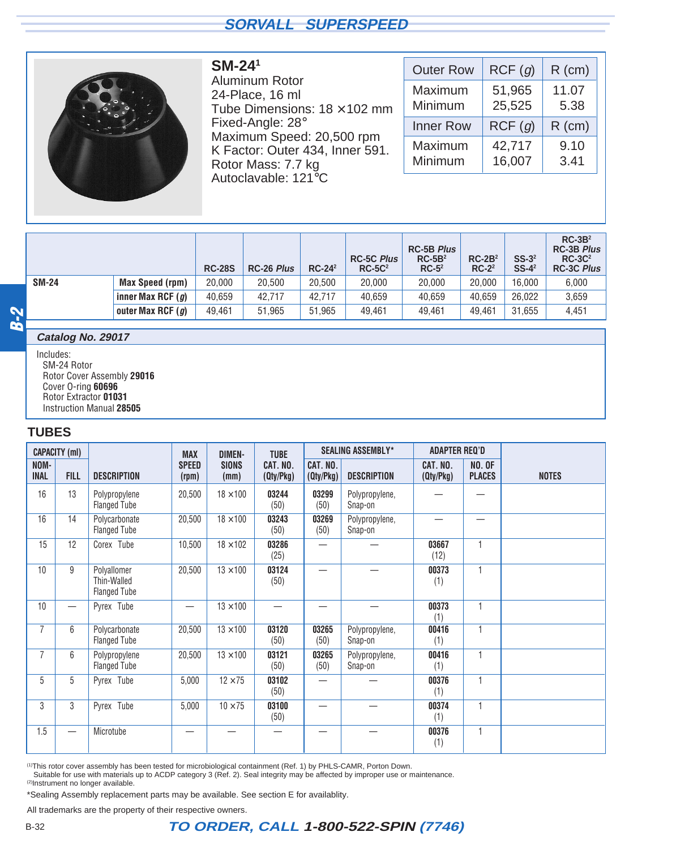<span id="page-13-0"></span>

Aluminum Rotor 24-Place, 16 ml Tube Dimensions:  $18 \times 102$  mm Fixed-Angle: 28° Maximum Speed: 20,500 rpm K Factor: Outer 434, Inner 591. Rotor Mass: 7.7 kg Autoclavable: 121°C

**SM-241**

| <b>Outer Row</b> | RCF(g) | $R$ (cm) |
|------------------|--------|----------|
| Maximum          | 51,965 | 11.07    |
| Minimum          | 25,525 | 5.38     |
| <b>Inner Row</b> | RCF(g) | $R$ (cm) |
| Maximum          | 42,717 | 9.10     |
| Minimum          | 16,007 | 3.41     |

|           |              |                     | <b>RC-28S</b> | <b>RC-26 Plus</b> | $RC-242$ | <b>RC-5C Plus</b><br>$RC-5C2$ | <b>RC-5B Plus</b><br>$RC-5B2$<br>$RC-52$ | $RC-2B2$<br>$RC-22$ | $SS-3^2$<br>$SS-4^2$ | $RC-3B2$<br><b>RC-3B Plus</b><br>$RC-3C2$<br><b>RC-3C Plus</b> |
|-----------|--------------|---------------------|---------------|-------------------|----------|-------------------------------|------------------------------------------|---------------------|----------------------|----------------------------------------------------------------|
|           | <b>SM-24</b> | Max Speed (rpm)     | 20.000        | 20,500            | 20,500   | 20,000                        | 20,000                                   | 20,000              | 16.000               | 6,000                                                          |
|           |              | inner Max RCF $(g)$ | 40.659        | 42.717            | 42.717   | 40,659                        | 40,659                                   | 40,659              | 26,022               | 3,659                                                          |
| M         |              | outer Max RCF $(g)$ | 49.461        | 51.965            | 51.965   | 49.461                        | 49.461                                   | 49,461              | 31,655               | 4,451                                                          |
| <b>BA</b> |              |                     |               |                   |          |                               |                                          |                     |                      |                                                                |

#### **Catalog No. 29017**

Includes: SM-24 Rotor Rotor Cover Assembly **29016** Cover O-ring **60696** Rotor Extractor **01031** Instruction Manual **28505**

#### **TUBES**

|                     | <b>CAPACITY (ml)</b>     |                                                   | <b>MAX</b>            | <b>DIMEN-</b>        | <b>TUBE</b>           |                       | <b>SEALING ASSEMBLY*</b>  | <b>ADAPTER REQ'D</b>  |                                |              |
|---------------------|--------------------------|---------------------------------------------------|-----------------------|----------------------|-----------------------|-----------------------|---------------------------|-----------------------|--------------------------------|--------------|
| NOM-<br><b>INAL</b> | <b>FILL</b>              | <b>DESCRIPTION</b>                                | <b>SPEED</b><br>(rpm) | <b>SIONS</b><br>(mm) | CAT. NO.<br>(Qty/Pkg) | CAT. NO.<br>(Qty/Pkg) | <b>DESCRIPTION</b>        | CAT. NO.<br>(Qty/Pkg) | <b>NO. OF</b><br><b>PLACES</b> | <b>NOTES</b> |
| 16                  | 13                       | Polypropylene<br><b>Flanged Tube</b>              | 20,500                | $18 \times 100$      | 03244<br>(50)         | 03299<br>(50)         | Polypropylene,<br>Snap-on |                       |                                |              |
| 16                  | 14                       | Polycarbonate<br><b>Flanged Tube</b>              | 20,500                | $18 \times 100$      | 03243<br>(50)         | 03269<br>(50)         | Polypropylene,<br>Snap-on |                       | $\overline{\phantom{0}}$       |              |
| 15                  | 12                       | Corex <sup>®</sup> Tube                           | 10,500                | $18 \times 102$      | 03286<br>(25)         |                       |                           | 03667<br>(12)         | $\mathbf{1}$                   |              |
| 10                  | 9                        | Polyallomer<br>Thin-Walled<br><b>Flanged Tube</b> | 20,500                | $13 \times 100$      | 03124<br>(50)         |                       |                           | 00373<br>(1)          | $\mathbf{1}$                   |              |
| 10                  | $\overline{\phantom{0}}$ | Pyrex <sup>®</sup> Tube                           |                       | $13 \times 100$      | —                     |                       |                           | 00373<br>(1)          | $\mathbf{1}$                   |              |
| $\overline{7}$      | 6                        | Polycarbonate<br><b>Flanged Tube</b>              | 20,500                | $13 \times 100$      | 03120<br>(50)         | 03265<br>(50)         | Polypropylene,<br>Snap-on | 00416<br>(1)          | $\mathbf{1}$                   |              |
| $\overline{7}$      | 6                        | Polypropylene<br><b>Flanged Tube</b>              | 20,500                | $13 \times 100$      | 03121<br>(50)         | 03265<br>(50)         | Polypropylene,<br>Snap-on | 00416<br>(1)          | $\mathbf{1}$                   |              |
| 5                   | 5                        | Pyrex <sup>®</sup> Tube                           | 5,000                 | $12 \times 75$       | 03102<br>(50)         |                       |                           | 00376<br>(1)          | $\mathbf{1}$                   |              |
| 3                   | 3                        | Pyrex <sup>®</sup> Tube                           | 5,000                 | $10 \times 75$       | 03100<br>(50)         |                       |                           | 00374<br>(1)          | 1                              |              |
| 1.5                 |                          | Microtube                                         |                       |                      |                       |                       |                           | 00376<br>(1)          | 1                              |              |

(1)This rotor cover assembly has been tested for microbiological containment (Ref. 1) by PHLS-CAMR, Porton Down.

Suitable for use with materials up to ACDP category 3 (Ref. 2). Seal integrity may be affected by improper use or maintenance.

(2)Instrument no longer available.

\*Sealing Assembly replacement parts may be available. See section E for availablity.

All trademarks are the property of their respective owners.

#### B-32 **TO ORDER, CALL 1-800-522-SPIN (7746)**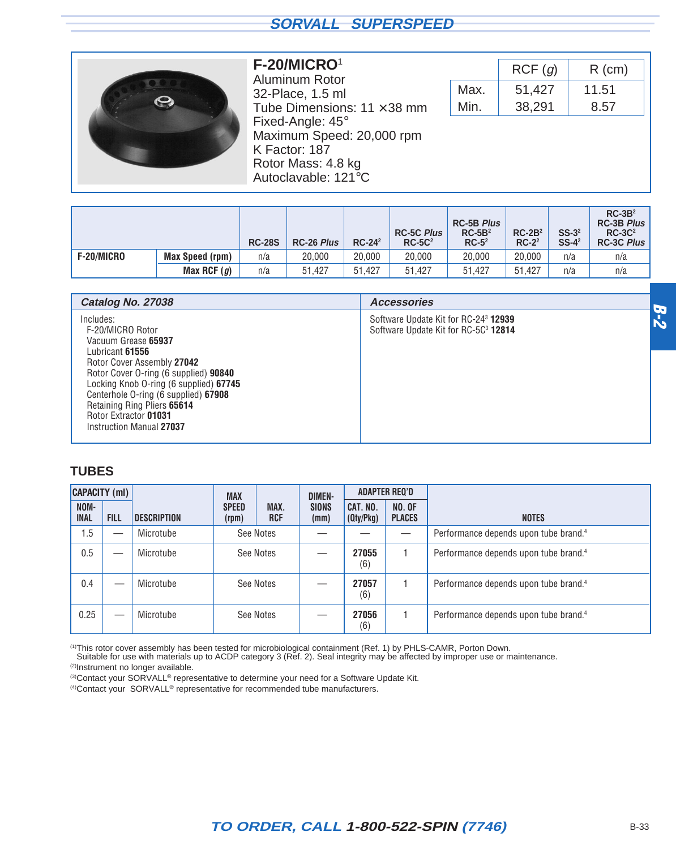<span id="page-14-0"></span>

#### **F-20/MICRO**<sup>1</sup>

Aluminum Rotor 32-Place, 1.5 ml Tube Dimensions:  $11 \times 38$  mm Fixed-Angle: 45° Maximum Speed: 20,000 rpm K Factor: 187 Rotor Mass: 4.8 kg Autoclavable: 121°C

|      | RCF(g) | $R$ (cm) |
|------|--------|----------|
| Max. | 51,427 | 11.51    |
| Min. | 38,291 | 8.57     |

|            |                 | <b>RC-28S</b> | <b>RC-26 Plus</b> | $RC-242$ | <b>RC-5C Plus</b><br>$RC-5C2$ | <b>RC-5B Plus</b><br>$RC-5B2$<br>$RC-52$ | $RC-2B2$<br>$RC-2^2$ | $SS-3^2$<br>$SS-4^2$ | $RC-3B2$<br>RC-3B Plus<br>$RC-3C2$<br>RC-3C Plus |
|------------|-----------------|---------------|-------------------|----------|-------------------------------|------------------------------------------|----------------------|----------------------|--------------------------------------------------|
| F-20/MICRO | Max Speed (rpm) | n/a           | 20,000            | 20,000   | 20,000                        | 20,000                                   | 20,000               | n/a                  | n/a                                              |
|            | Max RCF $(g)$   | n/a           | 51.427            | 51.427   | 51.427                        | 51.427                                   | 51.427               | n/a                  | n/a                                              |

| Catalog No. 27038                                                                                                                                                                                                                                                                                                    | <b>Accessories</b>                                                                                          |  |
|----------------------------------------------------------------------------------------------------------------------------------------------------------------------------------------------------------------------------------------------------------------------------------------------------------------------|-------------------------------------------------------------------------------------------------------------|--|
| Includes:<br>F-20/MICRO Rotor<br>Vacuum Grease 65937<br>Lubricant 61556<br>Rotor Cover Assembly 27042<br>Rotor Cover O-ring (6 supplied) 90840<br>Locking Knob O-ring (6 supplied) 67745<br>Centerhole O-ring (6 supplied) 67908<br>Retaining Ring Pliers 65614<br>Rotor Extractor 01031<br>Instruction Manual 27037 | Software Update Kit for RC-24 <sup>3</sup> <b>12939</b><br>Software Update Kit for RC-5C <sup>3</sup> 12814 |  |

#### **TUBES**

| <b>CAPACITY (ml)</b> |                          |                    | <b>MAX</b>            |                    | <b>DIMEN-</b>        |                       | <b>ADAPTER REQ'D</b>           |                                                   |
|----------------------|--------------------------|--------------------|-----------------------|--------------------|----------------------|-----------------------|--------------------------------|---------------------------------------------------|
| NOM-<br><b>INAL</b>  | <b>FILL</b>              | <b>DESCRIPTION</b> | <b>SPEED</b><br>(rpm) | MAX.<br><b>RCF</b> | <b>SIONS</b><br>(mm) | CAT. NO.<br>(Qty/Pkg) | <b>NO. OF</b><br><b>PLACES</b> | <b>NOTES</b>                                      |
| 1.5                  | $\overline{\phantom{0}}$ | Microtube          |                       | See Notes          |                      |                       |                                | Performance depends upon tube brand. <sup>4</sup> |
| 0.5                  | $\overline{\phantom{0}}$ | Microtube          |                       | See Notes          |                      | 27055<br>(6)          |                                | Performance depends upon tube brand. <sup>4</sup> |
| 0.4                  |                          | Microtube          |                       | See Notes          |                      | 27057<br>(6)          |                                | Performance depends upon tube brand. <sup>4</sup> |
| 0.25                 |                          | Microtube          |                       | See Notes          |                      | 27056<br>(6)          |                                | Performance depends upon tube brand. <sup>4</sup> |

<sup>(1)</sup>This rotor cover assembly has been tested for microbiological containment (Ref. 1) by PHLS-CAMR, Porton Down.<br>Suitable for use with materials up to ACDP category 3 (Ref. 2). Seal integrity may be affected by improper

(2)Instrument no longer available.

<sup>(3)</sup>Contact your SORVALL<sup>®</sup> representative to determine your need for a Software Update Kit.

(4)Contact your SORVALL® representative for recommended tube manufacturers.

## **TO ORDER, CALL 1-800-522-SPIN (7746)** B-33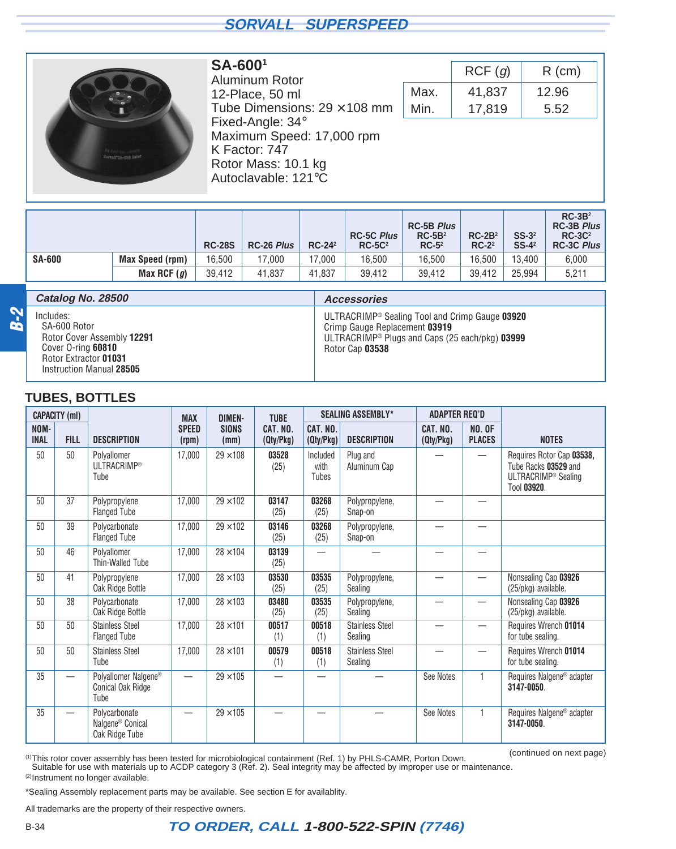<span id="page-15-0"></span>

#### **SA-6001** Aluminum Rotor 12-Place, 50 ml Tube Dimensions:  $29 \times 108$  mm Fixed-Angle: 34° Maximum Speed: 17,000 rpm K Factor: 747 Rotor Mass: 10.1 kg Autoclavable: 121°C

|      | RCF(g) | $R$ (cm) |  |  |  |
|------|--------|----------|--|--|--|
| Max. | 41,837 | 12.96    |  |  |  |
| Min. | 17,819 | 5.52     |  |  |  |

|               |                 | <b>RC-28S</b> | RC-26 Plus | $RC-242$ | <b>RC-5C Plus</b><br>$RC-5C2$ | <b>RC-5B Plus</b><br>$RC-5B2$<br>$RC-52$ | $RC-2B2$<br>$RC-22$ | $SS-32$<br>$SS-4^2$ | $RC-3B2$<br><b>RC-3B Plus</b><br>$RC-3C2$<br><b>RC-3C Plus</b> |
|---------------|-----------------|---------------|------------|----------|-------------------------------|------------------------------------------|---------------------|---------------------|----------------------------------------------------------------|
| <b>SA-600</b> | Max Speed (rpm) | 16.500        | 17,000     | 17.000   | 16.500                        | 16.500                                   | 16.500              | 13.400              | 6,000                                                          |
|               | Max RCF $(g)$   | 39,412        | 41.837     | 41.837   | 39.412                        | 39.412                                   | 39.412              | 25.994              | 5,211                                                          |

|       | Catalog No. 28500                                                                                                                  | <b>Accessories</b>                                                                                                                                                             |
|-------|------------------------------------------------------------------------------------------------------------------------------------|--------------------------------------------------------------------------------------------------------------------------------------------------------------------------------|
| $B-2$ | Includes:<br>SA-600 Rotor<br>Rotor Cover Assembly 12291<br>Cover O-ring 60810<br>Rotor Extractor 01031<br>Instruction Manual 28505 | ULTRACRIMP <sup>®</sup> Sealing Tool and Crimp Gauge 03920<br>Crimp Gauge Replacement 03919<br>ULTRACRIMP <sup>®</sup> Plugs and Caps (25 each/pkg) $03999$<br>Rotor Cap 03538 |

#### **TUBES, BOTTLES**

|                     | <b>CAPACITY (ml)</b>     |                                                                 | <b>MAX</b>               | <b>DIMEN-</b>        | <b>TUBE</b>           |                           | <b>SEALING ASSEMBLY*</b>          | <b>ADAPTER REQ'D</b>  |                                |                                                                                                     |
|---------------------|--------------------------|-----------------------------------------------------------------|--------------------------|----------------------|-----------------------|---------------------------|-----------------------------------|-----------------------|--------------------------------|-----------------------------------------------------------------------------------------------------|
| NOM-<br><b>INAL</b> | <b>FILL</b>              | <b>DESCRIPTION</b>                                              | <b>SPEED</b><br>(rpm)    | <b>SIONS</b><br>(mm) | CAT. NO.<br>(Qty/Pkg) | CAT. NO.<br>(Qty/Pkg)     | <b>DESCRIPTION</b>                | CAT. NO.<br>(Qty/Pkg) | <b>NO. OF</b><br><b>PLACES</b> | <b>NOTES</b>                                                                                        |
| 50                  | 50                       | Polvallomer<br>ULTRACRIMP®<br>Tube                              | 17,000                   | $29 \times 108$      | 03528<br>(25)         | Included<br>with<br>Tubes | Plug and<br>Aluminum Cap          |                       |                                | Requires Rotor Cap 03538,<br>Tube Racks 03529 and<br>ULTRACRIMP <sup>®</sup> Sealing<br>Tool 03920. |
| 50                  | 37                       | Polypropylene<br><b>Flanged Tube</b>                            | 17,000                   | $29 \times 102$      | 03147<br>(25)         | 03268<br>(25)             | Polypropylene,<br>Snap-on         |                       |                                |                                                                                                     |
| 50                  | 39                       | Polycarbonate<br><b>Flanged Tube</b>                            | 17,000                   | $29 \times 102$      | 03146<br>(25)         | 03268<br>(25)             | Polypropylene,<br>Snap-on         |                       |                                |                                                                                                     |
| 50                  | 46                       | Polyallomer<br>Thin-Walled Tube                                 | 17,000                   | $28 \times 104$      | 03139<br>(25)         | $\overline{\phantom{0}}$  |                                   |                       |                                |                                                                                                     |
| 50                  | 41                       | Polypropylene<br>Oak Ridge Bottle                               | 17,000                   | $28 \times 103$      | 03530<br>(25)         | 03535<br>(25)             | Polypropylene,<br>Sealing         |                       |                                | Nonsealing Cap 03926<br>(25/pkg) available.                                                         |
| 50                  | 38                       | Polycarbonate<br>Oak Ridge Bottle                               | 17,000                   | $28 \times 103$      | 03480<br>(25)         | 03535<br>(25)             | Polypropylene,<br>Sealing         |                       |                                | Nonsealing Cap 03926<br>(25/pkg) available.                                                         |
| 50                  | 50                       | <b>Stainless Steel</b><br><b>Flanged Tube</b>                   | 17,000                   | $28 \times 101$      | 00517<br>(1)          | 00518<br>(1)              | <b>Stainless Steel</b><br>Sealing |                       |                                | Requires Wrench 01014<br>for tube sealing.                                                          |
| 50                  | 50                       | <b>Stainless Steel</b><br>Tube                                  | 17,000                   | $28 \times 101$      | 00579<br>(1)          | 00518<br>(1)              | <b>Stainless Steel</b><br>Sealing |                       |                                | Requires Wrench 01014<br>for tube sealing.                                                          |
| 35                  |                          | Polyallomer Nalgene®<br>Conical Oak Ridge<br>Tube               | $\overline{\phantom{0}}$ | $29 \times 105$      |                       | —                         |                                   | See Notes             | 1                              | Requires Nalgene <sup>®</sup> adapter<br>3147-0050.                                                 |
| 35                  | $\overline{\phantom{0}}$ | Polycarbonate<br>Nalgene <sup>®</sup> Conical<br>Oak Ridge Tube |                          | $29 \times 105$      |                       |                           |                                   | See Notes             | 1                              | Requires Nalgene <sup>®</sup> adapter<br>3147-0050.                                                 |

(1)This rotor cover assembly has been tested for microbiological containment (Ref. 1) by PHLS-CAMR, Porton Down. Suitable for use with materials up to ACDP category 3 (Ref. 2). Seal integrity may be affected by improper use or maintenance. (2)Instrument no longer available.

(continued on next page)

\*Sealing Assembly replacement parts may be available. See section E for availablity.

All trademarks are the property of their respective owners.

B-34 **TO ORDER, CALL 1-800-522-SPIN (7746)**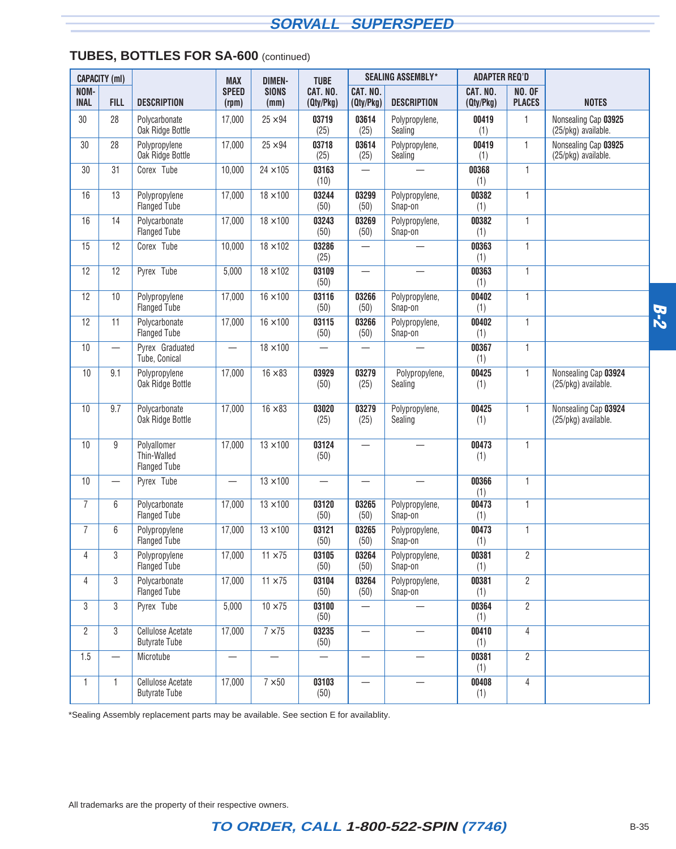#### **TUBES, BOTTLES FOR SA-600** (continued)

|                     | <b>CAPACITY (ml)</b> |                                                   | <b>MAX</b>               | <b>DIMEN-</b>           | <b>TUBE</b>           |                                  | <b>SEALING ASSEMBLY*</b>  | <b>ADAPTER REQ'D</b>  |                                |                                             |       |
|---------------------|----------------------|---------------------------------------------------|--------------------------|-------------------------|-----------------------|----------------------------------|---------------------------|-----------------------|--------------------------------|---------------------------------------------|-------|
| NOM-<br><b>INAL</b> | <b>FILL</b>          | <b>DESCRIPTION</b>                                | <b>SPEED</b><br>(rpm)    | <b>SIONS</b><br>(mm)    | CAT. NO.<br>(Qty/Pkg) | CAT. NO.<br>(Qty/Pkg)            | <b>DESCRIPTION</b>        | CAT. NO.<br>(Qty/Pkg) | <b>NO. OF</b><br><b>PLACES</b> | <b>NOTES</b>                                |       |
| 30                  | 28                   | Polycarbonate<br>Oak Ridge Bottle                 | 17,000                   | $25 \times 94$          | 03719<br>(25)         | 03614<br>(25)                    | Polypropylene,<br>Sealing | 00419<br>(1)          | $\mathbf{1}$                   | Nonsealing Cap 03925<br>(25/pkg) available. |       |
| 30                  | 28                   | Polypropylene<br>Oak Ridge Bottle                 | 17,000                   | $25 \times 94$          | 03718<br>(25)         | 03614<br>(25)                    | Polypropylene,<br>Sealing | 00419<br>(1)          | $\mathbf{1}$                   | Nonsealing Cap 03925<br>(25/pkg) available. |       |
| 30                  | 31                   | Corex <sup>®</sup> Tube                           | 10,000                   | $24 \times 105$         | 03163<br>(10)         | $\overline{\phantom{0}}$         |                           | 00368<br>(1)          | $\mathbf{1}$                   |                                             |       |
| 16                  | 13                   | Polypropylene<br><b>Flanged Tube</b>              | 17,000                   | $18 \times 100$         | 03244<br>(50)         | 03299<br>(50)                    | Polypropylene,<br>Snap-on | 00382<br>(1)          | $\mathbf{1}$                   |                                             |       |
| 16                  | 14                   | Polycarbonate<br><b>Flanged Tube</b>              | 17,000                   | $18 \times 100$         | 03243<br>(50)         | 03269<br>(50)                    | Polypropylene,<br>Snap-on | 00382<br>(1)          | $\mathbf{1}$                   |                                             |       |
| 15                  | 12                   | Corex <sup>®</sup> Tube                           | 10,000                   | $18 \times 102$         | 03286<br>(25)         |                                  |                           | 00363<br>(1)          | $\mathbf{1}$                   |                                             |       |
| 12                  | 12                   | Pyrex <sup>®</sup> Tube                           | 5,000                    | $18 \times 102$         | 03109<br>(50)         |                                  |                           | 00363<br>(1)          | $\mathbf{1}$                   |                                             |       |
| 12                  | 10                   | Polypropylene<br><b>Flanged Tube</b>              | 17,000                   | $16 \times 100$         | 03116<br>(50)         | 03266<br>(50)                    | Polypropylene,<br>Snap-on | 00402<br>(1)          | $\mathbf{1}$                   |                                             | $B-2$ |
| 12                  | 11                   | Polycarbonate<br><b>Flanged Tube</b>              | 17,000                   | $16 \times 100$         | 03115<br>(50)         | 03266<br>(50)                    | Polypropylene,<br>Snap-on | 00402<br>(1)          | $\mathbf{1}$                   |                                             |       |
| 10                  |                      | Pyrex <sup>®</sup> Graduated<br>Tube, Conical     | $\overline{\phantom{0}}$ | $18 \times 100$         |                       |                                  |                           | 00367<br>(1)          | 1                              |                                             |       |
| 10                  | 9.1                  | Polypropylene<br>Oak Ridge Bottle                 | 17,000                   | $16 \times 83$          | 03929<br>(50)         | 03279<br>(25)                    | Polypropylene,<br>Sealing | 00425<br>(1)          | 1                              | Nonsealing Cap 03924<br>(25/pkg) available. |       |
| 10                  | 9.7                  | Polycarbonate<br>Oak Ridge Bottle                 | 17,000                   | $16 \times 83$          | 03020<br>(25)         | 03279<br>(25)                    | Polypropylene,<br>Sealing | 00425<br>(1)          | $\mathbf{1}$                   | Nonsealing Cap 03924<br>(25/pkg) available. |       |
| 10                  | 9                    | Polyallomer<br>Thin-Walled<br><b>Flanged Tube</b> | 17,000                   | $13 \times 100$         | 03124<br>(50)         | $\overline{\phantom{0}}$         |                           | 00473<br>(1)          | 1                              |                                             |       |
| 10                  |                      | Pyrex <sup>®</sup> Tube                           |                          | $13 \times 100$         |                       |                                  |                           | 00366<br>(1)          | $\mathbf{1}$                   |                                             |       |
| 7                   | 6                    | Polycarbonate<br><b>Flanged Tube</b>              | 17,000                   | $13 \times 100$         | 03120<br>(50)         | 03265<br>(50)                    | Polypropylene,<br>Snap-on | 00473<br>(1)          | $\mathbf{1}$                   |                                             |       |
| 7                   | 6                    | Polypropylene<br><b>Flanged Tube</b>              | 17,000                   | $13 \times 100$         | 03121<br>(50)         | 03265<br>(50)                    | Polypropylene,<br>Snap-on | 00473<br>(1)          | $\mathbf{1}$                   |                                             |       |
| 4                   | 3                    | Polypropylene<br><b>Flanged Tube</b>              | 17,000                   | $11 \times 75$          | 03105<br>(50)         | 03264<br>(50)                    | Polypropylene,<br>Snap-on | 00381<br>(1)          | $\overline{2}$                 |                                             |       |
| 4                   | 3                    | Polycarbonate<br><b>Flanged Tube</b>              | 17,000                   | $11 \times 75$          | 03104<br>(50)         | 03264<br>(50)                    | Polypropylene,<br>Snap-on | 00381<br>(1)          | $\overline{2}$                 |                                             |       |
| 3                   | $3\phantom{.0}$      | Pyrex <sup>®</sup> Tube                           | 5,000                    | $10 \times 75$          | 03100<br>(50)         |                                  |                           | 00364<br>(1)          | $\overline{2}$                 |                                             |       |
| $\overline{2}$      | $3\phantom{.0}$      | <b>Cellulose Acetate</b><br><b>Butyrate Tube</b>  | 17,000                   | $7 \times 75$           | 03235<br>(50)         | $\overbrace{\phantom{12322111}}$ |                           | 00410<br>(1)          | $\overline{4}$                 |                                             |       |
| 1.5                 | $\qquad \qquad$      | Microtube                                         |                          | $\qquad \qquad -$       |                       |                                  |                           | 00381<br>(1)          | $\overline{2}$                 |                                             |       |
| 1                   | $\mathbf{1}$         | <b>Cellulose Acetate</b><br><b>Butyrate Tube</b>  | 17,000                   | $\frac{1}{7} \times 50$ | 03103<br>(50)         | $\overbrace{\phantom{12322111}}$ |                           | 00408<br>(1)          | 4                              |                                             |       |

\*Sealing Assembly replacement parts may be available. See section E for availablity.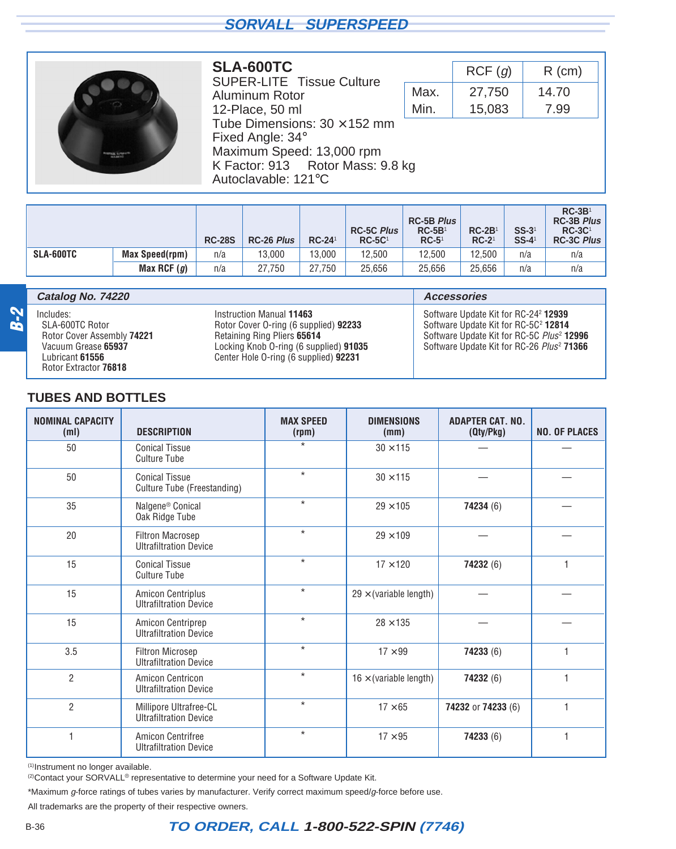<span id="page-17-0"></span>

#### **SLA-600TC**

SUPER-LITE<sup>™</sup> Tissue Culture Aluminum Rotor 12-Place, 50 ml Tube Dimensions:  $30 \times 152$  mm Fixed Angle: 34° Maximum Speed: 13,000 rpm K Factor: 913 Rotor Mass: 9.8 kg Autoclavable: 121°C

|      | RCF(g) | $R$ (cm) |  |  |  |
|------|--------|----------|--|--|--|
| Max. | 27,750 | 14.70    |  |  |  |
| Min. | 15,083 | 7.99     |  |  |  |

|           |                       | <b>RC-28S</b> | <b>RC-26 Plus</b> | $RC-241$ | <b>RC-5C Plus</b><br>$RC-5C1$ | <b>RC-5B Plus</b><br>$RC-5B1$<br>$RC-51$ | $RC-2B1$<br>$RC-21$ | $SS-31$<br>$SS-4$ <sup>1</sup> | $RC-3B1$<br><b>RC-3B Plus</b><br>$RC-3C1$<br><b>RC-3C Plus</b> |
|-----------|-----------------------|---------------|-------------------|----------|-------------------------------|------------------------------------------|---------------------|--------------------------------|----------------------------------------------------------------|
| SLA-600TC | <b>Max Speed(rpm)</b> | n/a           | 13.000            | 13.000   | 12.500                        | 12.500                                   | 12.500              | n/a                            | n/a                                                            |
|           | Max RCF $(g)$         | n/a           | 27.750            | 27.750   | 25.656                        | 25.656                                   | 25.656              | n/a                            | n/a                                                            |

|                             | Catalog No. 74220                                                                                                             |                                                                                                                                                                                     | <b>Accessories</b>                                                                                                                                                                                                     |
|-----------------------------|-------------------------------------------------------------------------------------------------------------------------------|-------------------------------------------------------------------------------------------------------------------------------------------------------------------------------------|------------------------------------------------------------------------------------------------------------------------------------------------------------------------------------------------------------------------|
| $\boldsymbol{\omega}$<br>61 | Includes:<br>SLA-600TC Rotor<br>Rotor Cover Assembly 74221<br>Vacuum Grease 65937<br>Lubricant 61556<br>Rotor Extractor 76818 | Instruction Manual 11463<br>Rotor Cover O-ring (6 supplied) 92233<br>Retaining Ring Pliers 65614<br>Locking Knob O-ring (6 supplied) 91035<br>Center Hole O-ring (6 supplied) 92231 | Software Update Kit for RC-24 <sup>2</sup> 12939<br>Software Update Kit for RC-5C <sup>2</sup> 12814<br>Software Update Kit for RC-5C Plus <sup>2</sup> 12996<br>Software Update Kit for RC-26 Plus <sup>2</sup> 71366 |

#### **TUBES AND BOTTLES**

| <b>NOMINAL CAPACITY</b><br>(m <sub>l</sub> ) | <b>DESCRIPTION</b>                                        | <b>MAX SPEED</b><br>(rpm) | <b>DIMENSIONS</b><br>(mm)     | <b>ADAPTER CAT. NO.</b><br>(Qty/Pkg) | <b>NO. OF PLACES</b> |
|----------------------------------------------|-----------------------------------------------------------|---------------------------|-------------------------------|--------------------------------------|----------------------|
| 50                                           | <b>Conical Tissue</b><br><b>Culture Tube</b>              | $\star$                   | $30 \times 115$               |                                      |                      |
| 50                                           | <b>Conical Tissue</b><br>Culture Tube (Freestanding)      | $\star$                   | $30 \times 115$               |                                      |                      |
| 35                                           | Nalgene <sup>®</sup> Conical<br>Oak Ridge Tube            | $\star$                   | $29 \times 105$               | 74234 (6)                            |                      |
| 20                                           | <b>Filtron Macrosep</b><br><b>Ultrafiltration Device</b>  | $\star$                   | $29 \times 109$               |                                      |                      |
| 15                                           | <b>Conical Tissue</b><br><b>Culture Tube</b>              | $\star$                   | $17 \times 120$               | 74232 (6)                            | 1                    |
| 15                                           | <b>Amicon Centriplus</b><br><b>Ultrafiltration Device</b> | $\star$                   | $29 \times$ (variable length) |                                      |                      |
| 15                                           | Amicon Centriprep<br><b>Ultrafiltration Device</b>        | $\star$                   | $28 \times 135$               |                                      |                      |
| 3.5                                          | <b>Filtron Microsep</b><br><b>Ultrafiltration Device</b>  | $\star$                   | $17 \times 99$                | 74233 (6)                            | $\mathbf{1}$         |
| $\overline{2}$                               | Amicon Centricon<br><b>Ultrafiltration Device</b>         | $\star$                   | $16 \times$ (variable length) | 74232 (6)                            | $\mathbf{1}$         |
| $\overline{2}$                               | Millipore Ultrafree-CL<br><b>Ultrafiltration Device</b>   | $\star$                   | $17 \times 65$                | 74232 or 74233 (6)                   | 1                    |
| 1                                            | Amicon Centrifree<br><b>Ultrafiltration Device</b>        | $\star$                   | $17 \times 95$                | 74233 (6)                            | 1                    |

(1)Instrument no longer available.

<sup>(2)</sup>Contact your SORVALL<sup>®</sup> representative to determine your need for a Software Update Kit.

\*Maximum g-force ratings of tubes varies by manufacturer. Verify correct maximum speed/g-force before use.

All trademarks are the property of their respective owners.

## B-36 **TO ORDER, CALL 1-800-522-SPIN (7746)**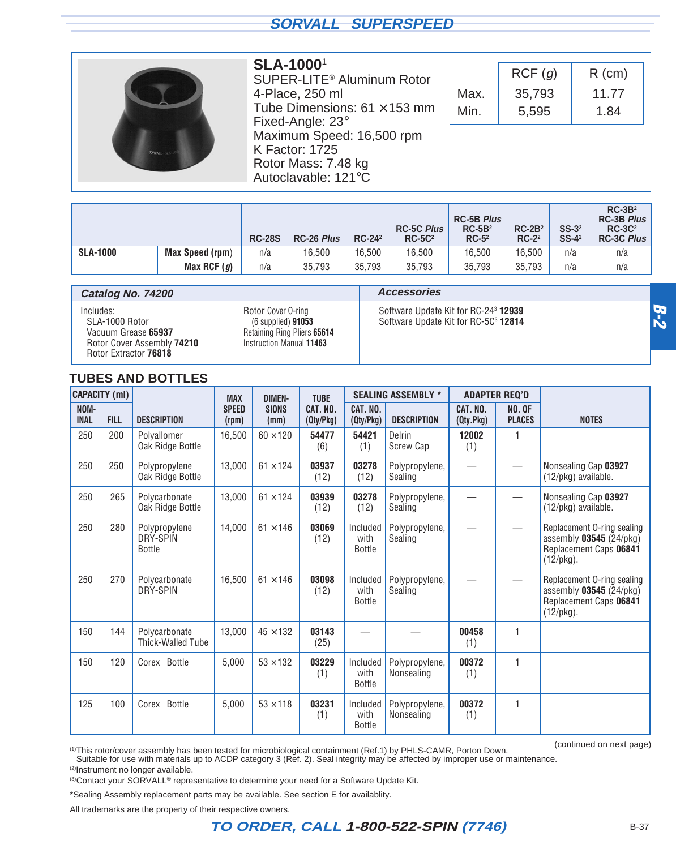<span id="page-18-0"></span>

#### **SLA-1000**<sup>1</sup>

SUPER-LITE® Aluminum Rotor 4-Place, 250 ml Tube Dimensions:  $61 \times 153$  mm Fixed-Angle: 23° Maximum Speed: 16,500 rpm K Factor: 1725 Rotor Mass: 7.48 kg Autoclavable: 121°C

|      | RCF(g) | $R$ (cm) |
|------|--------|----------|
| Max. | 35,793 | 11.77    |
| Min. | 5,595  | 1.84     |

|                 |                 | <b>RC-28S</b> | <b>RC-26 Plus</b> | $RC-24^2$ | <b>RC-5C Plus</b><br>$RC-5C2$ | <b>RC-5B Plus</b><br>$RC-5B2$<br>$RC-52$ | $RC-2B2$<br>$RC-2^2$ | $SS-32$<br>$SS-4^2$ | $RC-3B2$<br>RC-3B Plus<br>$RC-3C2$<br>RC-3C Plus |
|-----------------|-----------------|---------------|-------------------|-----------|-------------------------------|------------------------------------------|----------------------|---------------------|--------------------------------------------------|
| <b>SLA-1000</b> | Max Speed (rpm) | n/a           | 16,500            | 16.500    | 16.500                        | 16.500                                   | 16.500               | n/a                 | n/a                                              |
|                 | Max RCF $(g)$   | n/a           | 35,793            | 35.793    | 35.793                        | 35.793                                   | 35.793               | n/a                 | n/a                                              |

| Catalog No. 74200                                                                                         |                                                                                                         | <b>Accessories</b>                                                                                   |  |  |  |
|-----------------------------------------------------------------------------------------------------------|---------------------------------------------------------------------------------------------------------|------------------------------------------------------------------------------------------------------|--|--|--|
| Includes:<br>SLA-1000 Rotor<br>Vacuum Grease 65937<br>Rotor Cover Assembly 74210<br>Rotor Extractor 76818 | Rotor Cover O-ring<br>$(6$ supplied) $91053$<br>Retaining Ring Pliers 65614<br>Instruction Manual 11463 | Software Update Kit for RC-24 <sup>3</sup> 12939<br>Software Update Kit for RC-5C <sup>3</sup> 12814 |  |  |  |

#### **TUBES AND BOTTLES**

| <b>CAPACITY (ml)</b> |             |                                            | <b>MAX</b><br><b>DIMEN-</b> |                      | <b>TUBE</b>           |                                   | <b>SEALING ASSEMBLY *</b>        |                       | <b>ADAPTER REQ'D</b>           |                                                                                                 |  |
|----------------------|-------------|--------------------------------------------|-----------------------------|----------------------|-----------------------|-----------------------------------|----------------------------------|-----------------------|--------------------------------|-------------------------------------------------------------------------------------------------|--|
| NOM-<br><b>INAL</b>  | <b>FILL</b> | <b>DESCRIPTION</b>                         | <b>SPEED</b><br>(rpm)       | <b>SIONS</b><br>(mm) | CAT. NO.<br>(Qty/Pkg) | CAT. NO.<br>(Qty/Pkg)             | <b>DESCRIPTION</b>               | CAT. NO.<br>(Qty.Pkg) | <b>NO. OF</b><br><b>PLACES</b> | <b>NOTES</b>                                                                                    |  |
| 250                  | 200         | Polyallomer<br>Oak Ridge Bottle            | 16,500                      | $60 \times 120$      | 54477<br>(6)          | 54421<br>(1)                      | Delrin <sup>®</sup><br>Screw Cap | 12002<br>(1)          | 1                              |                                                                                                 |  |
| 250                  | 250         | Polypropylene<br>Oak Ridge Bottle          | 13,000                      | $61 \times 124$      | 03937<br>(12)         | 03278<br>(12)                     | Polypropylene,<br>Sealing        |                       |                                | Nonsealing Cap 03927<br>(12/pkg) available.                                                     |  |
| 250                  | 265         | Polycarbonate<br>Oak Ridge Bottle          | 13,000                      | $61 \times 124$      | 03939<br>(12)         | 03278<br>(12)                     | Polypropylene,<br>Sealing        |                       |                                | Nonsealing Cap 03927<br>(12/pkg) available.                                                     |  |
| 250                  | 280         | Polypropylene<br>DRY-SPIN<br><b>Bottle</b> | 14,000                      | $61 \times 146$      | 03069<br>(12)         | Included<br>with<br><b>Bottle</b> | Polypropylene,<br>Sealing        |                       | $\overbrace{\phantom{13333}}$  | Replacement O-ring sealing<br>assembly 03545 (24/pkg)<br>Replacement Caps 06841<br>$(12$ /pkg). |  |
| 250                  | 270         | Polycarbonate<br>DRY-SPIN                  | 16,500                      | $61 \times 146$      | 03098<br>(12)         | Included<br>with<br><b>Bottle</b> | Polypropylene,<br>Sealing        |                       |                                | Replacement O-ring sealing<br>assembly 03545 (24/pkg)<br>Replacement Caps 06841<br>$(12$ /pkg). |  |
| 150                  | 144         | Polycarbonate<br><b>Thick-Walled Tube</b>  | 13,000                      | $45 \times 132$      | 03143<br>(25)         |                                   |                                  | 00458<br>(1)          | 1                              |                                                                                                 |  |
| 150                  | 120         | Corex <sup>®</sup> Bottle                  | 5,000                       | $53 \times 132$      | 03229<br>(1)          | Included<br>with<br><b>Bottle</b> | Polypropylene,<br>Nonsealing     | 00372<br>(1)          | 1                              |                                                                                                 |  |
| 125                  | 100         | Corex <sup>®</sup> Bottle                  | 5,000                       | $53 \times 118$      | 03231<br>(1)          | Included<br>with<br><b>Bottle</b> | Polypropylene,<br>Nonsealing     | 00372<br>(1)          | $\mathbf{1}$                   |                                                                                                 |  |

(continued on next page)

(1)This rotor/cover assembly has been tested for microbiological containment (Ref.1) by PHLS-CAMR, Porton Down. Suitable for use with materials up to ACDP category 3 (Ref. 2). Seal integrity may be affected by improper use or maintenance.

(2)Instrument no longer available.

(3) Contact your SORVALL<sup>®</sup> representative to determine your need for a Software Update Kit.

\*Sealing Assembly replacement parts may be available. See section E for availablity.

All trademarks are the property of their respective owners.

**B-2**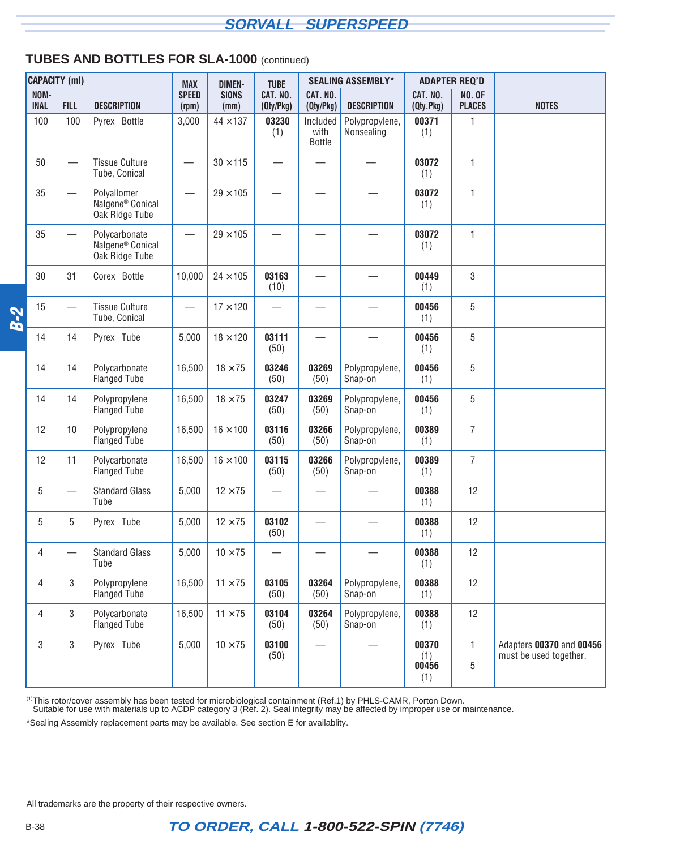#### **TUBES AND BOTTLES FOR SLA-1000** (continued)

|            | <b>CAPACITY</b> (ml) |                          |                                                                 | <b>MAX</b>               | <b>DIMEN-</b>        | <b>TUBE</b>              |                            | <b>SEALING ASSEMBLY*</b>     |                              | <b>ADAPTER REQ'D</b>           |                                                    |
|------------|----------------------|--------------------------|-----------------------------------------------------------------|--------------------------|----------------------|--------------------------|----------------------------|------------------------------|------------------------------|--------------------------------|----------------------------------------------------|
|            | NOM-<br><b>INAL</b>  | <b>FILL</b>              | <b>DESCRIPTION</b>                                              | <b>SPEED</b><br>(rpm)    | <b>SIONS</b><br>(mm) | CAT. NO.<br>(Qty/Pkg)    | CAT. NO.<br>(Qty/Pkg)      | <b>DESCRIPTION</b>           | CAT. NO.<br>(Qty.Pkg)        | <b>NO. OF</b><br><b>PLACES</b> | <b>NOTES</b>                                       |
|            | 100                  | 100                      | Pyrex <sup>®</sup> Bottle                                       | 3,000                    | $44 \times 137$      | 03230<br>(1)             | Included<br>with<br>Bottle | Polypropylene,<br>Nonsealing | 00371<br>(1)                 | 1                              |                                                    |
|            | 50                   |                          | <b>Tissue Culture</b><br>Tube, Conical                          | $\overline{\phantom{0}}$ | $30 \times 115$      |                          |                            |                              | 03072<br>(1)                 | 1                              |                                                    |
|            | 35                   | $\overline{\phantom{0}}$ | Polyallomer<br>Nalgene <sup>®</sup> Conical<br>Oak Ridge Tube   |                          | $29 \times 105$      |                          |                            |                              | 03072<br>(1)                 | 1                              |                                                    |
|            | 35                   |                          | Polycarbonate<br>Nalgene <sup>®</sup> Conical<br>Oak Ridge Tube |                          | $29 \times 105$      |                          |                            |                              | 03072<br>(1)                 | 1                              |                                                    |
|            | 30                   | 31                       | Corex <sup>®</sup> Bottle                                       | 10,000                   | $24 \times 105$      | 03163<br>(10)            |                            |                              | 00449<br>(1)                 | 3                              |                                                    |
| <b>B-2</b> | 15                   | $\overline{\phantom{0}}$ | <b>Tissue Culture</b><br>Tube, Conical                          |                          | $17 \times 120$      | $\overline{\phantom{0}}$ |                            |                              | 00456<br>(1)                 | 5                              |                                                    |
|            | 14                   | 14                       | Pyrex <sup>®</sup> Tube                                         | 5,000                    | $18 \times 120$      | 03111<br>(50)            |                            |                              | 00456<br>(1)                 | 5                              |                                                    |
|            | 14                   | 14                       | Polycarbonate<br><b>Flanged Tube</b>                            | 16,500                   | $18 \times 75$       | 03246<br>(50)            | 03269<br>(50)              | Polypropylene,<br>Snap-on    | 00456<br>(1)                 | 5                              |                                                    |
|            | 14                   | 14                       | Polypropylene<br><b>Flanged Tube</b>                            | 16,500                   | $18 \times 75$       | 03247<br>(50)            | 03269<br>(50)              | Polypropylene,<br>Snap-on    | 00456<br>(1)                 | 5                              |                                                    |
|            | 12                   | 10                       | Polypropylene<br><b>Flanged Tube</b>                            | 16,500                   | $16 \times 100$      | 03116<br>(50)            | 03266<br>(50)              | Polypropylene,<br>Snap-on    | 00389<br>(1)                 | $\overline{7}$                 |                                                    |
|            | 12                   | 11                       | Polycarbonate<br><b>Flanged Tube</b>                            | 16,500                   | $16 \times 100$      | 03115<br>(50)            | 03266<br>(50)              | Polypropylene,<br>Snap-on    | 00389<br>(1)                 | $\overline{7}$                 |                                                    |
|            | 5                    | $\overline{\phantom{0}}$ | <b>Standard Glass</b><br>Tube                                   | 5,000                    | $12 \times 75$       |                          |                            |                              | 00388<br>(1)                 | 12                             |                                                    |
|            | 5                    | 5                        | Pyrex <sup>®</sup> Tube                                         | 5,000                    | $12 \times 75$       | 03102<br>(50)            |                            |                              | 00388<br>(1)                 | 12                             |                                                    |
|            | 4                    |                          | <b>Standard Glass</b><br>Tube                                   | 5,000                    | $10\times75$         |                          |                            |                              | 00388<br>(1)                 | 12                             |                                                    |
|            | $\overline{4}$       | 3                        | Polypropylene<br>Flanged Tube                                   | 16,500                   | $11 \times 75$       | 03105<br>(50)            | 03264<br>(50)              | Polypropylene,<br>Snap-on    | 00388<br>(1)                 | 12                             |                                                    |
|            | $\overline{4}$       | 3                        | Polycarbonate<br><b>Flanged Tube</b>                            | 16,500                   | $11 \times 75$       | 03104<br>(50)            | 03264<br>(50)              | Polypropylene,<br>Snap-on    | 00388<br>(1)                 | 12                             |                                                    |
|            | 3                    | 3                        | Pyrex <sup>®</sup> Tube                                         | 5,000                    | $10 \times 75$       | 03100<br>(50)            |                            |                              | 00370<br>(1)<br>00456<br>(1) | 1<br>5                         | Adapters 00370 and 00456<br>must be used together. |

<sup>(1)</sup>This rotor/cover assembly has been tested for microbiological containment (Ref.1) by PHLS-CAMR, Porton Down.<br>Suitable for use with materials up to ACDP category 3 (Ref. 2). Seal integrity may be affected by improper u

\*Sealing Assembly replacement parts may be available. See section E for availablity.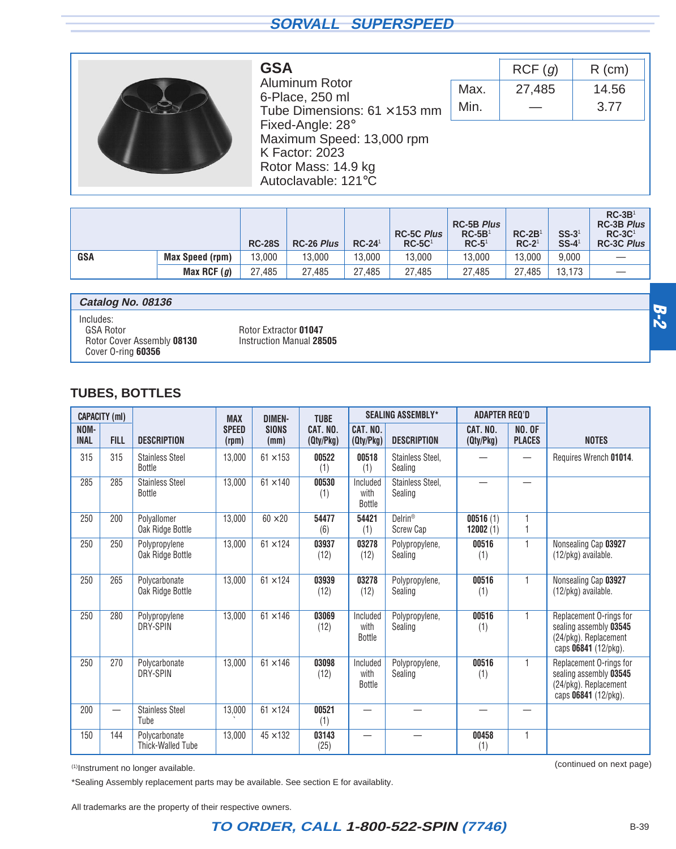<span id="page-20-0"></span>

| GSA                                 |
|-------------------------------------|
| Aluminum Rotor                      |
| 6-Place, 250 ml                     |
| Tube Dimensions: $61 \times 153$ mm |
| Fixed-Angle: $28^\circ$             |
| Maximum Speed: 13,000 rpm           |
| K Factor: 2023                      |
| Rotor Mass: 14.9 kg                 |
| Autoclavable: 121°C                 |
|                                     |

|      | RCF(q) | $R$ (cm) |
|------|--------|----------|
| Max. | 27,485 | 14.56    |
| Min. |        | 3.77     |

|            |                        | <b>RC-28S</b> | <b>RC-26 Plus</b> | $RC-241$ | <b>RC-5C Plus</b><br>$RC-5C1$ | <b>RC-5B Plus</b><br>$RC-5B1$<br>$RC-51$ | $RC-2B1$<br>$RC-21$ | $SS-31$<br>$SS-4$ <sup>1</sup> | $RC-3B1$<br><b>RC-3B Plus</b><br>$RC-3C1$<br><b>RC-3C Plus</b> |
|------------|------------------------|---------------|-------------------|----------|-------------------------------|------------------------------------------|---------------------|--------------------------------|----------------------------------------------------------------|
| <b>GSA</b> | <b>Max Speed (rpm)</b> | 13,000        | 13,000            | 13.000   | 13.000                        | 13.000                                   | 13.000              | 9.000                          |                                                                |
|            | Max RCF $(g)$          | 27.485        | 27.485            | 27.485   | 27.485                        | 27.485                                   | 27.485              | 13.173                         |                                                                |

| Catalog No. 08136                                           |                                                   |  |
|-------------------------------------------------------------|---------------------------------------------------|--|
| Includes:<br><b>GSA Rotor</b><br>Rotor Cover Assembly 08130 | Rotor Extractor 01047<br>Instruction Manual 28505 |  |
| Cover O-ring 60356                                          |                                                   |  |

#### **TUBES, BOTTLES**

|                     | <b>CAPACITY (ml)</b>     |                                         | <b>MAX</b>            | <b>DIMEN-</b>        | <b>TUBE</b>           |                                   | <b>SEALING ASSEMBLY*</b>                | <b>ADAPTER REQ'D</b>     |                                |                                                                                                    |
|---------------------|--------------------------|-----------------------------------------|-----------------------|----------------------|-----------------------|-----------------------------------|-----------------------------------------|--------------------------|--------------------------------|----------------------------------------------------------------------------------------------------|
| NOM-<br><b>INAL</b> | <b>FILL</b>              | <b>DESCRIPTION</b>                      | <b>SPEED</b><br>(rpm) | <b>SIONS</b><br>(mm) | CAT. NO.<br>(Qty/Pkg) | CAT. NO.<br>(Qty/Pkg)             | <b>DESCRIPTION</b>                      | CAT. NO.<br>(Qty/Pkg)    | <b>NO. OF</b><br><b>PLACES</b> | <b>NOTES</b>                                                                                       |
| 315                 | 315                      | <b>Stainless Steel</b><br><b>Bottle</b> | 13,000                | $61 \times 153$      | 00522<br>(1)          | 00518<br>(1)                      | Stainless Steel,<br>Sealing             |                          |                                | Requires Wrench 01014.                                                                             |
| 285                 | 285                      | <b>Stainless Steel</b><br><b>Bottle</b> | 13,000                | $61 \times 140$      | 00530<br>(1)          | Included<br>with<br><b>Bottle</b> | Stainless Steel,<br>Sealing             |                          |                                |                                                                                                    |
| 250                 | 200                      | Polyallomer<br>Oak Ridge Bottle         | 13,000                | $60\times20$         | 54477<br>(6)          | 54421<br>(1)                      | Delrin <sup>®</sup><br><b>Screw Cap</b> | 00516(1)<br>12002(1)     |                                |                                                                                                    |
| 250                 | 250                      | Polypropylene<br>Oak Ridge Bottle       | 13,000                | $61 \times 124$      | 03937<br>(12)         | 03278<br>(12)                     | Polypropylene,<br>Sealing               | 00516<br>(1)             | 1                              | Nonsealing Cap 03927<br>(12/pkg) available.                                                        |
| 250                 | 265                      | Polycarbonate<br>Oak Ridge Bottle       | 13,000                | $61 \times 124$      | 03939<br>(12)         | 03278<br>(12)                     | Polypropylene,<br>Sealing               | 00516<br>(1)             |                                | Nonsealing Cap 03927<br>(12/pkg) available.                                                        |
| 250                 | 280                      | Polypropylene<br>DRY-SPIN               | 13,000                | $61 \times 146$      | 03069<br>(12)         | Included<br>with<br><b>Bottle</b> | Polypropylene,<br>Sealing               | 00516<br>(1)             |                                | Replacement O-rings for<br>sealing assembly 03545<br>(24/pkg). Replacement<br>caps 06841 (12/pkg). |
| 250                 | 270                      | Polycarbonate<br>DRY-SPIN               | 13,000                | $61 \times 146$      | 03098<br>(12)         | Included<br>with<br><b>Bottle</b> | Polypropylene,<br>Sealing               | 00516<br>(1)             | $\overline{1}$                 | Replacement O-rings for<br>sealing assembly 03545<br>(24/pkg). Replacement<br>caps 06841 (12/pkg). |
| 200                 | $\overline{\phantom{0}}$ | <b>Stainless Steel</b><br>Tube          | 13,000                | $61 \times 124$      | 00521<br>(1)          |                                   |                                         | $\overline{\phantom{0}}$ |                                |                                                                                                    |
| 150                 | 144                      | Polycarbonate<br>Thick-Walled Tube      | 13,000                | $45 \times 132$      | 03143<br>(25)         |                                   |                                         | 00458<br>(1)             |                                |                                                                                                    |

(continued on next page) (1)Instrument no longer available.

\*Sealing Assembly replacement parts may be available. See section E for availablity.

All trademarks are the property of their respective owners.

## **TO ORDER, CALL 1-800-522-SPIN (7746)** B-39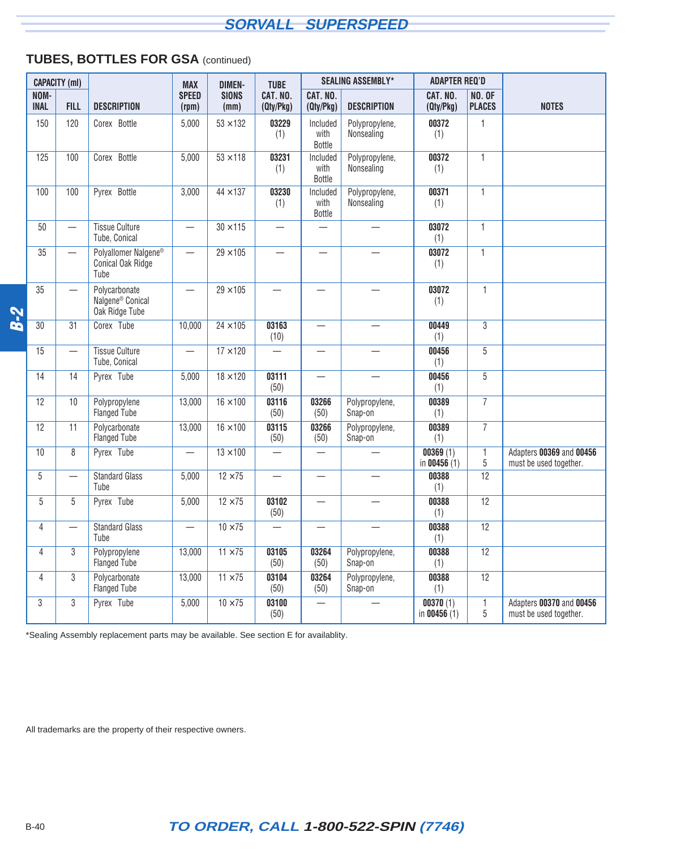## **TUBES, BOTTLES FOR GSA** (continued)

|                     | <b>CAPACITY (ml)</b>     |                                                                 | <b>MAX</b>               | <b>DIMEN-</b>        | <b>TUBE</b>                      |                            | <b>SEALING ASSEMBLY*</b>     | <b>ADAPTER REQ'D</b>      |                                |                                                    |
|---------------------|--------------------------|-----------------------------------------------------------------|--------------------------|----------------------|----------------------------------|----------------------------|------------------------------|---------------------------|--------------------------------|----------------------------------------------------|
| NOM-<br><b>INAL</b> | <b>FILL</b>              | <b>DESCRIPTION</b>                                              | <b>SPEED</b><br>(rpm)    | <b>SIONS</b><br>(mm) | CAT. NO.<br>(Qty/Pkg)            | CAT. NO.<br>(Qty/Pkg)      | <b>DESCRIPTION</b>           | CAT. NO.<br>(Qty/Pkg)     | <b>NO. OF</b><br><b>PLACES</b> | <b>NOTES</b>                                       |
| 150                 | 120                      | Corex <sup>®</sup> Bottle                                       | 5,000                    | $53 \times 132$      | 03229<br>(1)                     | Included<br>with<br>Bottle | Polypropylene,<br>Nonsealing | 00372<br>(1)              | $\mathbf{1}$                   |                                                    |
| 125                 | 100                      | Corex <sup>®</sup> Bottle                                       | 5,000                    | $53 \times 118$      | 03231<br>(1)                     | Included<br>with<br>Bottle | Polypropylene,<br>Nonsealing | 00372<br>(1)              | $\mathbf{1}$                   |                                                    |
| 100                 | 100                      | Pyrex <sup>®</sup> Bottle                                       | 3,000                    | $44 \times 137$      | 03230<br>(1)                     | Included<br>with<br>Bottle | Polypropylene,<br>Nonsealing | 00371<br>(1)              | $\mathbf{1}$                   |                                                    |
| 50                  | $\overline{\phantom{0}}$ | <b>Tissue Culture</b><br>Tube, Conical                          |                          | $30 \times 115$      | $\overline{\phantom{0}}$         |                            |                              | 03072<br>(1)              | $\mathbf{1}$                   |                                                    |
| 35                  |                          | Polyallomer Nalgene <sup>®</sup><br>Conical Oak Ridge<br>Tube   |                          | $29 \times 105$      | $\overline{\phantom{0}}$         | $\overline{\phantom{0}}$   |                              | 03072<br>(1)              | $\overline{1}$                 |                                                    |
| 35                  | $\overline{\phantom{0}}$ | Polycarbonate<br>Nalgene <sup>®</sup> Conical<br>Oak Ridge Tube | $\overline{\phantom{0}}$ | $29 \times 105$      | $\overbrace{\phantom{12321111}}$ | $\overline{\phantom{0}}$   |                              | 03072<br>(1)              | $\mathbf{1}$                   |                                                    |
| 30                  | 31                       | Corex <sup>®</sup> Tube                                         | 10,000                   | $24 \times 105$      | 03163<br>(10)                    |                            |                              | 00449<br>(1)              | $\overline{3}$                 |                                                    |
| 15                  | $\overline{\phantom{0}}$ | <b>Tissue Culture</b><br>Tube, Conical                          | $\overline{\phantom{0}}$ | $17 \times 120$      | $\overline{\phantom{0}}$         |                            |                              | 00456<br>(1)              | $\overline{5}$                 |                                                    |
| 14                  | 14                       | Pyrex <sup>®</sup> Tube                                         | 5,000                    | $18 \times 120$      | 03111<br>(50)                    |                            | $\overline{\phantom{0}}$     | 00456<br>(1)              | 5                              |                                                    |
| 12                  | 10                       | Polypropylene<br>Flanged Tube                                   | 13,000                   | $16 \times 100$      | 03116<br>(50)                    | 03266<br>(50)              | Polypropylene,<br>Snap-on    | 00389<br>(1)              | $\overline{7}$                 |                                                    |
| 12                  | 11                       | Polycarbonate<br>Flanged Tube                                   | 13,000                   | $16 \times 100$      | 03115<br>(50)                    | 03266<br>(50)              | Polypropylene,<br>Snap-on    | 00389<br>(1)              | $\overline{7}$                 |                                                    |
| 10                  | 8                        | Pyrex <sup>®</sup> Tube                                         |                          | $13 \times 100$      | $\overline{\phantom{0}}$         |                            | $\overline{\phantom{0}}$     | 00369(1)<br>in $00456(1)$ | $\mathbf{1}$<br>$\overline{5}$ | Adapters 00369 and 00456<br>must be used together. |
| 5                   | $\overline{\phantom{0}}$ | <b>Standard Glass</b><br>Tube                                   | 5,000                    | $12 \times 75$       |                                  | $\overline{\phantom{0}}$   | $\overline{\phantom{0}}$     | 00388<br>(1)              | $\overline{12}$                |                                                    |
| 5                   | 5                        | Pyrex <sup>®</sup> Tube                                         | 5,000                    | $12 \times 75$       | 03102<br>(50)                    | $\overline{\phantom{0}}$   | $\overline{\phantom{0}}$     | 00388<br>(1)              | $\overline{12}$                |                                                    |
| $\overline{4}$      |                          | <b>Standard Glass</b><br>Tube                                   |                          | $10 \times 75$       |                                  | $\overline{\phantom{0}}$   |                              | 00388<br>(1)              | $\overline{12}$                |                                                    |
| $\overline{4}$      | 3                        | Polypropylene<br><b>Flanged Tube</b>                            | 13,000                   | $11 \times 75$       | 03105<br>(50)                    | 03264<br>(50)              | Polypropylene,<br>Snap-on    | 00388<br>(1)              | 12                             |                                                    |
| 4                   | $\overline{3}$           | Polycarbonate<br>Flanged Tube                                   | 13,000                   | $11 \times 75$       | 03104<br>(50)                    | 03264<br>(50)              | Polypropylene,<br>Snap-on    | 00388<br>(1)              | 12                             |                                                    |
| $\mathbf{3}$        | $\overline{3}$           | Pyrex <sup>®</sup> Tube                                         | 5,000                    | $10 \times 75$       | 03100<br>(50)                    |                            |                              | 00370(1)<br>in $00456(1)$ | $\mathbf{1}$<br>5              | Adapters 00370 and 00456<br>must be used together. |

\*Sealing Assembly replacement parts may be available. See section E for availablity.

All trademarks are the property of their respective owners.

**B-2**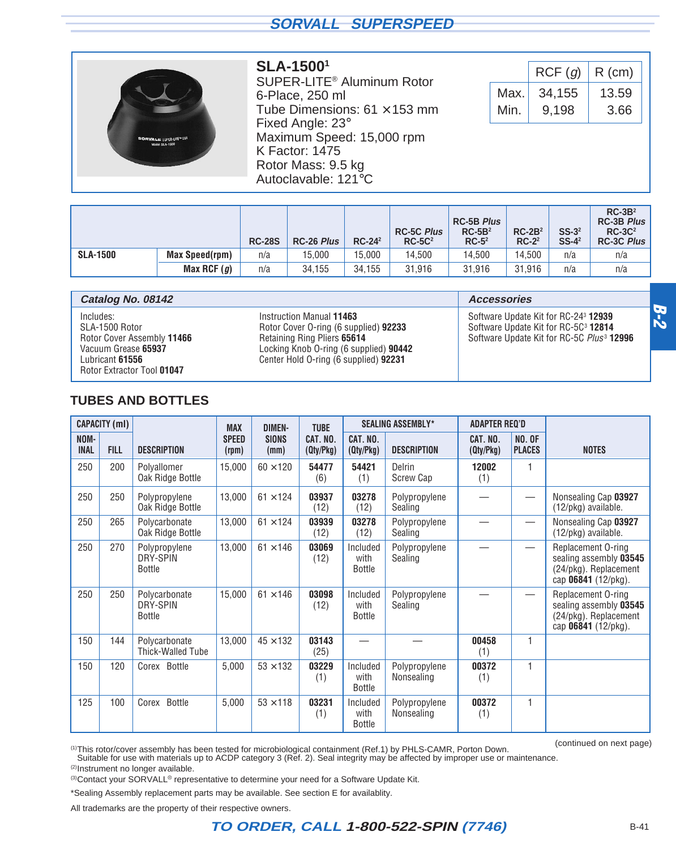<span id="page-22-0"></span>

#### **SLA-15001**

SUPER-LITE® Aluminum Rotor 6-Place, 250 ml Tube Dimensions:  $61 \times 153$  mm Fixed Angle: 23° Maximum Speed: 15,000 rpm K Factor: 1475 Rotor Mass: 9.5 kg Autoclavable: 121°C

|      | RCF(g) | $R$ (cm) |
|------|--------|----------|
| Max. | 34,155 | 13.59    |
| Min. | 9.198  | 3.66     |

|                 |                       | <b>RC-28S</b> | <b>RC-26 Plus</b> | $RC-242$ | <b>RC-5C Plus</b><br>$RC-5C2$ | <b>RC-5B Plus</b><br>$RC-5B2$<br>$RC-52$ | $RC-2B2$<br>$RC-2^2$ | $SS-32$<br>$SS-4^2$ | $RC-3B2$<br><b>RC-3B Plus</b><br>$RC-3C2$<br><b>RC-3C Plus</b> |
|-----------------|-----------------------|---------------|-------------------|----------|-------------------------------|------------------------------------------|----------------------|---------------------|----------------------------------------------------------------|
| <b>SLA-1500</b> | <b>Max Speed(rpm)</b> | n/a           | 15,000            | 15.000   | 14,500                        | 14.500                                   | 14.500               | n/a                 | n/a                                                            |
|                 | Max RCF $(g)$         | n/a           | 34,155            | 34.155   | 31.916                        | 31.916                                   | 31.916               | n/a                 | n/a                                                            |

| Catalog No. 08142                                                                                                                        |                                                                                                                                                                                     | <b>Accessories</b>                                                                                                                                                   |
|------------------------------------------------------------------------------------------------------------------------------------------|-------------------------------------------------------------------------------------------------------------------------------------------------------------------------------------|----------------------------------------------------------------------------------------------------------------------------------------------------------------------|
| Includes:<br>SLA-1500 Rotor<br>Rotor Cover Assembly 11466<br>Vacuum Grease 65937<br>Lubricant <b>61556</b><br>Rotor Extractor Tool 01047 | Instruction Manual 11463<br>Rotor Cover O-ring (6 supplied) 92233<br>Retaining Ring Pliers 65614<br>Locking Knob O-ring (6 supplied) 90442<br>Center Hold O-ring (6 supplied) 92231 | Software Update Kit for RC-24 <sup>3</sup> <b>12939</b><br>Software Update Kit for RC-5C <sup>3</sup> 12814<br>Software Update Kit for RC-5C Plus <sup>3</sup> 12996 |

#### **TUBES AND BOTTLES**

|                     | <b>CAPACITY (ml)</b> |                                            | <b>MAX</b>            | <b>DIMEN-</b>        | <b>TUBE</b>           |                                   | <b>SEALING ASSEMBLY*</b>           | <b>ADAPTER REQ'D</b>  |                                |                                                                                              |
|---------------------|----------------------|--------------------------------------------|-----------------------|----------------------|-----------------------|-----------------------------------|------------------------------------|-----------------------|--------------------------------|----------------------------------------------------------------------------------------------|
| NOM-<br><b>INAL</b> | <b>FILL</b>          | <b>DESCRIPTION</b>                         | <b>SPEED</b><br>(rpm) | <b>SIONS</b><br>(mm) | CAT. NO.<br>(Qty/Pkg) | CAT. NO.<br>(Qty/Pkg)             | <b>DESCRIPTION</b>                 | CAT. NO.<br>(Qty/Pkg) | <b>NO. OF</b><br><b>PLACES</b> | <b>NOTES</b>                                                                                 |
| 250                 | 200                  | Polyallomer<br>Oak Ridge Bottle            | 15,000                | $60 \times 120$      | 54477<br>(6)          | 54421<br>(1)                      | $Delrin$ <sup>®</sup><br>Screw Cap | 12002<br>(1)          | 1                              |                                                                                              |
| 250                 | 250                  | Polypropylene<br>Oak Ridge Bottle          | 13,000                | $61 \times 124$      | 03937<br>(12)         | 03278<br>(12)                     | Polypropylene<br>Sealing           |                       |                                | Nonsealing Cap 03927<br>(12/pkg) available.                                                  |
| 250                 | 265                  | Polycarbonate<br>Oak Ridge Bottle          | 13,000                | $61 \times 124$      | 03939<br>(12)         | 03278<br>(12)                     | Polypropylene<br>Sealing           |                       |                                | Nonsealing Cap 03927<br>(12/pkg) available.                                                  |
| 250                 | 270                  | Polypropylene<br>DRY-SPIN<br><b>Bottle</b> | 13,000                | $61 \times 146$      | 03069<br>(12)         | Included<br>with<br>Bottle        | Polypropylene<br>Sealing           |                       |                                | Replacement O-ring<br>sealing assembly 03545<br>(24/pkg). Replacement<br>cap 06841 (12/pkg). |
| 250                 | 250                  | Polycarbonate<br>DRY-SPIN<br><b>Bottle</b> | 15,000                | $61 \times 146$      | 03098<br>(12)         | Included<br>with<br><b>Bottle</b> | Polypropylene<br>Sealing           |                       |                                | Replacement O-ring<br>sealing assembly 03545<br>(24/pkg). Replacement<br>cap 06841 (12/pkg). |
| 150                 | 144                  | Polycarbonate<br>Thick-Walled Tube         | 13,000                | $45 \times 132$      | 03143<br>(25)         |                                   |                                    | 00458<br>(1)          | 1                              |                                                                                              |
| 150                 | 120                  | Corex <sup>®</sup> Bottle                  | 5,000                 | $53 \times 132$      | 03229<br>(1)          | Included<br>with<br><b>Bottle</b> | Polypropylene<br>Nonsealing        | 00372<br>(1)          | 1                              |                                                                                              |
| 125                 | 100                  | Corex <sup>®</sup> Bottle                  | 5,000                 | $53 \times 118$      | 03231<br>(1)          | Included<br>with<br><b>Bottle</b> | Polypropylene<br>Nonsealing        | 00372<br>(1)          | 1                              |                                                                                              |

(continued on next page) (1)This rotor/cover assembly has been tested for microbiological containment (Ref.1) by PHLS-CAMR, Porton Down. Suitable for use with materials up to ACDP category 3 (Ref. 2). Seal integrity may be affected by improper use or maintenance.

(2) Instrument no longer available.

<sup>(3)</sup>Contact your SORVALL<sup>®</sup> representative to determine your need for a Software Update Kit.

\*Sealing Assembly replacement parts may be available. See section E for availablity.

All trademarks are the property of their respective owners.

**B-2**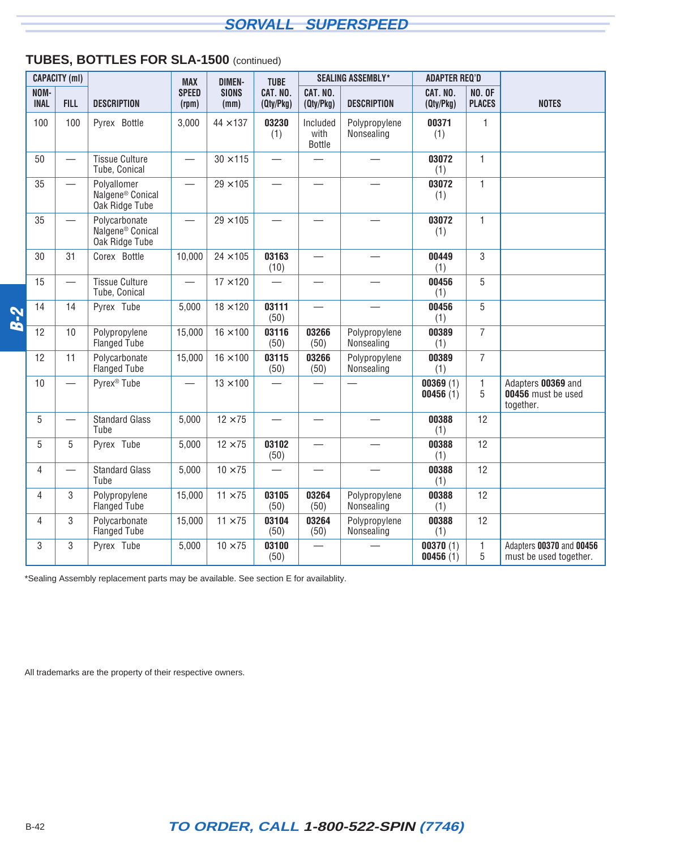## **TUBES, BOTTLES FOR SLA-1500** (continued)

|            |                     | <b>CAPACITY (ml)</b>             |                                                                 | <b>MAX</b>                       | <b>DIMEN-</b>        | <b>TUBE</b>              |                                   | <b>SEALING ASSEMBLY*</b>    | <b>ADAPTER REQ'D</b>  |                                |                                                       |
|------------|---------------------|----------------------------------|-----------------------------------------------------------------|----------------------------------|----------------------|--------------------------|-----------------------------------|-----------------------------|-----------------------|--------------------------------|-------------------------------------------------------|
|            | NOM-<br><b>INAL</b> | <b>FILL</b>                      | <b>DESCRIPTION</b>                                              | <b>SPEED</b><br>(rpm)            | <b>SIONS</b><br>(mm) | CAT. NO.<br>(Qty/Pkg)    | CAT. NO.<br>(Qty/Pkg)             | <b>DESCRIPTION</b>          | CAT. NO.<br>(Qty/Pkg) | <b>NO. OF</b><br><b>PLACES</b> | <b>NOTES</b>                                          |
|            | 100                 | 100                              | Pyrex <sup>®</sup> Bottle                                       | 3,000                            | $44 \times 137$      | 03230<br>(1)             | Included<br>with<br><b>Bottle</b> | Polypropylene<br>Nonsealing | 00371<br>(1)          | $\mathbf{1}$                   |                                                       |
|            | 50                  | $\overbrace{\phantom{12322111}}$ | <b>Tissue Culture</b><br>Tube, Conical                          | $\overbrace{\phantom{12322111}}$ | $30 \times 115$      |                          |                                   | $\overline{\phantom{0}}$    | 03072<br>(1)          | $\mathbf{1}$                   |                                                       |
|            | 35                  |                                  | Polyallomer<br>Nalgene <sup>®</sup> Conical<br>Oak Ridge Tube   | $\overline{\phantom{0}}$         | $29 \times 105$      | $\overline{\phantom{0}}$ |                                   |                             | 03072<br>(1)          | $\mathbf{1}$                   |                                                       |
|            | 35                  |                                  | Polycarbonate<br>Nalgene <sup>®</sup> Conical<br>Oak Ridge Tube |                                  | $29 \times 105$      |                          |                                   |                             | 03072<br>(1)          | $\mathbf{1}$                   |                                                       |
|            | 30                  | 31                               | Corex <sup>®</sup> Bottle                                       | 10,000                           | $24 \times 105$      | 03163<br>(10)            |                                   |                             | 00449<br>(1)          | 3                              |                                                       |
|            | 15                  |                                  | <b>Tissue Culture</b><br>Tube, Conical                          |                                  | $17 \times 120$      |                          |                                   |                             | 00456<br>(1)          | 5                              |                                                       |
| <b>B-2</b> | 14                  | 14                               | Pyrex <sup>®</sup> Tube                                         | 5,000                            | $18 \times 120$      | 03111<br>(50)            | $\overline{\phantom{0}}$          |                             | 00456<br>(1)          | 5                              |                                                       |
|            | 12                  | 10                               | Polypropylene<br><b>Flanged Tube</b>                            | 15,000                           | $16\times100$        | 03116<br>(50)            | 03266<br>(50)                     | Polypropylene<br>Nonsealing | 00389<br>(1)          | $\overline{7}$                 |                                                       |
|            | 12                  | 11                               | Polycarbonate<br><b>Flanged Tube</b>                            | 15,000                           | $16 \times 100$      | 03115<br>(50)            | 03266<br>(50)                     | Polypropylene<br>Nonsealing | 00389<br>(1)          | $\overline{7}$                 |                                                       |
|            | 10                  |                                  | Pyrex <sup>®</sup> Tube                                         |                                  | $13 \times 100$      |                          |                                   |                             | 00369(1)<br>00456(1)  | $\mathbf{1}$<br>5              | Adapters 00369 and<br>00456 must be used<br>together. |
|            | 5                   |                                  | <b>Standard Glass</b><br>Tube                                   | 5,000                            | $12 \times 75$       |                          |                                   |                             | 00388<br>(1)          | 12                             |                                                       |
|            | 5                   | 5                                | Pyrex <sup>®</sup> Tube                                         | 5,000                            | $12 \times 75$       | 03102<br>(50)            |                                   |                             | 00388<br>(1)          | 12                             |                                                       |
|            | 4                   | $\overline{\phantom{0}}$         | <b>Standard Glass</b><br>Tube                                   | 5,000                            | $10 \times 75$       | $\overline{\phantom{0}}$ |                                   |                             | 00388<br>(1)          | 12                             |                                                       |
|            | 4                   | 3                                | Polypropylene<br><b>Flanged Tube</b>                            | 15,000                           | $11 \times 75$       | 03105<br>(50)            | 03264<br>(50)                     | Polypropylene<br>Nonsealing | 00388<br>(1)          | 12                             |                                                       |
|            | 4                   | 3                                | Polycarbonate<br><b>Flanged Tube</b>                            | 15,000                           | $11 \times 75$       | 03104<br>(50)            | 03264<br>(50)                     | Polypropylene<br>Nonsealing | 00388<br>(1)          | 12                             |                                                       |
|            | 3                   | 3                                | Pyrex <sup>®</sup> Tube                                         | 5,000                            | $10 \times 75$       | 03100<br>(50)            |                                   |                             | 00370(1)<br>00456(1)  | $\mathbf{1}$<br>5              | Adapters 00370 and 00456<br>must be used together.    |

\*Sealing Assembly replacement parts may be available. See section E for availablity.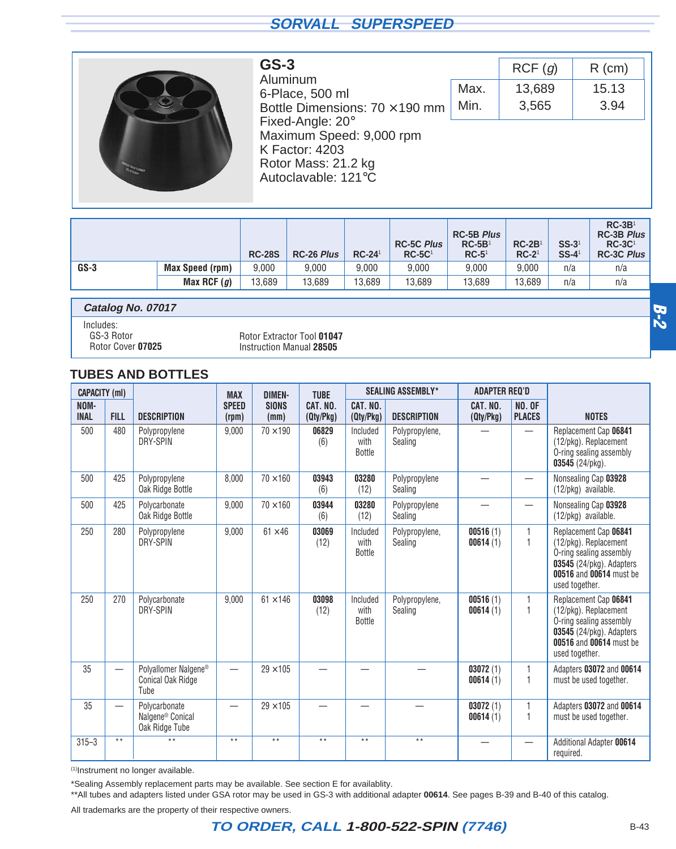<span id="page-24-0"></span>

| $GS-3$                                |   |
|---------------------------------------|---|
| Aluminum                              |   |
| 6-Place, 500 ml                       |   |
| Bottle Dimensions: $70 \times 190$ mm | N |
| Fixed-Angle: 20°                      |   |
| Maximum Speed: 9,000 rpm              |   |
| <b>K Factor: 4203</b>                 |   |
| Rotor Mass: 21.2 kg                   |   |
| Autoclavable: 121°C                   |   |

|      | RCF(q) | $R$ (cm) |
|------|--------|----------|
| Max. | 13,689 | 15.13    |
| Min. | 3,565  | 3.94     |
|      |        |          |

|        |                        | <b>RC-28S</b> | <b>RC-26 Plus</b> | $RC-24$ <sup>1</sup> | <b>RC-5C Plus</b><br>$RC-5C1$ | <b>RC-5B Plus</b><br>$RC-5B1$<br>$RC-51$ | $RC-2B1$<br>$RC-21$ | $SS-31$<br>$SS-4$ <sup>1</sup> | $RC-3B1$<br><b>RC-3B Plus</b><br>$RC-3C1$<br><b>RC-3C Plus</b> |
|--------|------------------------|---------------|-------------------|----------------------|-------------------------------|------------------------------------------|---------------------|--------------------------------|----------------------------------------------------------------|
| $GS-3$ | <b>Max Speed (rpm)</b> | 9.000         | 9.000             | 9.000                | 9.000                         | 9.000                                    | 9.000               | n/a                            | n/a                                                            |
|        | Max RCF $(g)$          | 13,689        | 13,689            | 13.689               | 13.689                        | 13.689                                   | 13.689              | n/a                            | n/a                                                            |

**Catalog No. 07017**

Includes: GS-3 Rotor

Rotor Cover **07025**

Rotor Extractor Tool **01047** Instruction Manual **28505**

#### **TUBES AND BOTTLES**

| <b>CAPACITY (ml)</b> |                          |                                                                 | <b>MAX</b>            | <b>DIMEN-</b>        | <b>TUBE</b>           |                                   | <b>SEALING ASSEMBLY*</b>  | <b>ADAPTER REQ'D</b>  |                                |                                                                                                                                                    |
|----------------------|--------------------------|-----------------------------------------------------------------|-----------------------|----------------------|-----------------------|-----------------------------------|---------------------------|-----------------------|--------------------------------|----------------------------------------------------------------------------------------------------------------------------------------------------|
| NOM-<br><b>INAL</b>  | <b>FILL</b>              | <b>DESCRIPTION</b>                                              | <b>SPEED</b><br>(rpm) | <b>SIONS</b><br>(mm) | CAT. NO.<br>(Qty/Pkg) | CAT. NO.<br>(Qty/Pkg)             | <b>DESCRIPTION</b>        | CAT. NO.<br>(Qty/Pkg) | <b>NO. OF</b><br><b>PLACES</b> | <b>NOTES</b>                                                                                                                                       |
| 500                  | 480                      | Polypropylene<br>DRY-SPIN                                       | 9,000                 | $70 \times 190$      | 06829<br>(6)          | Included<br>with<br><b>Bottle</b> | Polypropylene,<br>Sealing |                       |                                | Replacement Cap 06841<br>(12/pkg). Replacement<br>O-ring sealing assembly<br>03545 (24/pkg).                                                       |
| 500                  | 425                      | Polypropylene<br>Oak Ridge Bottle                               | 8,000                 | $70 \times 160$      | 03943<br>(6)          | 03280<br>(12)                     | Polypropylene<br>Sealing  |                       |                                | Nonsealing Cap 03928<br>(12/pkg) available.                                                                                                        |
| 500                  | 425                      | Polycarbonate<br>Oak Ridge Bottle                               | 9,000                 | $70 \times 160$      | 03944<br>(6)          | 03280<br>(12)                     | Polypropylene<br>Sealing  |                       |                                | Nonsealing Cap 03928<br>(12/pkg) available.                                                                                                        |
| 250                  | 280                      | Polypropylene<br>DRY-SPIN                                       | 9,000                 | $61 \times 46$       | 03069<br>(12)         | Included<br>with<br><b>Bottle</b> | Polypropylene,<br>Sealing | 00516(1)<br>00614(1)  | 1                              | Replacement Cap 06841<br>(12/pkg). Replacement<br>O-ring sealing assembly<br>03545 (24/pkg). Adapters<br>00516 and 00614 must be<br>used together. |
| 250                  | 270                      | Polycarbonate<br>DRY-SPIN                                       | 9,000                 | $61 \times 146$      | 03098<br>(12)         | Included<br>with<br>Bottle        | Polypropylene,<br>Sealing | 00516(1)<br>00614(1)  | 1                              | Replacement Cap 06841<br>(12/pkg). Replacement<br>O-ring sealing assembly<br>03545 (24/pkg). Adapters<br>00516 and 00614 must be<br>used together. |
| 35                   | $\overline{\phantom{0}}$ | Polyallomer Nalgene®<br>Conical Oak Ridge<br>Tube               |                       | $29 \times 105$      |                       |                                   |                           | 03072(1)<br>00614(1)  |                                | Adapters 03072 and 00614<br>must be used together.                                                                                                 |
| 35                   | $\overline{\phantom{0}}$ | Polycarbonate<br>Nalgene <sup>®</sup> Conical<br>Oak Ridge Tube |                       | $29 \times 105$      |                       |                                   |                           | 03072(1)<br>00614(1)  |                                | Adapters 03072 and 00614<br>must be used together.                                                                                                 |
| $315 - 3$            | $***$                    | $**$                                                            | $***$                 | $\star\star$         | $\star \star$         | $* *$                             | $* *$                     |                       |                                | Additional Adapter 00614<br>required.                                                                                                              |

(1)Instrument no longer available.

\*Sealing Assembly replacement parts may be available. See section E for availablity.

\*\*All tubes and adapters listed under GSA rotor may be used in GS-3 with additional adapter **00614**. See pages B-39 and B-40 of this catalog.

All trademarks are the property of their respective owners.

## **TO ORDER, CALL 1-800-522-SPIN (7746)** B-43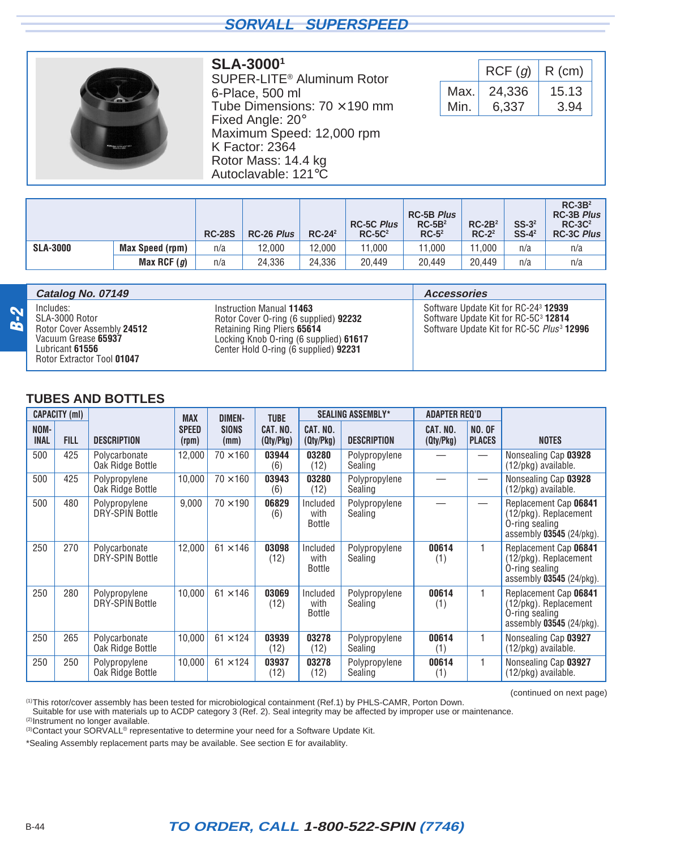<span id="page-25-0"></span>

#### **SLA-30001**

SUPER-LITE® Aluminum Rotor 6-Place, 500 ml Tube Dimensions:  $70 \times 190$  mm Fixed Angle: 20° Maximum Speed: 12,000 rpm K Factor: 2364 Rotor Mass: 14.4 kg Autoclavable: 121°C

|      | RCF(g) | $R$ (cm) |
|------|--------|----------|
| Max. | 24,336 | 15.13    |
| Min. | 6,337  | 3.94     |

(continued on next page)

|                 |                 | <b>RC-28S</b> | <b>RC-26 Plus</b> | $RC-24^2$ | <b>RC-5C Plus</b><br>$RC-5C2$ | <b>RC-5B Plus</b><br>$RC-5B2$<br>$RC-52$ | $RC-2B2$<br>$RC-22$ | $SS-32$<br>$SS-4^2$ | $RC-3B2$<br><b>RC-3B Plus</b><br>$RC-3C2$<br><b>RC-3C Plus</b> |
|-----------------|-----------------|---------------|-------------------|-----------|-------------------------------|------------------------------------------|---------------------|---------------------|----------------------------------------------------------------|
| <b>SLA-3000</b> | Max Speed (rpm) | n/a           | 12,000            | 12.000    | 1.000                         | 11,000                                   | 11.000              | n/a                 | n/a                                                            |
|                 | Max RCF $(g)$   | n/a           | 24,336            | 24.336    | 20.449                        | 20.449                                   | 20.449              | n/a                 | n/a                                                            |

|            | Catalog No. 07149                                                                                                                        |                                                                                                                                                                                     | <b>Accessories</b>                                                                                                                                            |
|------------|------------------------------------------------------------------------------------------------------------------------------------------|-------------------------------------------------------------------------------------------------------------------------------------------------------------------------------------|---------------------------------------------------------------------------------------------------------------------------------------------------------------|
| <b>B-2</b> | Includes:<br>SLA-3000 Rotor<br>Rotor Cover Assembly 24512<br>Vacuum Grease 65937<br>Lubricant <b>61556</b><br>Rotor Extractor Tool 01047 | Instruction Manual 11463<br>Rotor Cover O-ring (6 supplied) 92232<br>Retaining Ring Pliers 65614<br>Locking Knob O-ring (6 supplied) 61617<br>Center Hold O-ring (6 supplied) 92231 | Software Update Kit for RC-24 <sup>3</sup> 12939<br>Software Update Kit for RC-5C <sup>3</sup> 12814<br>Software Update Kit for RC-5C Plus <sup>3</sup> 12996 |

#### **TUBES AND BOTTLES**

|                     | <b>CAPACITY (ml)</b> |                                         | <b>MAX</b>            | <b>DIMEN-</b>        | <b>TUBE</b>           |                            | <b>SEALING ASSEMBLY*</b> | <b>ADAPTER REQ'D</b>  |                                |                                                                                              |
|---------------------|----------------------|-----------------------------------------|-----------------------|----------------------|-----------------------|----------------------------|--------------------------|-----------------------|--------------------------------|----------------------------------------------------------------------------------------------|
| NOM-<br><b>INAL</b> | <b>FILL</b>          | <b>DESCRIPTION</b>                      | <b>SPEED</b><br>(rpm) | <b>SIONS</b><br>(mm) | CAT. NO.<br>(Qty/Pkg) | CAT. NO.<br>(Qty/Pkg)      | <b>DESCRIPTION</b>       | CAT. NO.<br>(Qty/Pkg) | <b>NO. OF</b><br><b>PLACES</b> | <b>NOTES</b>                                                                                 |
| 500                 | 425                  | Polycarbonate<br>Oak Ridge Bottle       | 12,000                | $70 \times 160$      | 03944<br>(6)          | 03280<br>(12)              | Polypropylene<br>Sealing |                       |                                | Nonsealing Cap 03928<br>(12/pkg) available.                                                  |
| 500                 | 425                  | Polypropylene<br>Oak Ridge Bottle       | 10,000                | $70 \times 160$      | 03943<br>(6)          | 03280<br>(12)              | Polypropylene<br>Sealing |                       |                                | Nonsealing Cap 03928<br>(12/pkg) available.                                                  |
| 500                 | 480                  | Polypropylene<br><b>DRY-SPIN Bottle</b> | 9,000                 | $70 \times 190$      | 06829<br>(6)          | Included<br>with<br>Bottle | Polypropylene<br>Sealing |                       |                                | Replacement Cap 06841<br>(12/pkg). Replacement<br>O-ring sealing<br>assembly 03545 (24/pkg). |
| 250                 | 270                  | Polycarbonate<br><b>DRY-SPIN Bottle</b> | 12,000                | $61 \times 146$      | 03098<br>(12)         | Included<br>with<br>Bottle | Polypropylene<br>Sealing | 00614<br>(1)          |                                | Replacement Cap 06841<br>(12/pkg). Replacement<br>O-ring sealing<br>assembly 03545 (24/pkg). |
| 250                 | 280                  | Polypropylene<br><b>DRY-SPIN Bottle</b> | 10,000                | $61 \times 146$      | 03069<br>(12)         | Included<br>with<br>Bottle | Polypropylene<br>Sealing | 00614<br>(1)          |                                | Replacement Cap 06841<br>(12/pkg). Replacement<br>O-ring sealing<br>assembly 03545 (24/pkg). |
| 250                 | 265                  | Polycarbonate<br>Oak Ridge Bottle       | 10,000                | $61 \times 124$      | 03939<br>(12)         | 03278<br>(12)              | Polypropylene<br>Sealing | 00614<br>(1)          |                                | Nonsealing Cap 03927<br>(12/pkg) available.                                                  |
| 250                 | 250                  | Polypropylene<br>Oak Ridge Bottle       | 10,000                | $61 \times 124$      | 03937<br>(12)         | 03278<br>(12)              | Polypropylene<br>Sealing | 00614<br>(1)          |                                | Nonsealing Cap 03927<br>(12/pkg) available.                                                  |

(1)This rotor/cover assembly has been tested for microbiological containment (Ref.1) by PHLS-CAMR, Porton Down.

Suitable for use with materials up to ACDP category 3 (Ref. 2). Seal integrity may be affected by improper use or maintenance. (2)Instrument no longer available.

<sup>(3)</sup>Contact your SORVALL<sup>®</sup> representative to determine your need for a Software Update Kit.

\*Sealing Assembly replacement parts may be available. See section E for availablity.

## B-44 **TO ORDER, CALL 1-800-522-SPIN (7746)**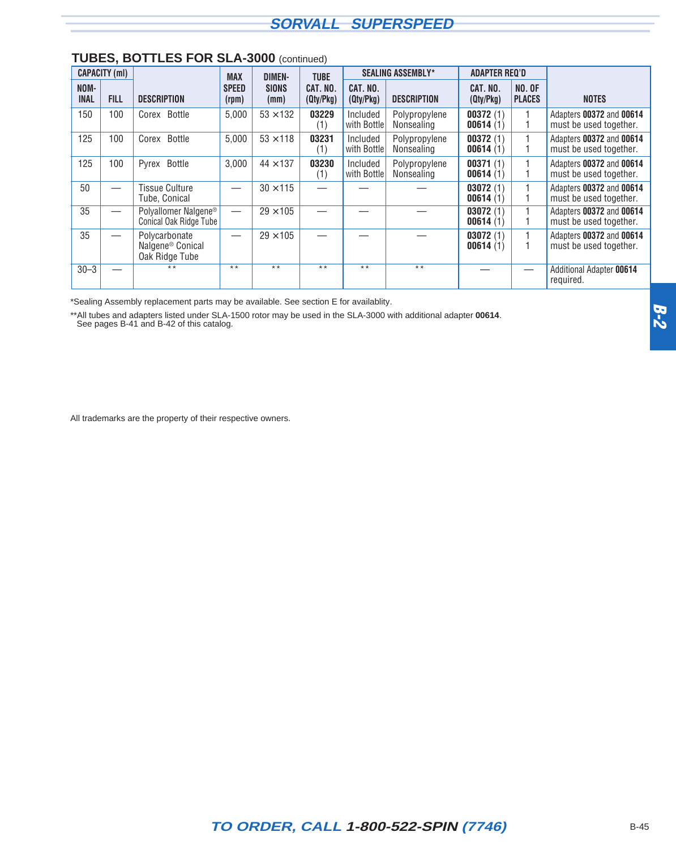|                     | <b>CAPACITY (ml)</b>     |                                                                 | <b>MAX</b>            | <b>DIMEN-</b>        | <b>TUBE</b>           |                         | <b>SEALING ASSEMBLY*</b>    | <b>ADAPTER REQ'D</b>  |                                |                                                    |
|---------------------|--------------------------|-----------------------------------------------------------------|-----------------------|----------------------|-----------------------|-------------------------|-----------------------------|-----------------------|--------------------------------|----------------------------------------------------|
| NOM-<br><b>INAL</b> | <b>FILL</b>              | <b>DESCRIPTION</b>                                              | <b>SPEED</b><br>(rpm) | <b>SIONS</b><br>(mm) | CAT. NO.<br>(Qty/Pkg) | CAT. NO.<br>(Qty/Pkg)   | <b>DESCRIPTION</b>          | CAT. NO.<br>(Qty/Pkg) | <b>NO. OF</b><br><b>PLACES</b> | <b>NOTES</b>                                       |
| 150                 | 100                      | Corex <sup>®</sup> Bottle                                       | 5,000                 | $53 \times 132$      | 03229<br>(1)          | Included<br>with Bottle | Polypropylene<br>Nonsealing | 00372(1)<br>00614(1)  |                                | Adapters 00372 and 00614<br>must be used together. |
| 125                 | 100                      | Corex <sup>®</sup> Bottle                                       | 5,000                 | $53 \times 118$      | 03231<br>(1)          | Included<br>with Bottle | Polypropylene<br>Nonsealing | 00372(1)<br>00614(1)  |                                | Adapters 00372 and 00614<br>must be used together. |
| 125                 | 100                      | Pyrex <sup>®</sup> Bottle                                       | 3,000                 | $44 \times 137$      | 03230<br>(1)          | Included<br>with Bottle | Polypropylene<br>Nonsealing | 00371(1)<br>00614(1)  |                                | Adapters 00372 and 00614<br>must be used together. |
| 50                  |                          | Tissue Culture<br>Tube, Conical                                 |                       | $30 \times 115$      |                       |                         |                             | 03072(1)<br>00614(1)  |                                | Adapters 00372 and 00614<br>must be used together. |
| 35                  |                          | Polyallomer Nalgene <sup>®</sup><br>Conical Oak Ridge Tube      |                       | $29 \times 105$      |                       |                         |                             | 03072(1)<br>00614(1)  |                                | Adapters 00372 and 00614<br>must be used together. |
| 35                  | $\overline{\phantom{0}}$ | Polycarbonate<br>Nalgene <sup>®</sup> Conical<br>Oak Ridge Tube |                       | $29 \times 105$      |                       |                         |                             | 03072(1)<br>00614(1)  |                                | Adapters 00372 and 00614<br>must be used together. |
| $30 - 3$            |                          | $* *$                                                           | $* *$                 | $* *$                | $* *$                 | $* *$                   | $***$                       |                       |                                | <b>Additional Adapter 00614</b><br>required.       |

#### **TUBES, BOTTLES FOR SLA-3000** (continued)

\*Sealing Assembly replacement parts may be available. See section E for availablity.

\*\*All tubes and adapters listed under SLA-1500 rotor may be used in the SLA-3000 with additional adapter **00614**.

See pages B-41 and B-42 of this catalog.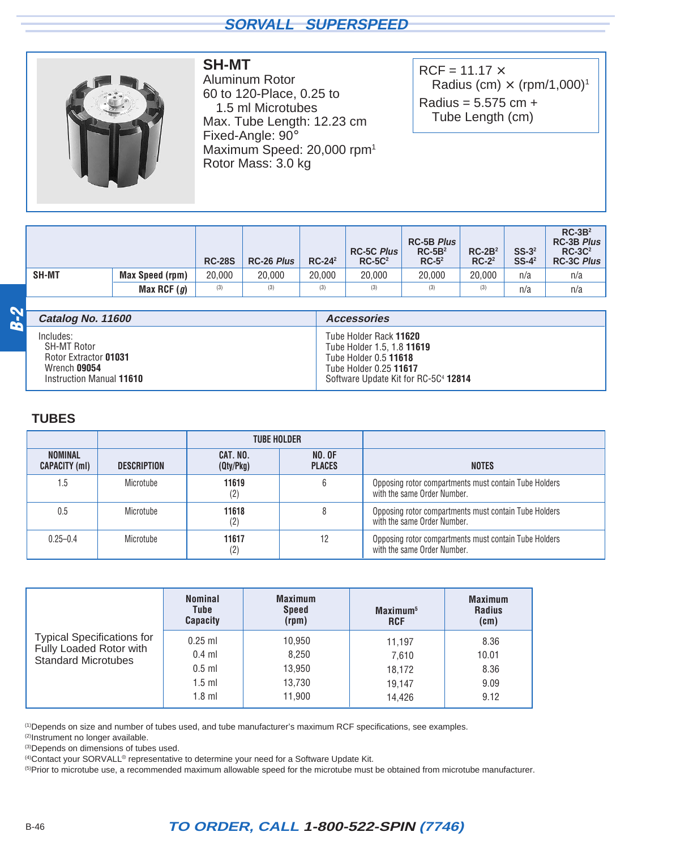<span id="page-27-0"></span>

## **SH-MT**

Aluminum Rotor 60 to 120-Place, 0.25 to 1.5 ml Microtubes Max. Tube Length: 12.23 cm Fixed-Angle: 90° Maximum Speed: 20,000 rpm1 Rotor Mass: 3.0 kg

 $RCF = 11.17 \times$ Radius (cm)  $\times$  (rpm/1,000)<sup>1</sup> Radius =  $5.575$  cm + Tube Length (cm)

|              |                        | <b>RC-28S</b> | RC-26 Plus | $RC-24^2$ | <b>RC-5C Plus</b><br>$RC-5C2$ | <b>RC-5B Plus</b><br>$RC-5B2$<br>$RC-52$ | $RC-2B2$<br>$RC-2^2$ | $SS-32$<br>$SS-4^2$ | $RC-3B2$<br><b>RC-3B Plus</b><br>$RC-3C2$<br><b>RC-3C Plus</b> |
|--------------|------------------------|---------------|------------|-----------|-------------------------------|------------------------------------------|----------------------|---------------------|----------------------------------------------------------------|
| <b>SH-MT</b> | <b>Max Speed (rpm)</b> | 20.000        | 20.000     | 20,000    | 20.000                        | 20,000                                   | 20,000               | n/a                 | n/a                                                            |
|              | Max RCF $(g)$          | (3)           | (3)        | (3)       | (3)                           | (3)                                      | (3)                  | n/a                 | n/a                                                            |

| Catalog No. 11600        | <b>Accessories</b>                   |
|--------------------------|--------------------------------------|
| Includes:                | Tube Holder Rack 11620               |
| SH-MT Rotor              | Tube Holder 1.5, 1.8 11619           |
| Rotor Extractor 01031    | Tube Holder 0.5 11618                |
| Wrench 09054             | Tube Holder 0.25 11617               |
| Instruction Manual 11610 | Software Update Kit for RC-5C4 12814 |

#### **TUBES**

**B-2**

|                                        |                    | <b>TUBE HOLDER</b>         |                                |                                                                                      |
|----------------------------------------|--------------------|----------------------------|--------------------------------|--------------------------------------------------------------------------------------|
| <b>NOMINAL</b><br><b>CAPACITY (ml)</b> | <b>DESCRIPTION</b> | CAT. NO.<br>(Qty/Pkg)      | <b>NO. OF</b><br><b>PLACES</b> | <b>NOTES</b>                                                                         |
| 1.5                                    | Microtube          | 11619<br>(2)               | 6                              | Opposing rotor compartments must contain Tube Holders<br>with the same Order Number. |
| 0.5                                    | Microtube          | 11618<br>(2)               |                                | Opposing rotor compartments must contain Tube Holders<br>with the same Order Number. |
| $0.25 - 0.4$                           | Microtube          | 11617<br>$\left( 2\right)$ | 12                             | Opposing rotor compartments must contain Tube Holders<br>with the same Order Number. |

|                                                                                            | <b>Nominal</b><br>Tube<br><b>Capacity</b>                 | <b>Maximum</b><br><b>Speed</b><br>(rpm)       | Maximum <sup>5</sup><br><b>RCF</b>            | <b>Maximum</b><br><b>Radius</b><br>(cm) |
|--------------------------------------------------------------------------------------------|-----------------------------------------------------------|-----------------------------------------------|-----------------------------------------------|-----------------------------------------|
| <b>Typical Specifications for</b><br>Fully Loaded Rotor with<br><b>Standard Microtubes</b> | $0.25$ ml<br>$0.4$ ml<br>$0.5$ ml<br>$1.5$ ml<br>$1.8$ ml | 10,950<br>8,250<br>13,950<br>13,730<br>11,900 | 11.197<br>7,610<br>18,172<br>19.147<br>14.426 | 8.36<br>10.01<br>8.36<br>9.09<br>9.12   |

(1)Depends on size and number of tubes used, and tube manufacturer's maximum RCF specifications, see examples.

(2)Instrument no longer available.

(3)Depends on dimensions of tubes used.

(4)Contact your SORVALL® representative to determine your need for a Software Update Kit.

(5)Prior to microtube use, a recommended maximum allowable speed for the microtube must be obtained from microtube manufacturer.

## B-46 **TO ORDER, CALL 1-800-522-SPIN (7746)**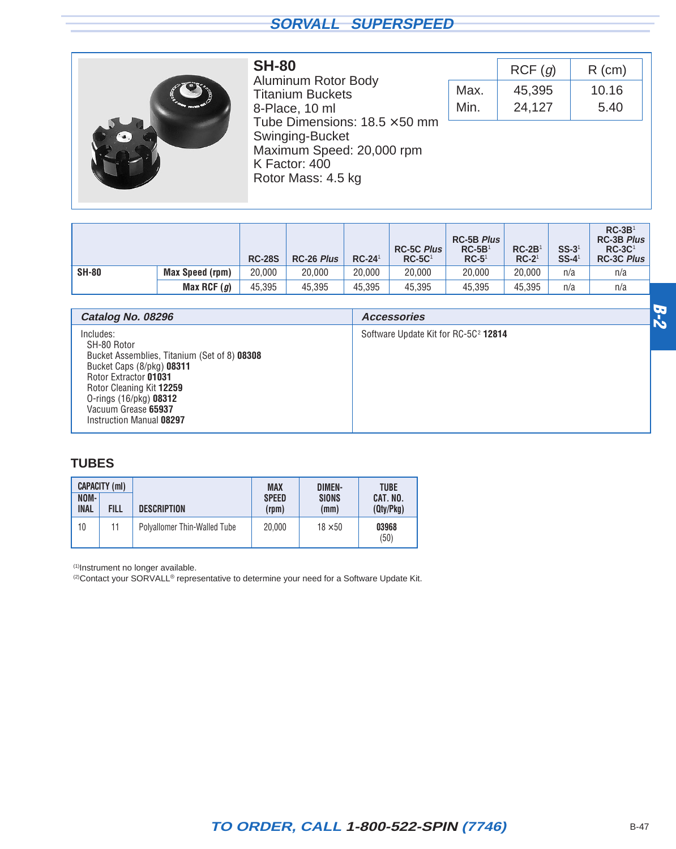<span id="page-28-0"></span>

**SH-80** Aluminum Rotor Body Titanium Buckets 8-Place, 10 ml Tube Dimensions:  $18.5 \times 50$  mm Swinging-Bucket Maximum Speed: 20,000 rpm K Factor: 400 Rotor Mass: 4.5 kg

|      | RCF(q) | $R$ (cm) |
|------|--------|----------|
| Max. | 45,395 | 10.16    |
| Min. | 24,127 | 5.40     |

|              |                 | <b>RC-28S</b> | <b>RC-26 Plus</b> | $RC-241$ | <b>RC-5C Plus</b><br>$RC-5C1$ | <b>RC-5B Plus</b><br>$RC-5B1$<br>$RC-51$ | $RC-2B$<br>$RC-21$ | $SS-31$<br>$SS-4$ <sup>1</sup> | $RC-3B1$<br><b>RC-3B Plus</b><br>$RC-3C1$<br><b>RC-3C Plus</b> |
|--------------|-----------------|---------------|-------------------|----------|-------------------------------|------------------------------------------|--------------------|--------------------------------|----------------------------------------------------------------|
| <b>SH-80</b> | Max Speed (rpm) | 20,000        | 20,000            | 20.000   | 20,000                        | 20,000                                   | 20,000             | n/a                            | n/a                                                            |
|              | Max RCF $(g)$   | 45,395        | 45,395            | 45,395   | 45,395                        | 45,395                                   | 45.395             | n/a                            | n/a                                                            |

| Catalog No. 08296                                                                                                                                                                                                                                | <b>Accessories</b>                               |  |
|--------------------------------------------------------------------------------------------------------------------------------------------------------------------------------------------------------------------------------------------------|--------------------------------------------------|--|
| Includes:<br>SH-80 Rotor<br>Bucket Assemblies, Titanium (Set of 8) 08308<br>Bucket Caps (8/pkg) 08311<br>Rotor Extractor 01031<br>Rotor Cleaning Kit 12259<br>O-rings $(16/\text{pkg})$ 08312<br>Vacuum Grease 65937<br>Instruction Manual 08297 | Software Update Kit for RC-5C <sup>2</sup> 12814 |  |

#### **TUBES**

| <b>CAPACITY (ml)</b> |      |                              | MAX                   | DIMEN-               | <b>TUBE</b>           |  |
|----------------------|------|------------------------------|-----------------------|----------------------|-----------------------|--|
| NOM-<br><b>INAL</b>  | Fill | <b>DESCRIPTION</b>           | <b>SPEED</b><br>(rpm) | <b>SIONS</b><br>(mm) | CAT. NO.<br>(Qty/Pkq) |  |
| 10                   | 11   | Polyallomer Thin-Walled Tube | 20,000                | $18 \times 50$       | 03968<br>(50)         |  |

(1)Instrument no longer available.

<sup>(2)</sup>Contact your SORVALL<sup>®</sup> representative to determine your need for a Software Update Kit.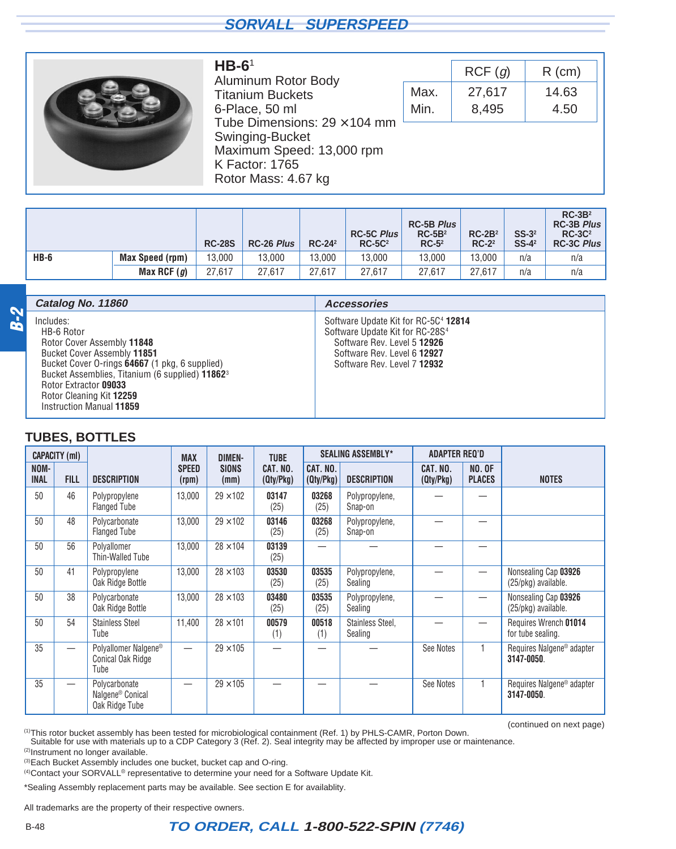<span id="page-29-0"></span>

#### **HB-6**<sup>1</sup> Aluminum Rotor Body Titanium Buckets 6-Place, 50 ml Tube Dimensions:  $29 \times 104$  mm Swinging-Bucket Maximum Speed: 13,000 rpm K Factor: 1765 Rotor Mass: 4.67 kg

| Max.<br>27,617<br>Min.<br>8,495 | $R$ (cm) | RCF(g) |  |
|---------------------------------|----------|--------|--|
|                                 | 14.63    |        |  |
|                                 | 4.50     |        |  |
|                                 |          |        |  |

|        |                        | <b>RC-28S</b> | RC-26 Plus | $RC-24^2$ | <b>RC-5C Plus</b><br>$RC-5C2$ | <b>RC-5B Plus</b><br>$RC-5B2$<br>$RC-52$ | $RC-2B2$<br>$RC-22$ | $SS-32$<br>$SS-4^2$ | $RC-3B2$<br><b>RC-3B Plus</b><br>$RC-3C2$<br><b>RC-3C Plus</b> |
|--------|------------------------|---------------|------------|-----------|-------------------------------|------------------------------------------|---------------------|---------------------|----------------------------------------------------------------|
| $HB-6$ | <b>Max Speed (rpm)</b> | 13.000        | 13,000     | 13.000    | 13.000                        | 13.000                                   | 13.000              | n/a                 | n/a                                                            |
|        | Max RCF $(g)$          | 27.617        | 27.617     | 27.617    | 27.617                        | 27.617                                   | 27.617              | n/a                 | n/a                                                            |

|                | Catalog No. 11860                                                                                                                                                                                                                                                                      | <b>Accessories</b>                                                                                                                                                                           |
|----------------|----------------------------------------------------------------------------------------------------------------------------------------------------------------------------------------------------------------------------------------------------------------------------------------|----------------------------------------------------------------------------------------------------------------------------------------------------------------------------------------------|
| <u>م.</u><br>8 | Includes:<br>HB-6 Rotor<br>Rotor Cover Assembly 11848<br>Bucket Cover Assembly 11851<br>Bucket Cover O-rings 64667 (1 pkg, 6 supplied)<br>Bucket Assemblies, Titanium (6 supplied) 11862 <sup>3</sup><br>Rotor Extractor 09033<br>Rotor Cleaning Kit 12259<br>Instruction Manual 11859 | Software Update Kit for RC-5C <sup>4</sup> 12814<br>Software Update Kit for RC-28S <sup>4</sup><br>Software Rev. Level 5 12926<br>Software Rev. Level 6 12927<br>Software Rev. Level 7 12932 |

#### **TUBES, BOTTLES**

|                     | <b>CAPACITY (ml)</b>     |                                                                 | <b>MAX</b>            | <b>DIMEN-</b>        | <b>TUBE</b>           |                       | <b>SEALING ASSEMBLY*</b>    | <b>ADAPTER REQ'D</b>  |                                |                                                     |
|---------------------|--------------------------|-----------------------------------------------------------------|-----------------------|----------------------|-----------------------|-----------------------|-----------------------------|-----------------------|--------------------------------|-----------------------------------------------------|
| NOM-<br><b>INAL</b> | <b>FILL</b>              | <b>DESCRIPTION</b>                                              | <b>SPEED</b><br>(rpm) | <b>SIONS</b><br>(mm) | CAT. NO.<br>(Qty/Pkg) | CAT. NO.<br>(Qty/Pkg) | <b>DESCRIPTION</b>          | CAT. NO.<br>(Qty/Pkg) | <b>NO. OF</b><br><b>PLACES</b> | <b>NOTES</b>                                        |
| 50                  | 46                       | Polypropylene<br><b>Flanged Tube</b>                            | 13,000                | $29 \times 102$      | 03147<br>(25)         | 03268<br>(25)         | Polypropylene,<br>Snap-on   |                       |                                |                                                     |
| 50                  | 48                       | Polycarbonate<br><b>Flanged Tube</b>                            | 13,000                | $29 \times 102$      | 03146<br>(25)         | 03268<br>(25)         | Polypropylene,<br>Snap-on   |                       |                                |                                                     |
| 50                  | 56                       | Polyallomer<br>Thin-Walled Tube                                 | 13,000                | $28 \times 104$      | 03139<br>(25)         |                       |                             |                       |                                |                                                     |
| 50                  | 41                       | Polypropylene<br>Oak Ridge Bottle                               | 13,000                | $28 \times 103$      | 03530<br>(25)         | 03535<br>(25)         | Polypropylene,<br>Sealing   |                       |                                | Nonsealing Cap 03926<br>(25/pkg) available.         |
| 50                  | 38                       | Polycarbonate<br>Oak Ridge Bottle                               | 13,000                | $28 \times 103$      | 03480<br>(25)         | 03535<br>(25)         | Polypropylene,<br>Sealing   |                       |                                | Nonsealing Cap 03926<br>(25/pkg) available.         |
| 50                  | 54                       | <b>Stainless Steel</b><br>Tube                                  | 11,400                | $28 \times 101$      | 00579<br>(1)          | 00518<br>(1)          | Stainless Steel,<br>Sealing |                       |                                | Requires Wrench 01014<br>for tube sealing.          |
| 35                  | $\overline{\phantom{0}}$ | Polyallomer Nalgene <sup>®</sup><br>Conical Oak Ridge<br>Tube   |                       | $29 \times 105$      |                       |                       |                             | See Notes             |                                | Requires Nalgene <sup>®</sup> adapter<br>3147-0050. |
| 35                  |                          | Polycarbonate<br>Nalgene <sup>®</sup> Conical<br>Oak Ridge Tube |                       | $29 \times 105$      |                       |                       |                             | See Notes             |                                | Requires Nalgene <sup>®</sup> adapter<br>3147-0050. |

(1)This rotor bucket assembly has been tested for microbiological containment (Ref. 1) by PHLS-CAMR, Porton Down. (continued on next page)

Suitable for use with materials up to a CDP Category 3 (Ref. 2). Seal integrity may be affected by improper use or maintenance.

(2) Instrument no longer available.

(3)Each Bucket Assembly includes one bucket, bucket cap and O-ring.

(4) Contact your SORVALL<sup>®</sup> representative to determine your need for a Software Update Kit.

\*Sealing Assembly replacement parts may be available. See section E for availablity.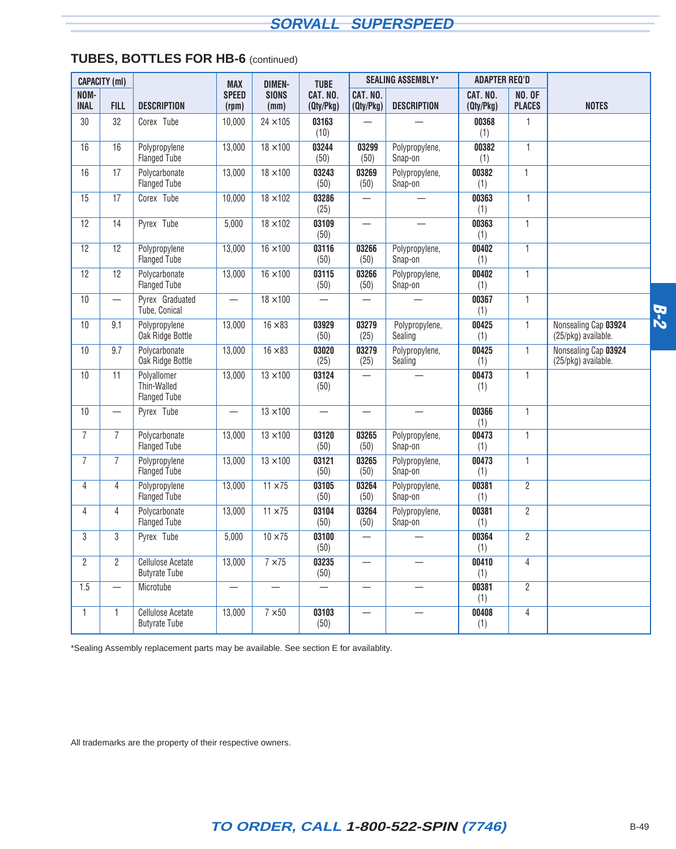|                     | <b>CAPACITY (ml)</b>             |                                                   | <b>MAX</b>                       | <b>DIMEN-</b>        | <b>TUBE</b>           |                          | <b>SEALING ASSEMBLY*</b>  | ADAPTER REQ'D         |                                |                                             |            |
|---------------------|----------------------------------|---------------------------------------------------|----------------------------------|----------------------|-----------------------|--------------------------|---------------------------|-----------------------|--------------------------------|---------------------------------------------|------------|
| NOM-<br><b>INAL</b> | <b>FILL</b>                      | <b>DESCRIPTION</b>                                | <b>SPEED</b><br>(rpm)            | <b>SIONS</b><br>(mm) | CAT. NO.<br>(Qty/Pkg) | CAT. NO.<br>(Qty/Pkg)    | <b>DESCRIPTION</b>        | CAT. NO.<br>(Qty/Pkg) | <b>NO. OF</b><br><b>PLACES</b> | <b>NOTES</b>                                |            |
| 30                  | 32                               | Corex <sup>®</sup> Tube                           | 10,000                           | $24 \times 105$      | 03163<br>(10)         |                          |                           | 00368<br>(1)          | $\mathbf{1}$                   |                                             |            |
| 16                  | 16                               | Polypropylene<br><b>Flanged Tube</b>              | 13,000                           | $18 \times 100$      | 03244<br>(50)         | 03299<br>(50)            | Polypropylene,<br>Snap-on | 00382<br>(1)          | $\mathbf{1}$                   |                                             |            |
| 16                  | 17                               | Polycarbonate<br><b>Flanged Tube</b>              | 13,000                           | $18 \times 100$      | 03243<br>(50)         | 03269<br>(50)            | Polypropylene,<br>Snap-on | 00382<br>(1)          | $\mathbf{1}$                   |                                             |            |
| 15                  | 17                               | Corex <sup>®</sup> Tube                           | 10,000                           | $18 \times 102$      | 03286<br>(25)         | $\overline{\phantom{0}}$ |                           | 00363<br>(1)          | $\mathbf{1}$                   |                                             |            |
| 12                  | 14                               | Pyrex <sup>®</sup> Tube                           | 5,000                            | $18 \times 102$      | 03109<br>(50)         | $\qquad \qquad -$        |                           | 00363<br>(1)          | $\mathbf{1}$                   |                                             |            |
| 12                  | 12                               | Polypropylene<br>Flanged Tube                     | 13,000                           | $16 \times 100$      | 03116<br>(50)         | 03266<br>(50)            | Polypropylene,<br>Snap-on | 00402<br>(1)          | $\mathbf{1}$                   |                                             |            |
| 12                  | 12                               | Polycarbonate<br>Flanged Tube                     | 13,000                           | $16 \times 100$      | 03115<br>(50)         | 03266<br>(50)            | Polypropylene,<br>Snap-on | 00402<br>(1)          | $\mathbf{1}$                   |                                             |            |
| 10                  |                                  | Pyrex <sup>®</sup> Graduated<br>Tube, Conical     | $\overline{\phantom{0}}$         | $18 \times 100$      |                       | $\overline{\phantom{0}}$ |                           | 00367<br>(1)          | $\mathbf{1}$                   |                                             | <b>B-2</b> |
| 10                  | 9.1                              | Polypropylene<br>Oak Ridge Bottle                 | 13,000                           | $16 \times 83$       | 03929<br>(50)         | 03279<br>(25)            | Polypropylene,<br>Sealing | 00425<br>(1)          | $\mathbf{1}$                   | Nonsealing Cap 03924<br>(25/pkg) available. |            |
| 10                  | 9.7                              | Polycarbonate<br>Oak Ridge Bottle                 | 13,000                           | $16 \times 83$       | 03020<br>(25)         | 03279<br>(25)            | Polypropylene,<br>Sealing | 00425<br>(1)          | $\mathbf{1}$                   | Nonsealing Cap 03924<br>(25/pkg) available. |            |
| 10                  | 11                               | Polyallomer<br>Thin-Walled<br><b>Flanged Tube</b> | 13,000                           | $13 \times 100$      | 03124<br>(50)         | $\overline{\phantom{0}}$ |                           | 00473<br>(1)          | $\mathbf{1}$                   |                                             |            |
| 10                  |                                  | Pyrex <sup>®</sup> Tube                           |                                  | $13 \times 100$      |                       |                          |                           | 00366<br>(1)          | $\mathbf{1}$                   |                                             |            |
| $\overline{7}$      | $\overline{7}$                   | Polycarbonate<br>Flanged Tube                     | 13,000                           | $13 \times 100$      | 03120<br>(50)         | 03265<br>(50)            | Polypropylene,<br>Snap-on | 00473<br>(1)          | $\mathbf{1}$                   |                                             |            |
| $\overline{7}$      | $\overline{7}$                   | Polypropylene<br>Flanged Tube                     | 13,000                           | $13 \times 100$      | 03121<br>(50)         | 03265<br>(50)            | Polypropylene,<br>Snap-on | 00473<br>(1)          | $\mathbf{1}$                   |                                             |            |
| $\overline{4}$      | $\overline{4}$                   | Polypropylene<br>Flanged Tube                     | 13,000                           | $11 \times 75$       | 03105<br>(50)         | 03264<br>(50)            | Polypropylene,<br>Snap-on | 00381<br>(1)          | $\overline{2}$                 |                                             |            |
| 4                   | 4                                | Polycarbonate<br><b>Flanged Tube</b>              | 13,000                           | $11 \times 75$       | 03104<br>(50)         | 03264<br>(50)            | Polypropylene,<br>Snap-on | 00381<br>(1)          | $\overline{2}$                 |                                             |            |
| 3                   | 3                                | Pyrex <sup>®</sup> Tube                           | 5,000                            | $10 \times 75$       | 03100<br>(50)         | $\overline{\phantom{0}}$ |                           | 00364<br>(1)          | $\overline{2}$                 |                                             |            |
| $\overline{2}$      | $\overline{2}$                   | <b>Cellulose Acetate</b><br><b>Butyrate Tube</b>  | 13,000                           | $7 \times 75$        | 03235<br>(50)         |                          |                           | 00410<br>(1)          | $\overline{4}$                 |                                             |            |
| 1.5                 | $\overbrace{\phantom{12322111}}$ | Microtube                                         | $\overbrace{\phantom{12322111}}$ |                      |                       |                          |                           | 00381<br>(1)          | $\overline{2}$                 |                                             |            |
| $\mathbf{1}$        | $\mathbf{1}$                     | <b>Cellulose Acetate</b><br><b>Butyrate Tube</b>  | 13,000                           | $7 \times 50$        | 03103<br>(50)         |                          |                           | 00408<br>(1)          | 4                              |                                             |            |

#### **TUBES, BOTTLES FOR HB-6** (continued)

\*Sealing Assembly replacement parts may be available. See section E for availablity.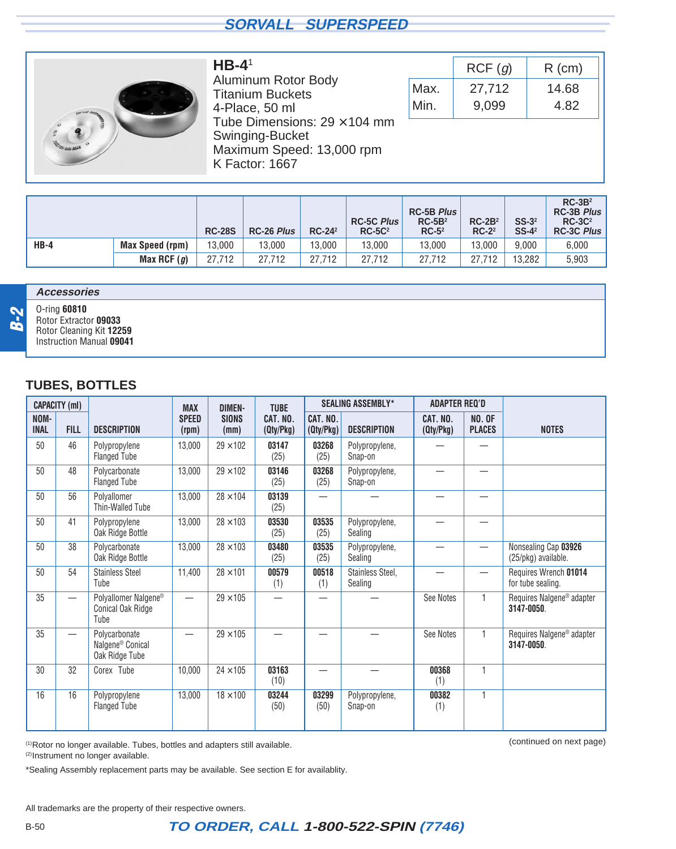<span id="page-31-0"></span>

**HB-4**<sup>1</sup> Aluminum Rotor Body Titanium Buckets 4-Place, 50 ml Tube Dimensions:  $29 \times 104$  mm Swinging-Bucket Maximum Speed: 13,000 rpm K Factor: 1667

|      | RCF(q) | $R$ (cm) |
|------|--------|----------|
| Max. | 27,712 | 14.68    |
| Min. | 9.099  | 4.82     |

|        |                        | <b>RC-28S</b> | <b>RC-26 Plus</b> | $RC-242$ | <b>RC-5C Plus</b><br>$RC-5C2$ | <b>RC-5B Plus</b><br>$RC-5B2$<br>$RC-52$ | $RC-2B2$<br>$RC-22$ | $SS-32$<br>$SS-4^2$ | $RC-3B2$<br><b>RC-3B Plus</b><br>$RC-3C2$<br><b>RC-3C Plus</b> |
|--------|------------------------|---------------|-------------------|----------|-------------------------------|------------------------------------------|---------------------|---------------------|----------------------------------------------------------------|
| $HB-4$ | <b>Max Speed (rpm)</b> | 13,000        | 13.000            | 13.000   | 13,000                        | 13,000                                   | 13.000              | 9.000               | 6.000                                                          |
|        | Max RCF $(g)$          | 27.712        | 27.712            | 27.712   | 27.712                        | 27.712                                   | 27.712              | 13.282              | 5.903                                                          |

#### **Accessories**



O-ring **60810** Rotor Extractor **09033** Rotor Cleaning Kit **12259** Instruction Manual **09041**

#### **TUBES, BOTTLES**

|                     | <b>CAPACITY (ml)</b>     |                                                                 | <b>MAX</b>            | <b>DIMEN-</b>        | <b>TUBE</b>           |                       | <b>SEALING ASSEMBLY*</b>    | <b>ADAPTER REQ'D</b>  |                                |                                                     |
|---------------------|--------------------------|-----------------------------------------------------------------|-----------------------|----------------------|-----------------------|-----------------------|-----------------------------|-----------------------|--------------------------------|-----------------------------------------------------|
| NOM-<br><b>INAL</b> | <b>FILL</b>              | <b>DESCRIPTION</b>                                              | <b>SPEED</b><br>(rpm) | <b>SIONS</b><br>(mm) | CAT. NO.<br>(Qty/Pkg) | CAT. NO.<br>(Qty/Pkg) | <b>DESCRIPTION</b>          | CAT. NO.<br>(Qty/Pkg) | <b>NO. OF</b><br><b>PLACES</b> | <b>NOTES</b>                                        |
| 50                  | 46                       | Polypropylene<br><b>Flanged Tube</b>                            | 13,000                | $29 \times 102$      | 03147<br>(25)         | 03268<br>(25)         | Polypropylene,<br>Snap-on   |                       |                                |                                                     |
| 50                  | 48                       | Polycarbonate<br><b>Flanged Tube</b>                            | 13,000                | $29 \times 102$      | 03146<br>(25)         | 03268<br>(25)         | Polypropylene,<br>Snap-on   |                       |                                |                                                     |
| 50                  | 56                       | Polyallomer<br>Thin-Walled Tube                                 | 13,000                | $28 \times 104$      | 03139<br>(25)         |                       |                             | —                     |                                |                                                     |
| 50                  | 41                       | Polypropylene<br>Oak Ridge Bottle                               | 13,000                | $28 \times 103$      | 03530<br>(25)         | 03535<br>(25)         | Polypropylene,<br>Sealing   |                       |                                |                                                     |
| 50                  | 38                       | Polycarbonate<br>Oak Ridge Bottle                               | 13,000                | $28 \times 103$      | 03480<br>(25)         | 03535<br>(25)         | Polypropylene,<br>Sealing   |                       |                                | Nonsealing Cap 03926<br>(25/pkg) available.         |
| 50                  | 54                       | <b>Stainless Steel</b><br>Tube                                  | 11,400                | $28 \times 101$      | 00579<br>(1)          | 00518<br>(1)          | Stainless Steel,<br>Sealing |                       |                                | Requires Wrench 01014<br>for tube sealing.          |
| 35                  | $\overline{\phantom{0}}$ | Polyallomer Nalgene®<br><b>Conical Oak Ridge</b><br>Tube        |                       | $29 \times 105$      |                       |                       |                             | See Notes             |                                | Requires Nalgene <sup>®</sup> adapter<br>3147-0050. |
| 35                  |                          | Polycarbonate<br>Nalgene <sup>®</sup> Conical<br>Oak Ridge Tube |                       | $29 \times 105$      |                       |                       |                             | See Notes             |                                | Requires Nalgene <sup>®</sup> adapter<br>3147-0050. |
| 30                  | 32                       | Corex <sup>®</sup> Tube                                         | 10,000                | $24 \times 105$      | 03163<br>(10)         | —                     |                             | 00368<br>(1)          |                                |                                                     |
| 16                  | 16                       | Polypropylene<br><b>Flanged Tube</b>                            | 13,000                | $18 \times 100$      | 03244<br>(50)         | 03299<br>(50)         | Polypropylene,<br>Snap-on   | 00382<br>(1)          |                                |                                                     |

(1) (continued on next page) Rotor no longer available. Tubes, bottles and adapters still available.

(2)Instrument no longer available.

\*Sealing Assembly replacement parts may be available. See section E for availablity.

All trademarks are the property of their respective owners.

## B-50 **TO ORDER, CALL 1-800-522-SPIN (7746)**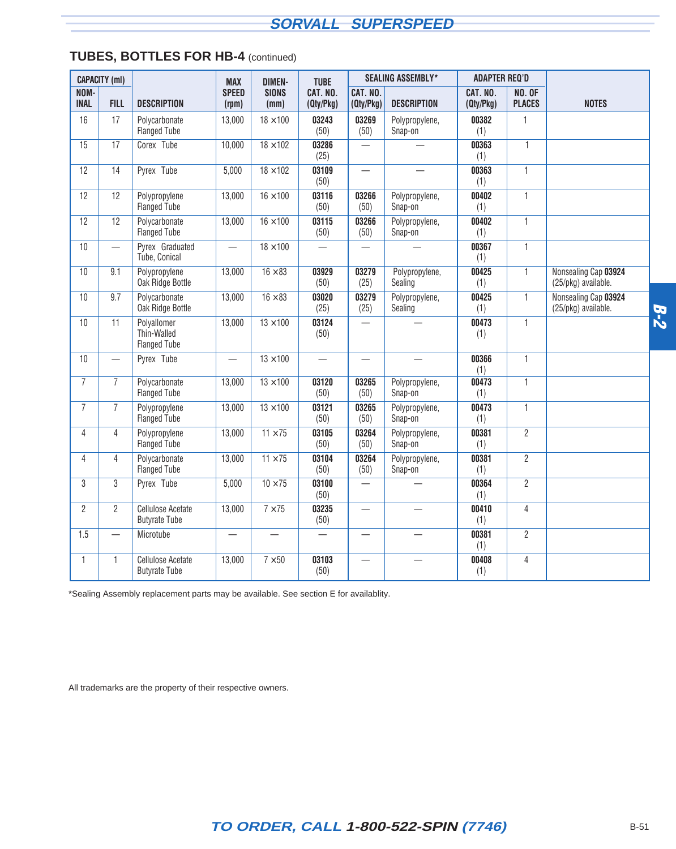|                     | <b>CAPACITY (ml)</b> |                                                   | <b>MAX</b>               | <b>DIMEN-</b>            | <b>TUBE</b>           |                          | <b>SEALING ASSEMBLY*</b>  | <b>ADAPTER REQ'D</b>  |                                |                                             |       |
|---------------------|----------------------|---------------------------------------------------|--------------------------|--------------------------|-----------------------|--------------------------|---------------------------|-----------------------|--------------------------------|---------------------------------------------|-------|
| NOM-<br><b>INAL</b> | <b>FILL</b>          | <b>DESCRIPTION</b>                                | <b>SPEED</b><br>(rpm)    | <b>SIONS</b><br>(mm)     | CAT. NO.<br>(Qty/Pkg) | CAT. NO.<br>(Qty/Pkg)    | <b>DESCRIPTION</b>        | CAT. NO.<br>(Qty/Pkg) | <b>NO. OF</b><br><b>PLACES</b> | <b>NOTES</b>                                |       |
| 16                  | 17                   | Polycarbonate<br><b>Flanged Tube</b>              | 13,000                   | $18 \times 100$          | 03243<br>(50)         | 03269<br>(50)            | Polypropylene,<br>Snap-on | 00382<br>(1)          | $\mathbf{1}$                   |                                             |       |
| 15                  | 17                   | Corex <sup>®</sup> Tube                           | 10,000                   | $18 \times 102$          | 03286<br>(25)         |                          |                           | 00363<br>(1)          | $\mathbf{1}$                   |                                             |       |
| 12                  | 14                   | Pyrex <sup>®</sup> Tube                           | 5,000                    | $18 \times 102$          | 03109<br>(50)         | $\overline{\phantom{0}}$ | $\overline{\phantom{0}}$  | 00363<br>(1)          | $\mathbf{1}$                   |                                             |       |
| 12                  | 12                   | Polypropylene<br><b>Flanged Tube</b>              | 13,000                   | $16 \times 100$          | 03116<br>(50)         | 03266<br>(50)            | Polypropylene,<br>Snap-on | 00402<br>(1)          | $\mathbf{1}$                   |                                             |       |
| 12                  | 12                   | Polycarbonate<br><b>Flanged Tube</b>              | 13,000                   | $16 \times 100$          | 03115<br>(50)         | 03266<br>(50)            | Polypropylene,<br>Snap-on | 00402<br>(1)          | $\overline{1}$                 |                                             |       |
| 10                  | $\qquad \qquad -$    | Pyrex <sup>®</sup> Graduated<br>Tube, Conical     |                          | $18 \times 100$          | $\qquad \qquad -$     |                          |                           | 00367<br>(1)          | $\mathbf{1}$                   |                                             |       |
| 10                  | 9.1                  | Polypropylene<br>Oak Ridge Bottle                 | 13,000                   | $16 \times 83$           | 03929<br>(50)         | 03279<br>(25)            | Polypropylene,<br>Sealing | 00425<br>(1)          | $\mathbf{1}$                   | Nonsealing Cap 03924<br>(25/pkg) available. |       |
| 10                  | 9.7                  | Polycarbonate<br>Oak Ridge Bottle                 | 13,000                   | $16 \times 83$           | 03020<br>(25)         | 03279<br>(25)            | Polypropylene,<br>Sealing | 00425<br>(1)          | $\mathbf{1}$                   | Nonsealing Cap 03924<br>(25/pkg) available. | $B-2$ |
| 10                  | 11                   | Polyallomer<br>Thin-Walled<br><b>Flanged Tube</b> | 13,000                   | $13 \times 100$          | 03124<br>(50)         | $\overline{\phantom{0}}$ |                           | 00473<br>(1)          | $\mathbf{1}$                   |                                             |       |
| 10                  |                      | Pyrex <sup>®</sup> Tube                           | $\overline{\phantom{0}}$ | $13 \times 100$          |                       |                          |                           | 00366<br>(1)          | $\mathbf{1}$                   |                                             |       |
| $\overline{7}$      | $\overline{7}$       | Polycarbonate<br><b>Flanged Tube</b>              | 13,000                   | $13 \times 100$          | 03120<br>(50)         | 03265<br>(50)            | Polypropylene,<br>Snap-on | 00473<br>(1)          | $\mathbf{1}$                   |                                             |       |
| $\overline{7}$      | $\overline{7}$       | Polypropylene<br><b>Flanged Tube</b>              | 13,000                   | $13 \times 100$          | 03121<br>(50)         | 03265<br>(50)            | Polypropylene,<br>Snap-on | 00473<br>(1)          | $\mathbf{1}$                   |                                             |       |
| $\overline{4}$      | 4                    | Polypropylene<br><b>Flanged Tube</b>              | 13,000                   | $11 \times 75$           | 03105<br>(50)         | 03264<br>(50)            | Polypropylene,<br>Snap-on | 00381<br>(1)          | $\overline{2}$                 |                                             |       |
| 4                   | 4                    | Polycarbonate<br><b>Flanged Tube</b>              | 13,000                   | $11 \times 75$           | 03104<br>(50)         | 03264<br>(50)            | Polypropylene,<br>Snap-on | 00381<br>(1)          | $\overline{2}$                 |                                             |       |
| 3                   | 3                    | Pyrex <sup>®</sup> Tube                           | 5,000                    | $10 \times 75$           | 03100<br>(50)         |                          |                           | 00364<br>(1)          | $\overline{2}$                 |                                             |       |
| $\overline{2}$      | $\overline{2}$       | <b>Cellulose Acetate</b><br><b>Butyrate Tube</b>  | 13,000                   | $7 \times 75$            | 03235<br>(50)         | $\qquad \qquad -$        | $\overline{\phantom{0}}$  | 00410<br>(1)          | $\overline{4}$                 |                                             |       |
| 1.5                 |                      | Microtube                                         | $\overline{\phantom{0}}$ |                          |                       | $\overline{\phantom{0}}$ |                           | 00381<br>(1)          | $\overline{2}$                 |                                             |       |
| $\mathbf{1}$        | $\mathbf{1}$         | <b>Cellulose Acetate</b><br><b>Butyrate Tube</b>  | 13,000                   | $\overline{7} \times 50$ | 03103<br>(50)         |                          |                           | 00408<br>(1)          | 4                              |                                             |       |

### **TUBES, BOTTLES FOR HB-4** (continued)

\*Sealing Assembly replacement parts may be available. See section E for availablity.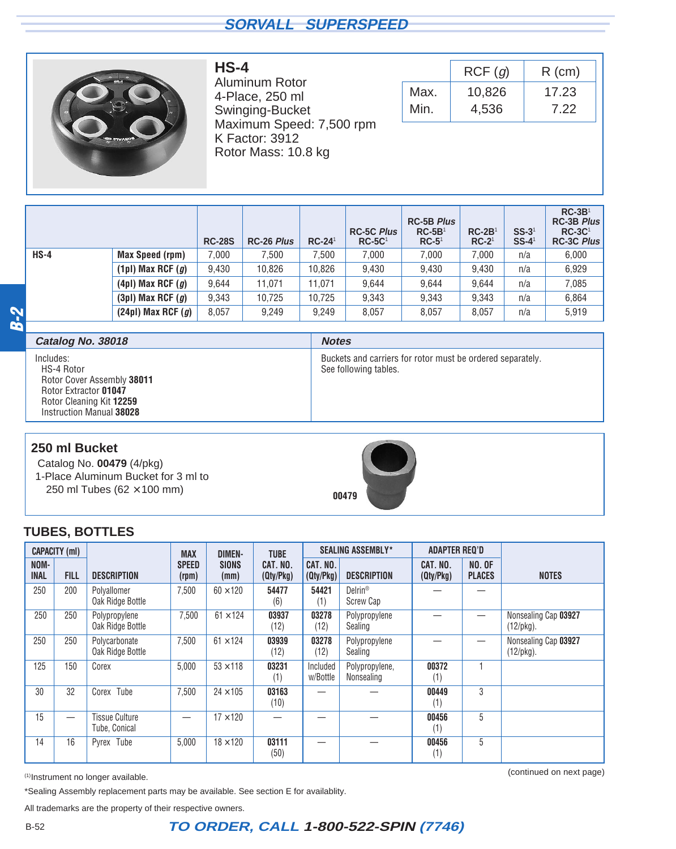<span id="page-33-0"></span>

Aluminum Rotor 4-Place, 250 ml Swinging-Bucket Maximum Speed: 7,500 rpm K Factor: 3912 Rotor Mass: 10.8 kg

**HS-4**

|      | RCF(q) | $R$ (cm) |
|------|--------|----------|
| Max. | 10,826 | 17.23    |
| Min. | 4,536  | 7.22     |

|        |                        | <b>RC-28S</b> | RC-26 Plus | $RC-24$ <sup>1</sup> | <b>RC-5C Plus</b><br>$RC-5C1$ | <b>RC-5B Plus</b><br>$RC-5B1$<br>$RC-5^1$ | $RC-2B1$<br>$RC-21$ | $SS-31$<br>$SS-41$ | $RC-3B1$<br><b>RC-3B Plus</b><br>$RC-3C1$<br><b>RC-3C Plus</b> |
|--------|------------------------|---------------|------------|----------------------|-------------------------------|-------------------------------------------|---------------------|--------------------|----------------------------------------------------------------|
| $HS-4$ | Max Speed (rpm)        | 7,000         | 7.500      | 7.500                | 7,000                         | 7.000                                     | 7.000               | n/a                | 6,000                                                          |
|        | (1pl) Max RCF $(g)$    | 9,430         | 10,826     | 10,826               | 9,430                         | 9.430                                     | 9,430               | n/a                | 6,929                                                          |
|        | $(4pl)$ Max RCF $(g)$  | 9.644         | 11.071     | 11.071               | 9.644                         | 9.644                                     | 9.644               | n/a                | 7,085                                                          |
|        | $(3pl)$ Max RCF $(g)$  | 9,343         | 10,725     | 10,725               | 9,343                         | 9.343                                     | 9,343               | n/a                | 6,864                                                          |
|        | $(24pl)$ Max RCF $(g)$ | 8,057         | 9,249      | 9,249                | 8,057                         | 8,057                                     | 8,057               | n/a                | 5,919                                                          |

**B-2**

| Catalog No. 38018                                                                                                                      | <b>Notes</b>                                                                        |
|----------------------------------------------------------------------------------------------------------------------------------------|-------------------------------------------------------------------------------------|
| Includes:<br>HS-4 Rotor<br>Rotor Cover Assembly 38011<br>Rotor Extractor 01047<br>Rotor Cleaning Kit 12259<br>Instruction Manual 38028 | Buckets and carriers for rotor must be ordered separately.<br>See following tables. |

#### **250 ml Bucket**

Catalog No. **00479** (4/pkg) 1-Place Aluminum Bucket for 3 ml to 250 ml Tubes ( $62 \times 100$  mm)



#### **TUBES, BOTTLES**

|                     | <b>CAPACITY (ml)</b> |                                        | <b>MAX</b>            | <b>DIMEN-</b>        | <b>TUBE</b>           |                       | <b>SEALING ASSEMBLY*</b>         | <b>ADAPTER REQ'D</b>  |                                |                                      |
|---------------------|----------------------|----------------------------------------|-----------------------|----------------------|-----------------------|-----------------------|----------------------------------|-----------------------|--------------------------------|--------------------------------------|
| NOM-<br><b>INAL</b> | <b>FILL</b>          | <b>DESCRIPTION</b>                     | <b>SPEED</b><br>(rpm) | <b>SIONS</b><br>(mm) | CAT. NO.<br>(Qty/Pkg) | CAT. NO.<br>(Qty/Pkg) | <b>DESCRIPTION</b>               | CAT. NO.<br>(Qty/Pkg) | <b>NO. OF</b><br><b>PLACES</b> | <b>NOTES</b>                         |
| 250                 | 200                  | Polyallomer<br>Oak Ridge Bottle        | 7,500                 | $60 \times 120$      | 54477<br>(6)          | 54421<br>(1)          | Delrin <sup>®</sup><br>Screw Cap |                       |                                |                                      |
| 250                 | 250                  | Polypropylene<br>Oak Ridge Bottle      | 7,500                 | $61 \times 124$      | 03937<br>(12)         | 03278<br>(12)         | Polypropylene<br>Sealing         |                       |                                | Nonsealing Cap 03927<br>$(12$ /pkg). |
| 250                 | 250                  | Polycarbonate<br>Oak Ridge Bottle      | 7,500                 | $61 \times 124$      | 03939<br>(12)         | 03278<br>(12)         | Polypropylene<br>Sealing         |                       |                                | Nonsealing Cap 03927<br>$(12$ /pkg). |
| 125                 | 150                  | Corex®                                 | 5,000                 | $53 \times 118$      | 03231<br>(1)          | Included<br>w/Bottle  | Polypropylene,<br>Nonsealing     | 00372<br>(1)          |                                |                                      |
| 30                  | 32                   | Corex <sup>®</sup> Tube                | 7,500                 | $24 \times 105$      | 03163<br>(10)         |                       |                                  | 00449<br>(1)          | 3                              |                                      |
| 15                  |                      | <b>Tissue Culture</b><br>Tube, Conical | –                     | $17 \times 120$      |                       |                       |                                  | 00456<br>(1)          | 5                              |                                      |
| 14                  | 16                   | Pyrex <sup>®</sup> Tube                | 5,000                 | $18 \times 120$      | 03111<br>(50)         |                       |                                  | 00456<br>(1)          | 5                              |                                      |

(continued on next page) (1)Instrument no longer available.

\*Sealing Assembly replacement parts may be available. See section E for availablity.

All trademarks are the property of their respective owners.

## B-52 **TO ORDER, CALL 1-800-522-SPIN (7746)**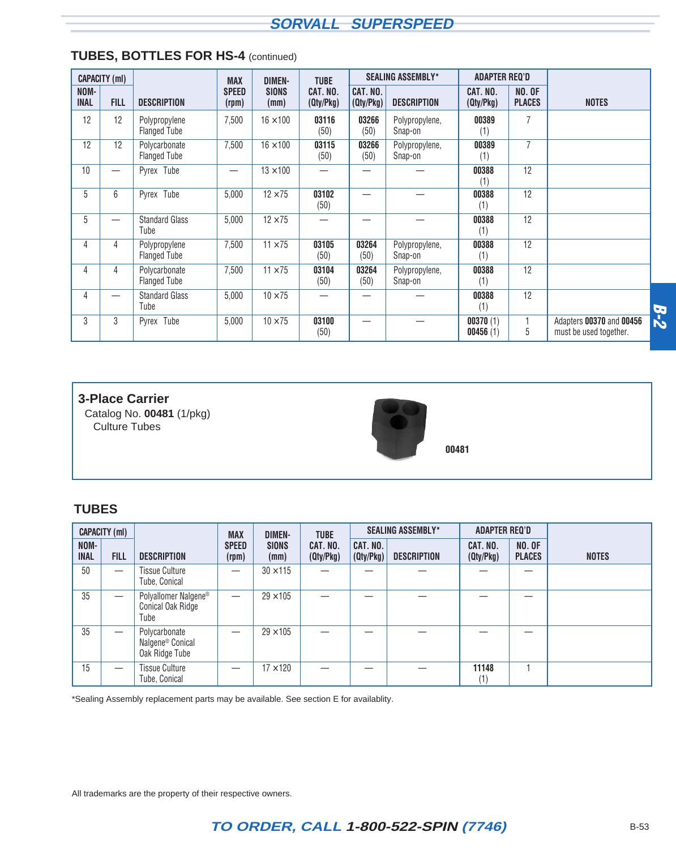|                     | <b>CAPACITY (ml)</b>     |                                      | <b>MAX</b>               | <b>DIMEN-</b>        | <b>TUBE</b>           |                       | <b>SEALING ASSEMBLY*</b>  | <b>ADAPTER REQ'D</b>  |                                |                                                    |            |
|---------------------|--------------------------|--------------------------------------|--------------------------|----------------------|-----------------------|-----------------------|---------------------------|-----------------------|--------------------------------|----------------------------------------------------|------------|
| NOM-<br><b>INAL</b> | <b>FILL</b>              | <b>DESCRIPTION</b>                   | <b>SPEED</b><br>(rpm)    | <b>SIONS</b><br>(mm) | CAT. NO.<br>(Qty/Pkg) | CAT. NO.<br>(Qty/Pkg) | <b>DESCRIPTION</b>        | CAT. NO.<br>(Qty/Pkg) | <b>NO. OF</b><br><b>PLACES</b> | <b>NOTES</b>                                       |            |
| 12                  | 12                       | Polypropylene<br><b>Flanged Tube</b> | 7,500                    | $16 \times 100$      | 03116<br>(50)         | 03266<br>(50)         | Polypropylene,<br>Snap-on | 00389<br>(1)          | 7                              |                                                    |            |
| 12                  | 12                       | Polycarbonate<br><b>Flanged Tube</b> | 7,500                    | $16 \times 100$      | 03115<br>(50)         | 03266<br>(50)         | Polypropylene,<br>Snap-on | 00389<br>(1)          | $\overline{7}$                 |                                                    |            |
| 10                  | $\overline{\phantom{0}}$ | Pyrex <sup>®</sup> Tube              | $\overline{\phantom{0}}$ | $13 \times 100$      |                       |                       |                           | 00388<br>(1)          | 12                             |                                                    |            |
| 5                   | 6                        | Pyrex <sup>®</sup> Tube              | 5,000                    | $12 \times 75$       | 03102<br>(50)         |                       |                           | 00388<br>(1)          | 12                             |                                                    |            |
| 5                   |                          | <b>Standard Glass</b><br>Tube        | 5,000                    | $12 \times 75$       |                       |                       |                           | 00388<br>(1)          | 12                             |                                                    |            |
| 4                   | 4                        | Polypropylene<br><b>Flanged Tube</b> | 7,500                    | $11 \times 75$       | 03105<br>(50)         | 03264<br>(50)         | Polypropylene,<br>Snap-on | 00388<br>(1)          | 12                             |                                                    |            |
| 4                   | 4                        | Polycarbonate<br><b>Flanged Tube</b> | 7,500                    | $11 \times 75$       | 03104<br>(50)         | 03264<br>(50)         | Polypropylene,<br>Snap-on | 00388<br>(1)          | 12                             |                                                    |            |
| 4                   |                          | <b>Standard Glass</b><br>Tube        | 5,000                    | $10 \times 75$       |                       |                       |                           | 00388<br>(1)          | 12                             |                                                    |            |
| 3                   | 3                        | Pyrex <sup>®</sup> Tube              | 5,000                    | $10 \times 75$       | 03100<br>(50)         |                       |                           | 00370(1)<br>00456(1)  | 5                              | Adapters 00370 and 00456<br>must be used together. | <b>B-2</b> |

#### **TUBES, BOTTLES FOR HS-4** (continued)

#### **3-Place Carrier**

Catalog No. **00481** (1/pkg) Culture Tubes



**00481**

#### **TUBES**

|                     | <b>CAPACITY (ml)</b>            |                                                                 | <b>MAX</b>            | <b>DIMEN-</b>        | <b>TUBE</b>           |                       | <b>SEALING ASSEMBLY*</b> | <b>ADAPTER REQ'D</b>  |                                |              |
|---------------------|---------------------------------|-----------------------------------------------------------------|-----------------------|----------------------|-----------------------|-----------------------|--------------------------|-----------------------|--------------------------------|--------------|
| NOM-<br><b>INAL</b> | <b>FILL</b>                     | <b>DESCRIPTION</b>                                              | <b>SPEED</b><br>(rpm) | <b>SIONS</b><br>(mm) | CAT. NO.<br>(Qty/Pkg) | CAT. NO.<br>(Qty/Pkg) | <b>DESCRIPTION</b>       | CAT. NO.<br>(Qty/Pkg) | <b>NO. OF</b><br><b>PLACES</b> | <b>NOTES</b> |
| 50                  |                                 | <b>Tissue Culture</b><br>Tube, Conical                          |                       | $30 \times 115$      |                       |                       |                          |                       |                                |              |
| 35                  | $\overbrace{\phantom{1232211}}$ | Polyallomer Nalgene <sup>®</sup><br>Conical Oak Ridge<br>Tube   |                       | $29 \times 105$      |                       |                       |                          |                       |                                |              |
| 35                  | $\overbrace{\phantom{1232211}}$ | Polycarbonate<br>Nalgene <sup>®</sup> Conical<br>Oak Ridge Tube |                       | $29 \times 105$      |                       |                       |                          |                       |                                |              |
| 15                  |                                 | <b>Tissue Culture</b><br>Tube, Conical                          |                       | $17 \times 120$      |                       |                       |                          | 11148<br>(1)          |                                |              |

\*Sealing Assembly replacement parts may be available. See section E for availablity.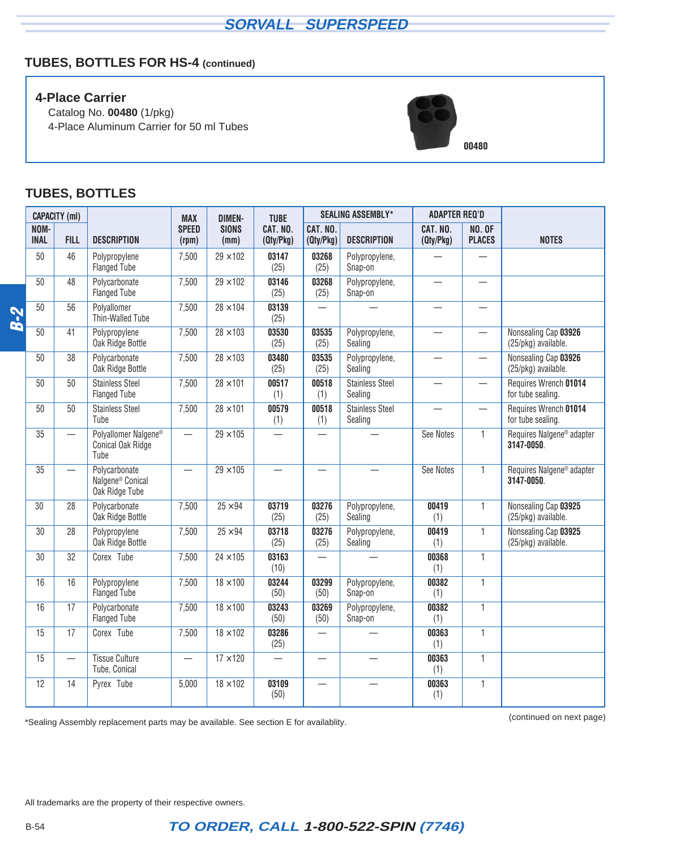## **TUBES, BOTTLES FOR HS-4 (continued)**

#### **4-Place Carrier**

Catalog No. **00480** (1/pkg) 4-Place Aluminum Carrier for 50 ml Tubes



#### **TUBES, BOTTLES**

|            |                     | <b>CAPACITY (ml)</b>              |                                                                 | <b>MAX</b>               | <b>DIMEN-</b>        | <b>TUBE</b>           |                                   | <b>SEALING ASSEMBLY*</b>          | <b>ADAPTER REQ'D</b>     |                                   |                                                     |
|------------|---------------------|-----------------------------------|-----------------------------------------------------------------|--------------------------|----------------------|-----------------------|-----------------------------------|-----------------------------------|--------------------------|-----------------------------------|-----------------------------------------------------|
|            | NOM-<br><b>INAL</b> | <b>FILL</b>                       | <b>DESCRIPTION</b>                                              | <b>SPEED</b><br>(rpm)    | <b>SIONS</b><br>(mm) | CAT. NO.<br>(Qty/Pkg) | CAT. NO.<br>(Qty/Pkg)             | <b>DESCRIPTION</b>                | CAT. NO.<br>(Qty/Pkg)    | <b>NO. OF</b><br><b>PLACES</b>    | <b>NOTES</b>                                        |
|            | 50                  | 46                                | Polypropylene<br><b>Flanged Tube</b>                            | 7,500                    | $29 \times 102$      | 03147<br>(25)         | 03268<br>(25)                     | Polypropylene,<br>Snap-on         |                          |                                   |                                                     |
|            | 50                  | 48                                | Polycarbonate<br><b>Flanged Tube</b>                            | 7,500                    | $29 \times 102$      | 03146<br>(25)         | 03268<br>(25)                     | Polypropylene,<br>Snap-on         | $\overline{\phantom{0}}$ | —                                 |                                                     |
| <b>B-2</b> | 50                  | 56                                | Polyallomer<br>Thin-Walled Tube                                 | 7,500                    | $28 \times 104$      | 03139<br>(25)         | $\overline{\phantom{0}}$          |                                   |                          | $\overbrace{\phantom{123221111}}$ |                                                     |
|            | 50                  | 41                                | Polypropylene<br>Oak Ridge Bottle                               | 7,500                    | $28 \times 103$      | 03530<br>(25)         | 03535<br>(25)                     | Polypropylene,<br>Sealing         |                          |                                   | Nonsealing Cap 03926<br>(25/pkg) available.         |
|            | 50                  | 38                                | Polycarbonate<br>Oak Ridge Bottle                               | 7,500                    | $28 \times 103$      | 03480<br>(25)         | 03535<br>(25)                     | Polypropylene,<br>Sealing         |                          | $\overline{\phantom{0}}$          | Nonsealing Cap 03926<br>(25/pkg) available.         |
|            | 50                  | 50                                | <b>Stainless Steel</b><br><b>Flanged Tube</b>                   | 7,500                    | $28 \times 101$      | 00517<br>(1)          | 00518<br>(1)                      | Stainless Steel<br>Sealing        |                          | $\qquad \qquad -$                 | Requires Wrench 01014<br>for tube sealing.          |
|            | 50                  | 50                                | <b>Stainless Steel</b><br>Tube                                  | 7,500                    | $28 \times 101$      | 00579<br>(1)          | 00518<br>(1)                      | <b>Stainless Steel</b><br>Sealing |                          | $\qquad \qquad -$                 | Requires Wrench 01014<br>for tube sealing.          |
|            | 35                  | $\overbrace{\phantom{123221111}}$ | Polyallomer Nalgene®<br>Conical Oak Ridge<br>Tube               | $\overline{\phantom{0}}$ | $29 \times 105$      |                       |                                   |                                   | See Notes                | $\mathbf{1}$                      | Requires Nalgene <sup>®</sup> adapter<br>3147-0050. |
|            | $\overline{35}$     |                                   | Polycarbonate<br>Nalgene <sup>®</sup> Conical<br>Oak Ridge Tube | $\overline{\phantom{0}}$ | $29 \times 105$      |                       |                                   |                                   | See Notes                | 1                                 | Requires Nalgene <sup>®</sup> adapter<br>3147-0050. |
|            | 30                  | 28                                | Polycarbonate<br>Oak Ridge Bottle                               | 7,500                    | $25 \times 94$       | 03719<br>(25)         | 03276<br>(25)                     | Polypropylene,<br>Sealing         | 00419<br>(1)             | $\mathbf{1}$                      | Nonsealing Cap 03925<br>(25/pkg) available.         |
|            | 30                  | 28                                | Polypropylene<br>Oak Ridge Bottle                               | 7,500                    | $25 \times 94$       | 03718<br>(25)         | 03276<br>(25)                     | Polypropylene,<br>Sealing         | 00419<br>(1)             | $\mathbf{1}$                      | Nonsealing Cap 03925<br>(25/pkg) available.         |
|            | 30                  | 32                                | Corex <sup>®</sup> Tube                                         | 7,500                    | $24 \times 105$      | 03163<br>(10)         |                                   |                                   | 00368<br>(1)             | $\mathbf{1}$                      |                                                     |
|            | 16                  | 16                                | Polypropylene<br><b>Flanged Tube</b>                            | 7,500                    | $18 \times 100$      | 03244<br>(50)         | 03299<br>(50)                     | Polypropylene,<br>Snap-on         | 00382<br>(1)             | $\overline{1}$                    |                                                     |
|            | 16                  | 17                                | Polycarbonate<br><b>Flanged Tube</b>                            | 7,500                    | $18 \times 100$      | 03243<br>(50)         | 03269<br>(50)                     | Polypropylene,<br>Snap-on         | 00382<br>(1)             | $\mathbf{1}$                      |                                                     |
|            | $\overline{15}$     | 17                                | Corex <sup>®</sup> Tube                                         | 7,500                    | $18 \times 102$      | 03286<br>(25)         | $\overline{\phantom{0}}$          |                                   | 00363<br>(1)             | $\mathbf{1}$                      |                                                     |
|            | 15                  |                                   | <b>Tissue Culture</b><br>Tube, Conical                          | $\overline{\phantom{0}}$ | $17 \times 120$      |                       | $\overbrace{\phantom{123221111}}$ |                                   | 00363<br>(1)             | $\mathbf{1}$                      |                                                     |
|            | 12                  | 14                                | Pyrex <sup>®</sup> Tube                                         | 5,000                    | $18 \times 102$      | 03109<br>(50)         |                                   |                                   | 00363<br>(1)             | $\overline{1}$                    |                                                     |

(continued on next page) \*Sealing Assembly replacement parts may be available. See section E for availablity.

All trademarks are the property of their respective owners.

## B-54 **TO ORDER, CALL 1-800-522-SPIN (7746)**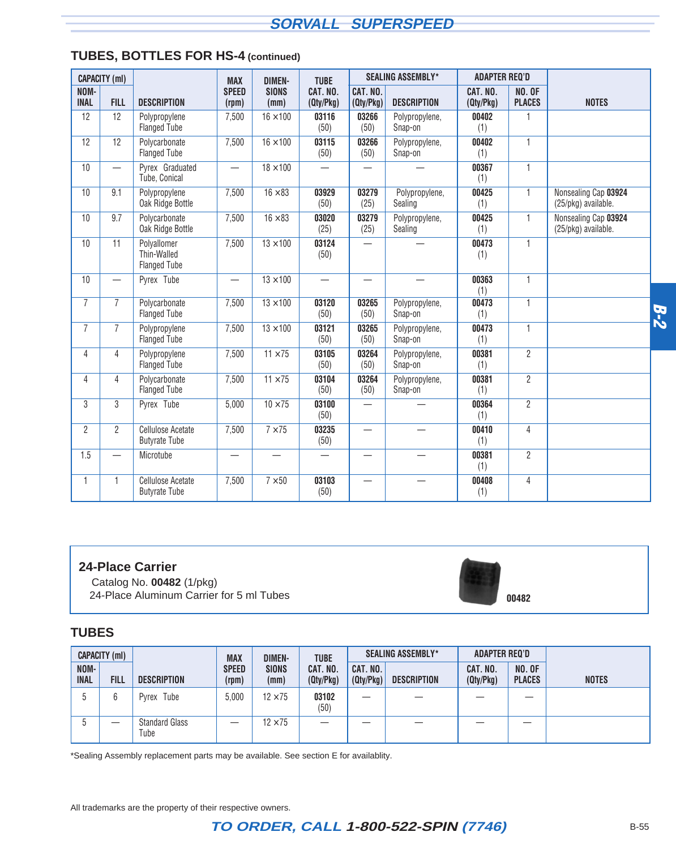|                     | <b>CAPACITY (ml)</b>     |                                                   | <b>MAX</b>                       | <b>DIMEN-</b>        | <b>TUBE</b>              |                          | <b>SEALING ASSEMBLY*</b>  | <b>ADAPTER REQ'D</b>  |                                |                                             |            |
|---------------------|--------------------------|---------------------------------------------------|----------------------------------|----------------------|--------------------------|--------------------------|---------------------------|-----------------------|--------------------------------|---------------------------------------------|------------|
| NOM-<br><b>INAL</b> | <b>FILL</b>              | <b>DESCRIPTION</b>                                | <b>SPEED</b><br>(rpm)            | <b>SIONS</b><br>(mm) | CAT. NO.<br>(Qty/Pkg)    | CAT. NO.<br>(Qty/Pkg)    | <b>DESCRIPTION</b>        | CAT. NO.<br>(Qty/Pkg) | <b>NO. OF</b><br><b>PLACES</b> | <b>NOTES</b>                                |            |
| 12                  | 12                       | Polypropylene<br><b>Flanged Tube</b>              | 7,500                            | $16 \times 100$      | 03116<br>(50)            | 03266<br>(50)            | Polypropylene,<br>Snap-on | 00402<br>(1)          | 1                              |                                             |            |
| 12                  | 12                       | Polycarbonate<br><b>Flanged Tube</b>              | 7,500                            | $16 \times 100$      | 03115<br>(50)            | 03266<br>(50)            | Polypropylene,<br>Snap-on | 00402<br>(1)          | $\mathbf{1}$                   |                                             |            |
| 10                  | $\overline{\phantom{0}}$ | Pyrex <sup>®</sup> Graduated<br>Tube, Conical     | $\overbrace{\phantom{12322111}}$ | $18 \times 100$      | $\overline{\phantom{0}}$ |                          |                           | 00367<br>(1)          | $\mathbf{1}$                   |                                             |            |
| 10                  | 9.1                      | Polypropylene<br>Oak Ridge Bottle                 | 7,500                            | $16 \times 83$       | 03929<br>(50)            | 03279<br>(25)            | Polypropylene,<br>Sealing | 00425<br>(1)          | $\mathbf{1}$                   | Nonsealing Cap 03924<br>(25/pkg) available. |            |
| 10                  | 9.7                      | Polycarbonate<br>Oak Ridge Bottle                 | 7,500                            | $16 \times 83$       | 03020<br>(25)            | 03279<br>(25)            | Polypropylene,<br>Sealing | 00425<br>(1)          | 1                              | Nonsealing Cap 03924<br>(25/pkg) available. |            |
| 10                  | 11                       | Polyallomer<br>Thin-Walled<br><b>Flanged Tube</b> | 7,500                            | $13 \times 100$      | 03124<br>(50)            |                          |                           | 00473<br>(1)          | $\mathbf{1}$                   |                                             |            |
| 10                  |                          | Pyrex <sup>®</sup> Tube                           | $\overline{\phantom{0}}$         | $13 \times 100$      |                          |                          |                           | 00363<br>(1)          | 1                              |                                             |            |
| $\overline{7}$      | $\overline{7}$           | Polycarbonate<br><b>Flanged Tube</b>              | 7,500                            | $13 \times 100$      | 03120<br>(50)            | 03265<br>(50)            | Polypropylene,<br>Snap-on | 00473<br>(1)          | $\mathbf{1}$                   |                                             | <b>B-2</b> |
| $\overline{7}$      | $\overline{7}$           | Polypropylene<br><b>Flanged Tube</b>              | 7,500                            | $13 \times 100$      | 03121<br>(50)            | 03265<br>(50)            | Polypropylene,<br>Snap-on | 00473<br>(1)          | $\mathbf{1}$                   |                                             |            |
| $\overline{4}$      | 4                        | Polypropylene<br><b>Flanged Tube</b>              | 7,500                            | $11 \times 75$       | 03105<br>(50)            | 03264<br>(50)            | Polypropylene,<br>Snap-on | 00381<br>(1)          | $\overline{2}$                 |                                             |            |
| $\overline{4}$      | 4                        | Polycarbonate<br><b>Flanged Tube</b>              | 7,500                            | $11 \times 75$       | 03104<br>(50)            | 03264<br>(50)            | Polypropylene,<br>Snap-on | 00381<br>(1)          | $\overline{2}$                 |                                             |            |
| 3                   | 3                        | Pyrex <sup>®</sup> Tube                           | 5,000                            | $10 \times 75$       | 03100<br>(50)            | $\overline{\phantom{0}}$ |                           | 00364<br>(1)          | $\overline{2}$                 |                                             |            |
| $\overline{2}$      | $\overline{2}$           | <b>Cellulose Acetate</b><br><b>Butyrate Tube</b>  | 7,500                            | $7 \times 75$        | 03235<br>(50)            |                          |                           | 00410<br>(1)          | $\overline{4}$                 |                                             |            |
| 1.5                 | $\overline{\phantom{0}}$ | Microtube                                         | $\overbrace{\phantom{12321111}}$ |                      | $\overline{\phantom{0}}$ | $\overline{\phantom{0}}$ |                           | 00381<br>(1)          | $\overline{2}$                 |                                             |            |
| $\mathbf{1}$        | $\mathbf{1}$             | Cellulose Acetate<br><b>Butyrate Tube</b>         | 7,500                            | $7\times50$          | 03103<br>(50)            |                          |                           | 00408<br>(1)          | $\overline{4}$                 |                                             |            |

#### **TUBES, BOTTLES FOR HS-4 (continued)**

#### **24-Place Carrier**

Catalog No. **00482** (1/pkg) 24-Place Aluminum Carrier for 5 ml Tubes

# **00482**

#### **TUBES**

|                     | <b>CAPACITY (ml)</b> |                               | <b>MAX</b>            | <b>TUBE</b><br><b>DIMEN-</b> |                       | <b>SEALING ASSEMBLY*</b> | ADAPTER REQ'D      |                       |                                |              |
|---------------------|----------------------|-------------------------------|-----------------------|------------------------------|-----------------------|--------------------------|--------------------|-----------------------|--------------------------------|--------------|
| NOM-<br><b>INAL</b> | <b>FILL</b>          | <b>DESCRIPTION</b>            | <b>SPEED</b><br>(rpm) | <b>SIONS</b><br>(mm)         | CAT. NO.<br>(Qty/Pkg) | CAT. NO.<br>(Qty/Pkg)    | <b>DESCRIPTION</b> | CAT. NO.<br>(Qty/Pkg) | <b>NO. OF</b><br><b>PLACES</b> | <b>NOTES</b> |
|                     | b                    | Pyrex® Tube                   | 5.000                 | $12 \times 75$               | 03102<br>(50)         |                          |                    |                       |                                |              |
|                     | __                   | <b>Standard Glass</b><br>Tube |                       | $12 \times 75$               | –                     |                          |                    |                       |                                |              |

\*Sealing Assembly replacement parts may be available. See section E for availablity.

All trademarks are the property of their respective owners.

## **TO ORDER, CALL 1-800-522-SPIN (7746)** B-55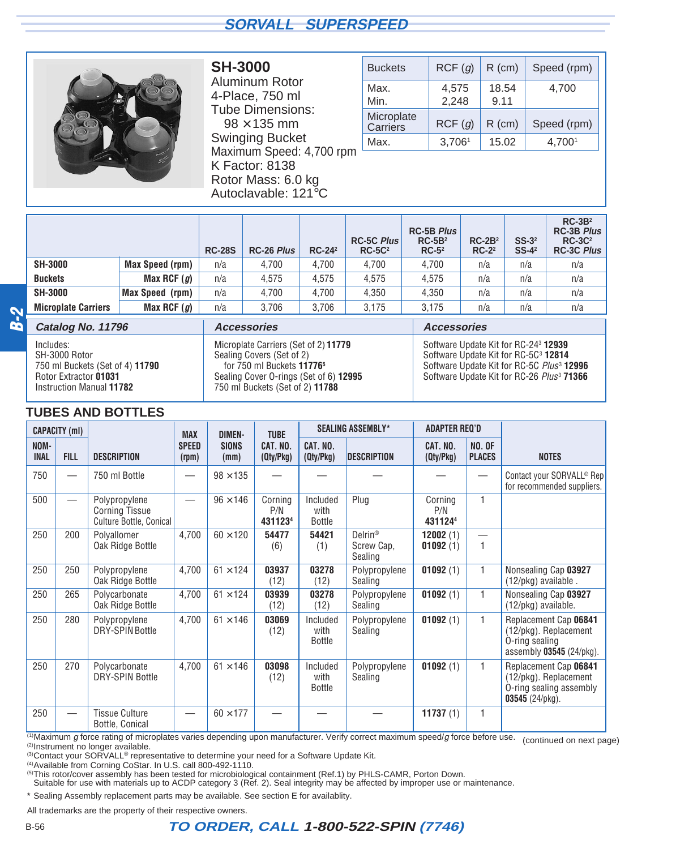<span id="page-37-0"></span>

**SH-3000** Aluminum Rotor 4-Place, 750 ml Tube Dimensions:  $98 \times 135$  mm Swinging Bucket Maximum Speed: 4,700 rpm K Factor: 8138 Rotor Mass: 6.0 kg Autoclavable: 121°C

| <b>Buckets</b>         | RCF(g)         | $R$ (cm)      | Speed (rpm) |
|------------------------|----------------|---------------|-------------|
| Max.<br>Min.           | 4,575<br>2,248 | 18.54<br>9.11 | 4,700       |
| Microplate<br>Carriers | RCF(g)         | $R$ (cm)      | Speed (rpm) |
| Max.                   | 3,7061         | 15.02         | 4,7001      |

|                            |                 | <b>RC-28S</b> | RC-26 Plus | $RC-24^2$ | <b>RC-5C Plus</b><br>$RC-5C2$ | <b>RC-5B Plus</b><br>$RC-5B2$<br>$RC-52$ | $RC-2B2$<br>$RC-2^2$ | $SS-32$<br>$SS-4^2$ | $RC-3B2$<br><b>RC-3B Plus</b><br>$RC-3C2$<br><b>RC-3C Plus</b> |
|----------------------------|-----------------|---------------|------------|-----------|-------------------------------|------------------------------------------|----------------------|---------------------|----------------------------------------------------------------|
| <b>SH-3000</b>             | Max Speed (rpm) | n/a           | 4.700      | 4.700     | 4.700                         | 4.700                                    | n/a                  | n/a                 | n/a                                                            |
| <b>Buckets</b>             | Max RCF $(g)$   | n/a           | 4.575      | 4.575     | 4.575                         | 4.575                                    | n/a                  | n/a                 | n/a                                                            |
| <b>SH-3000</b>             | Max Speed (rpm) | n/a           | 4.700      | 4.700     | 4.350                         | 4.350                                    | n/a                  | n/a                 | n/a                                                            |
| <b>Microplate Carriers</b> | Max RCF $(g)$   | n/a           | 3,706      | 3.706     | 3.175                         | 3,175                                    | n/a                  | n/a                 | n/a                                                            |

## **B-2**

**Catalog No. 11796** Includes: SH-3000 Rotor 750 ml Buckets (Set of 4) **11790** Rotor Extractor **01031** Instruction Manual **11782**

Microplate Carriers (Set of 2) **11779** Sealing Covers (Set of 2) for 750 ml Buckets **117765** Sealing Cover O-rings (Set of 6) **12995** 750 ml Buckets (Set of 2) **11788**

**Accessories**

**Accessories** Software Update Kit for RC-243 **12939** Software Update Kit for RC-5C3 **12814** Software Update Kit for RC-5C Plus<sup>3</sup> **12996** Software Update Kit for RC-26 Plus<sup>3</sup> **71366**

#### **TUBES AND BOTTLES**

|                     | <b>CAPACITY (ml)</b>     |                                                                   | <b>MAX</b>            | <b>DIMEN-</b>        | <b>TUBE</b>               |                                   | <b>SEALING ASSEMBLY*</b>                     | <b>ADAPTER REQ'D</b>      |                                |                                                                                                      |
|---------------------|--------------------------|-------------------------------------------------------------------|-----------------------|----------------------|---------------------------|-----------------------------------|----------------------------------------------|---------------------------|--------------------------------|------------------------------------------------------------------------------------------------------|
| NOM-<br><b>INAL</b> | <b>FILL</b>              | <b>DESCRIPTION</b>                                                | <b>SPEED</b><br>(rpm) | <b>SIONS</b><br>(mm) | CAT. NO.<br>(Qty/Pkg)     | CAT. NO.<br>(Qty/Pkg)             | <b>DESCRIPTION</b>                           | CAT. NO.<br>(Qty/Pkg)     | <b>NO. OF</b><br><b>PLACES</b> | <b>NOTES</b>                                                                                         |
| 750                 | $\overline{\phantom{0}}$ | 750 ml Bottle                                                     |                       | $98 \times 135$      |                           |                                   |                                              |                           |                                | Contact your SORVALL <sup>®</sup> Rep<br>for recommended suppliers.                                  |
| 500                 | $\overline{\phantom{0}}$ | Polypropylene<br><b>Corning Tissue</b><br>Culture Bottle, Conical |                       | $96 \times 146$      | Corning<br>P/N<br>4311234 | Included<br>with<br>Bottle        | Plug                                         | Corning<br>P/N<br>4311244 | 1                              |                                                                                                      |
| 250                 | 200                      | Polyallomer<br>Oak Ridge Bottle                                   | 4,700                 | $60 \times 120$      | 54477<br>(6)              | 54421<br>(1)                      | Delrin <sup>®</sup><br>Screw Cap.<br>Sealing | 12002(1)<br>01092(1)      | 1                              |                                                                                                      |
| 250                 | 250                      | Polypropylene<br>Oak Ridge Bottle                                 | 4,700                 | $61 \times 124$      | 03937<br>(12)             | 03278<br>(12)                     | Polypropylene<br>Sealing                     | 01092(1)                  | 1                              | Nonsealing Cap 03927<br>(12/pkg) available.                                                          |
| 250                 | 265                      | Polycarbonate<br>Oak Ridge Bottle                                 | 4,700                 | $61 \times 124$      | 03939<br>(12)             | 03278<br>(12)                     | Polypropylene<br>Sealing                     | 01092(1)                  | $\mathbf{1}$                   | Nonsealing Cap 03927<br>(12/pkg) available.                                                          |
| 250                 | 280                      | Polypropylene<br><b>DRY-SPIN Bottle</b>                           | 4,700                 | $61 \times 146$      | 03069<br>(12)             | Included<br>with<br>Bottle        | Polypropylene<br>Sealing                     | 01092(1)                  | 1                              | Replacement Cap 06841<br>(12/pkg). Replacement<br>O-ring sealing<br>assembly 03545 (24/pkg).         |
| 250                 | 270                      | Polycarbonate<br><b>DRY-SPIN Bottle</b>                           | 4,700                 | $61 \times 146$      | 03098<br>(12)             | Included<br>with<br><b>Bottle</b> | Polypropylene<br>Sealing                     | 01092(1)                  | 1                              | Replacement Cap 06841<br>(12/pkg). Replacement<br>O-ring sealing assembly<br>$03545(24/\text{pkg}).$ |
| 250                 |                          | <b>Tissue Culture</b><br>Bottle, Conical                          |                       | $60 \times 177$      |                           |                                   |                                              | 11737(1)                  | 1                              |                                                                                                      |

(1)Maximum g force rating of microplates varies depending upon manufacturer. Verify correct maximum speed/g force before use. (continued on next page)<br>(2)Instrument no longer available.

(3) Contact your SORVALL<sup>®</sup> representative to determine your need for a Software Update Kit.

(4)Available from Corning CoStar. In U.S. call 800-492-1110.

(5)This rotor/cover assembly has been tested for microbiological containment (Ref.1) by PHLS-CAMR, Porton Down.

Suitable for use with materials up to ACDP category 3 (Ref. 2). Seal integrity may be affected by improper use or maintenance.

\* Sealing Assembly replacement parts may be available. See section E for availablity.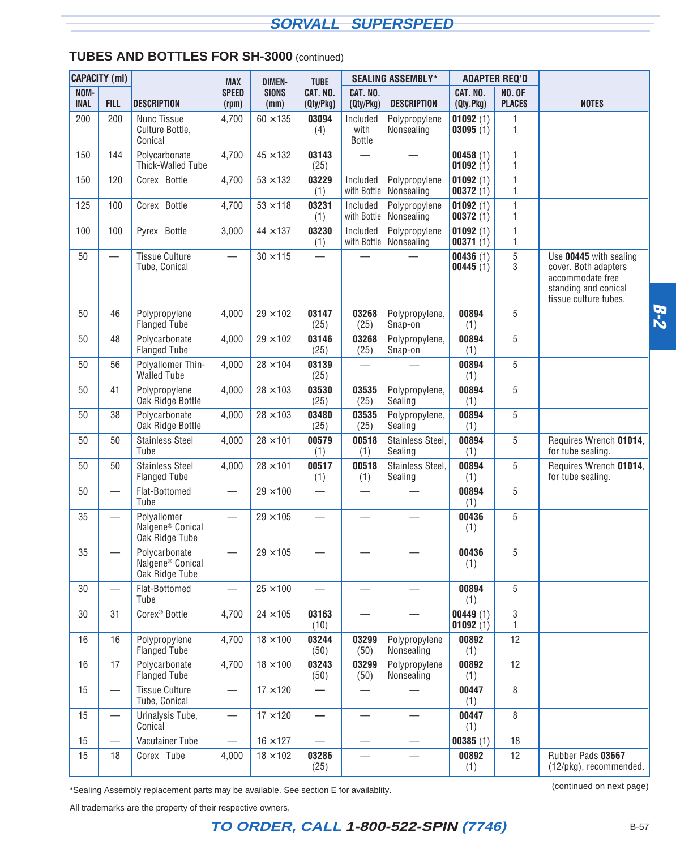#### **TUBES AND BOTTLES FOR SH-3000** (continued)

|                     | <b>CAPACITY (ml)</b>             |                                                                 | <b>MAX</b>               | <b>DIMEN-</b>        | <b>TUBE</b>              |                                   | <b>SEALING ASSEMBLY*</b>    |                         | <b>ADAPTER REQ'D</b>           |                                                                                                                     |
|---------------------|----------------------------------|-----------------------------------------------------------------|--------------------------|----------------------|--------------------------|-----------------------------------|-----------------------------|-------------------------|--------------------------------|---------------------------------------------------------------------------------------------------------------------|
| NOM-<br><b>INAL</b> | <b>FILL</b>                      | <b>DESCRIPTION</b>                                              | <b>SPEED</b><br>(rpm)    | <b>SIONS</b><br>(mm) | CAT. NO.<br>(Qty/Pkg)    | CAT. NO.<br>(Qty/Pkg)             | <b>DESCRIPTION</b>          | CAT. NO.<br>(Qty.Pkg)   | <b>NO. OF</b><br><b>PLACES</b> | <b>NOTES</b>                                                                                                        |
| 200                 | 200                              | <b>Nunc Tissue</b><br>Culture Bottle,<br>Conical                | 4,700                    | $60 \times 135$      | 03094<br>(4)             | Included<br>with<br><b>Bottle</b> | Polypropylene<br>Nonsealing | 01092(1)<br>03095(1)    | 1<br>1                         |                                                                                                                     |
| 150                 | 144                              | Polycarbonate<br>Thick-Walled Tube                              | 4,700                    | $45 \times 132$      | 03143<br>(25)            |                                   |                             | 00458(1)<br>01092(1)    | 1<br>1                         |                                                                                                                     |
| 150                 | 120                              | Corex <sup>®</sup> Bottle                                       | 4,700                    | $53 \times 132$      | 03229<br>(1)             | Included<br>with Bottle           | Polypropylene<br>Nonsealing | 01092(1)<br>00372(1)    | 1<br>1                         |                                                                                                                     |
| 125                 | 100                              | Corex <sup>®</sup> Bottle                                       | 4,700                    | $53 \times 118$      | 03231<br>(1)             | Included<br>with Bottle           | Polypropylene<br>Nonsealing | 01092(1)<br>00372(1)    | 1<br>1                         |                                                                                                                     |
| 100                 | 100                              | Pyrex <sup>®</sup> Bottle                                       | 3,000                    | $44 \times 137$      | 03230<br>(1)             | Included<br>with Bottle           | Polypropylene<br>Nonsealing | 01092(1)<br>00371(1)    | 1<br>1                         |                                                                                                                     |
| 50                  | $\overbrace{\phantom{12322111}}$ | <b>Tissue Culture</b><br>Tube, Conical                          |                          | $30 \times 115$      |                          |                                   |                             | 00436(1)<br>00445(1)    | 5<br>3                         | Use 00445 with sealing<br>cover. Both adapters<br>accommodate free<br>standing and conical<br>tissue culture tubes. |
| 50                  | 46                               | Polypropylene<br><b>Flanged Tube</b>                            | 4,000                    | $29 \times 102$      | 03147<br>(25)            | 03268<br>(25)                     | Polypropylene,<br>Snap-on   | 00894<br>(1)            | 5                              |                                                                                                                     |
| 50                  | 48                               | Polycarbonate<br><b>Flanged Tube</b>                            | 4,000                    | $29 \times 102$      | 03146<br>(25)            | 03268<br>(25)                     | Polypropylene,<br>Snap-on   | 00894<br>(1)            | 5                              |                                                                                                                     |
| 50                  | 56                               | Polyallomer Thin-<br><b>Walled Tube</b>                         | 4,000                    | $28 \times 104$      | 03139<br>(25)            | $\overline{\phantom{0}}$          |                             | 00894<br>(1)            | 5                              |                                                                                                                     |
| 50                  | 41                               | Polypropylene<br>Oak Ridge Bottle                               | 4,000                    | $28 \times 103$      | 03530<br>(25)            | 03535<br>(25)                     | Polypropylene,<br>Sealing   | 00894<br>(1)            | 5                              |                                                                                                                     |
| 50                  | 38                               | Polycarbonate<br>Oak Ridge Bottle                               | 4,000                    | $28 \times 103$      | 03480<br>(25)            | 03535<br>(25)                     | Polypropylene,<br>Sealing   | 00894<br>(1)            | 5                              |                                                                                                                     |
| 50                  | 50                               | <b>Stainless Steel</b><br>Tube                                  | 4,000                    | $28 \times 101$      | 00579<br>(1)             | 00518<br>(1)                      | Stainless Steel,<br>Sealing | 00894<br>(1)            | 5                              | Requires Wrench 01014,<br>for tube sealing.                                                                         |
| 50                  | 50                               | <b>Stainless Steel</b><br><b>Flanged Tube</b>                   | 4,000                    | $28 \times 101$      | 00517<br>(1)             | 00518<br>(1)                      | Stainless Steel,<br>Sealing | 00894<br>(1)            | 5                              | Requires Wrench 01014,<br>for tube sealing.                                                                         |
| 50                  | $\overline{\phantom{0}}$         | Flat-Bottomed<br>Tube                                           |                          | $29 \times 100$      | $\overline{\phantom{0}}$ | $\overline{\phantom{0}}$          |                             | 00894<br>(1)            | 5                              |                                                                                                                     |
| 35                  |                                  | Polyallomer<br>Nalgene <sup>®</sup> Conical<br>Oak Ridge Tube   | $\overline{\phantom{0}}$ | $29 \times 105$      |                          |                                   |                             | 00436<br>(1)            | 5                              |                                                                                                                     |
| 35                  |                                  | Polycarbonate<br>Nalgene <sup>®</sup> Conical<br>Oak Ridge Tube |                          | $29\times105$        |                          |                                   |                             | 00436<br>(1)            | 5                              |                                                                                                                     |
| 30                  |                                  | Flat-Bottomed<br>Tube                                           |                          | $25 \times 100$      | $\overline{\phantom{0}}$ | $\overline{\phantom{0}}$          |                             | 00894<br>(1)            | 5                              |                                                                                                                     |
| 30                  | 31                               | Corex <sup>®</sup> Bottle                                       | 4,700                    | $24 \times 105$      | 03163<br>(10)            |                                   |                             | 00449(1)<br>01092 $(1)$ | 3<br>1                         |                                                                                                                     |
| 16                  | 16                               | Polypropylene<br>Flanged Tube                                   | 4,700                    | $18 \times 100$      | 03244<br>(50)            | 03299<br>(50)                     | Polypropylene<br>Nonsealing | 00892<br>(1)            | 12                             |                                                                                                                     |
| 16                  | 17                               | Polycarbonate<br><b>Flanged Tube</b>                            | 4,700                    | $18 \times 100$      | 03243<br>(50)            | 03299<br>(50)                     | Polypropylene<br>Nonsealing | 00892<br>(1)            | 12                             |                                                                                                                     |
| 15                  |                                  | <b>Tissue Culture</b><br>Tube, Conical                          |                          | $17 \times 120$      |                          |                                   |                             | 00447<br>(1)            | 8                              |                                                                                                                     |
| 15                  |                                  | Urinalysis Tube,<br>Conical                                     |                          | $17 \times 120$      |                          | $\overbrace{\phantom{123221111}}$ |                             | 00447<br>(1)            | 8                              |                                                                                                                     |
| 15                  | $\overline{\phantom{0}}$         | Vacutainer Tube                                                 |                          | $16 \times 127$      | $\overline{\phantom{0}}$ | $\overline{\phantom{0}}$          |                             | 00385(1)                | 18                             |                                                                                                                     |
| 15                  | 18                               | Corex <sup>®</sup> Tube                                         | 4,000                    | $18 \times 102$      | 03286<br>(25)            |                                   |                             | 00892<br>(1)            | 12                             | Rubber Pads 03667<br>(12/pkg), recommended.                                                                         |

(continued on next page) \*Sealing Assembly replacement parts may be available. See section E for availablity.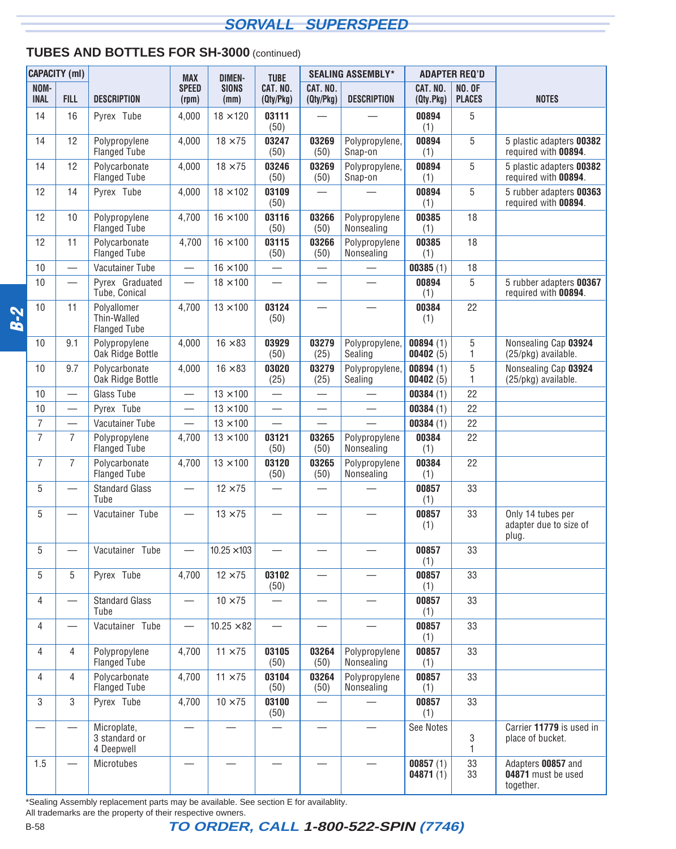#### **TUBES AND BOTTLES FOR SH-3000** (continued)

|            |                     | <b>CAPACITY (ml)</b>             |                                                   | <b>MAX</b>                       | <b>DIMEN-</b>        | <b>TUBE</b>                       |                          | <b>SEALING ASSEMBLY*</b>      |                       | <b>ADAPTER REQ'D</b>           |                                                       |
|------------|---------------------|----------------------------------|---------------------------------------------------|----------------------------------|----------------------|-----------------------------------|--------------------------|-------------------------------|-----------------------|--------------------------------|-------------------------------------------------------|
|            | NOM-<br><b>INAL</b> | <b>FILL</b>                      | <b>DESCRIPTION</b>                                | <b>SPEED</b><br>(rpm)            | <b>SIONS</b><br>(mm) | CAT. NO.<br>(Qty/Pkg)             | CAT. NO.<br>(Qty/Pkg)    | <b>DESCRIPTION</b>            | CAT. NO.<br>(Qty.Pkg) | <b>NO. OF</b><br><b>PLACES</b> | <b>NOTES</b>                                          |
|            | 14                  | 16                               | Pyrex <sup>®</sup> Tube                           | 4,000                            | $18 \times 120$      | 03111<br>(50)                     |                          |                               | 00894<br>(1)          | 5                              |                                                       |
|            | 14                  | 12                               | Polypropylene<br><b>Flanged Tube</b>              | 4,000                            | $18 \times 75$       | 03247<br>(50)                     | 03269<br>(50)            | Polypropylene,<br>Snap-on     | 00894<br>(1)          | 5                              | 5 plastic adapters 00382<br>required with 00894.      |
|            | 14                  | 12                               | Polycarbonate<br><b>Flanged Tube</b>              | 4,000                            | $18 \times 75$       | 03246<br>(50)                     | 03269<br>(50)            | Polypropylene,<br>Snap-on     | 00894<br>(1)          | 5                              | 5 plastic adapters 00382<br>required with 00894.      |
|            | 12                  | 14                               | Pyrex <sup>®</sup> Tube                           | 4,000                            | $18 \times 102$      | 03109<br>(50)                     |                          |                               | 00894<br>(1)          | 5                              | 5 rubber adapters 00363<br>required with 00894.       |
|            | 12                  | 10                               | Polypropylene<br><b>Flanged Tube</b>              | 4,700                            | $16 \times 100$      | 03116<br>(50)                     | 03266<br>(50)            | Polypropylene<br>Nonsealing   | 00385<br>(1)          | 18                             |                                                       |
|            | 12                  | 11                               | Polycarbonate<br><b>Flanged Tube</b>              | 4,700                            | $16 \times 100$      | 03115<br>(50)                     | 03266<br>(50)            | Polypropylene<br>Nonsealing   | 00385<br>(1)          | 18                             |                                                       |
|            | 10                  |                                  | Vacutainer Tube                                   | $\overbrace{\phantom{12322111}}$ | $16 \times 100$      | $\overbrace{\phantom{123221111}}$ |                          |                               | 00385(1)              | 18                             |                                                       |
|            | 10                  |                                  | Pyrex <sup>®</sup> Graduated<br>Tube, Conical     | $\overline{\phantom{0}}$         | $18 \times 100$      |                                   | $\overline{\phantom{0}}$ | $\overline{\phantom{0}}$      | 00894<br>(1)          | 5                              | 5 rubber adapters 00367<br>required with 00894.       |
| <b>B-2</b> | 10                  | 11                               | Polyallomer<br>Thin-Walled<br><b>Flanged Tube</b> | 4,700                            | $13 \times 100$      | 03124<br>(50)                     |                          |                               | 00384<br>(1)          | 22                             |                                                       |
|            | 10                  | 9.1                              | Polypropylene<br>Oak Ridge Bottle                 | 4,000                            | $16 \times 83$       | 03929<br>(50)                     | 03279<br>(25)            | Polypropylene,<br>Sealing     | 00894(1)<br>00402(5)  | 5<br>1.                        | Nonsealing Cap 03924<br>(25/pkg) available.           |
|            | 10                  | 9.7                              | Polycarbonate<br>Oak Ridge Bottle                 | 4,000                            | $16 \times 83$       | 03020<br>(25)                     | 03279<br>(25)            | Polypropylene,<br>Sealing     | 00894(1)<br>00402(5)  | 5<br>1                         | Nonsealing Cap 03924<br>(25/pkg) available.           |
|            | 10                  | $\overbrace{\phantom{12322111}}$ | <b>Glass Tube</b>                                 |                                  | $13 \times 100$      | $\overline{\phantom{0}}$          |                          |                               | 00384(1)              | 22                             |                                                       |
|            | 10                  |                                  | Pyrex <sup>®</sup> Tube                           |                                  | $13 \times 100$      |                                   |                          |                               | 00384(1)              | 22                             |                                                       |
|            | $\overline{7}$      |                                  | Vacutainer Tube                                   |                                  | $13 \times 100$      |                                   |                          |                               | 00384(1)              | 22                             |                                                       |
|            | $\overline{7}$      | $\overline{7}$                   | Polypropylene<br><b>Flanged Tube</b>              | 4,700                            | $13\times100$        | 03121<br>(50)                     | 03265<br>(50)            | Polypropylene<br>Nonsealing   | 00384<br>(1)          | 22                             |                                                       |
|            | $\overline{7}$      | $\overline{7}$                   | Polycarbonate<br><b>Flanged Tube</b>              | 4,700                            | $13 \times 100$      | 03120<br>(50)                     | 03265<br>(50)            | Polypropylene<br>Nonsealing   | 00384<br>(1)          | 22                             |                                                       |
|            | 5                   | $\overline{\phantom{0}}$         | <b>Standard Glass</b><br>Tube                     | $\overline{\phantom{0}}$         | $12 \times 75$       | $\overbrace{\phantom{13333}}$     | $\overline{\phantom{0}}$ |                               | 00857<br>(1)          | 33                             |                                                       |
|            | 5                   |                                  | Vacutainer <sup>®</sup> Tube                      |                                  | $13 \times 75$       |                                   |                          |                               | 00857<br>(1)          | 33                             | Only 14 tubes per<br>adapter due to size of<br>plug.  |
|            | 5                   |                                  | Vacutainer <sup>®</sup> Tube                      | $\overline{\phantom{0}}$         | $10.25 \times 103$   |                                   |                          |                               | 00857<br>(1)          | 33                             |                                                       |
|            | 5                   | 5                                | Pyrex <sup>®</sup> Tube                           | 4,700                            | $12 \times 75$       | 03102<br>(50)                     | $\overline{\phantom{0}}$ |                               | 00857<br>(1)          | 33                             |                                                       |
|            | 4                   |                                  | <b>Standard Glass</b><br>Tube                     |                                  | $10 \times 75$       |                                   |                          | $\overbrace{\phantom{13333}}$ | 00857<br>(1)          | 33                             |                                                       |
|            | 4                   |                                  | Vacutainer <sup>®</sup> Tube                      |                                  | $10.25 \times 82$    | $\qquad \qquad$                   |                          |                               | 00857<br>(1)          | 33                             |                                                       |
|            | 4                   | 4                                | Polypropylene<br><b>Flanged Tube</b>              | 4,700                            | $11 \times 75$       | 03105<br>(50)                     | 03264<br>(50)            | Polypropylene<br>Nonsealing   | 00857<br>(1)          | 33                             |                                                       |
|            | 4                   | 4                                | Polycarbonate<br><b>Flanged Tube</b>              | 4,700                            | $11 \times 75$       | 03104<br>(50)                     | 03264<br>(50)            | Polypropylene<br>Nonsealing   | 00857<br>(1)          | 33                             |                                                       |
|            | 3                   | 3                                | Pyrex <sup>®</sup> Tube                           | 4,700                            | $10 \times 75$       | 03100<br>(50)                     |                          |                               | 00857<br>(1)          | 33                             |                                                       |
|            |                     |                                  | Microplate,<br>3 standard or<br>4 Deepwell        |                                  |                      |                                   |                          |                               | See Notes             | 3<br>1                         | Carrier 11779 is used in<br>place of bucket.          |
|            | 1.5                 |                                  | Microtubes                                        |                                  |                      |                                   |                          |                               | 00857(1)<br>04871(1)  | 33<br>33                       | Adapters 00857 and<br>04871 must be used<br>together. |

\*Sealing Assembly replacement parts may be available. See section E for availablity.

All trademarks are the property of their respective owners.

B-58 **TO ORDER, CALL 1-800-522-SPIN (7746)**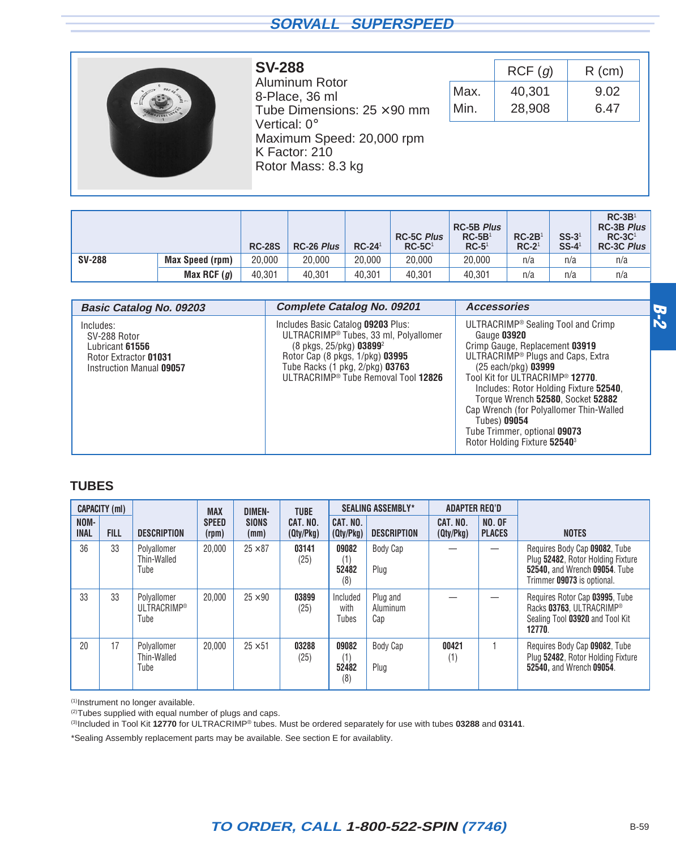<span id="page-40-0"></span>

#### **SV-288** Aluminum Rotor 8-Place, 36 ml Tube Dimensions:  $25 \times 90$  mm Vertical: 0° Maximum Speed: 20,000 rpm K Factor: 210 Rotor Mass: 8.3 kg

|      | RCF(g) | $R$ (cm) |
|------|--------|----------|
| Max. | 40,301 | 9.02     |
| Min. | 28,908 | 6.47     |

|               |                 | <b>RC-28S</b> | <b>RC-26 Plus</b> | $RC-241$ | <b>RC-5C Plus</b><br>$RC-5C1$ | <b>RC-5B Plus</b><br>$RC-5B1$<br>$RC-51$ | $RC-2B1$<br>$RC-21$ | $SS-31$<br>$SS-4$ <sup>1</sup> | $RC-3B1$<br><b>RC-3B Plus</b><br>$RC-3C1$<br><b>RC-3C Plus</b> |
|---------------|-----------------|---------------|-------------------|----------|-------------------------------|------------------------------------------|---------------------|--------------------------------|----------------------------------------------------------------|
| <b>SV-288</b> | Max Speed (rpm) | 20,000        | 20,000            | 20.000   | 20,000                        | 20,000                                   | n/a                 | n/a                            | n/a                                                            |
|               | Max RCF $(g)$   | 40.301        | 40.301            | 40.301   | 40.301                        | 40.301                                   | n/a                 | n/a                            | n/a                                                            |

| <b>Basic Catalog No. 09203</b>                    | <b>Complete Catalog No. 09201</b>                                                                                     | <b>Accessories</b>                                                                                                                                                                                                                                                                                                                      |            |
|---------------------------------------------------|-----------------------------------------------------------------------------------------------------------------------|-----------------------------------------------------------------------------------------------------------------------------------------------------------------------------------------------------------------------------------------------------------------------------------------------------------------------------------------|------------|
| Includes:<br>SV-288 Rotor<br>Lubricant 61556      | Includes Basic Catalog 09203 Plus:<br>ULTRACRIMP® Tubes, 33 ml, Polyallomer<br>(8 pkgs, 25/pkg) 03899 <sup>2</sup>    | ULTRACRIMP <sup>®</sup> Sealing Tool and Crimp<br>Gauge 03920<br>Crimp Gauge, Replacement 03919                                                                                                                                                                                                                                         | <b>B-2</b> |
| Rotor Extractor 01031<br>Instruction Manual 09057 | Rotor Cap (8 pkgs, 1/pkg) 03995<br>Tube Racks (1 pkg, 2/pkg) 03763<br>ULTRACRIMP <sup>®</sup> Tube Removal Tool 12826 | ULTRACRIMP <sup>®</sup> Plugs and Caps, Extra<br>$(25 \text{ each}/pkg)$ 03999<br>Tool Kit for ULTRACRIMP® 12770.<br>Includes: Rotor Holding Fixture 52540.<br>Torque Wrench 52580, Socket 52882<br>Cap Wrench (for Polyallomer Thin-Walled<br>Tubes) 09054<br>Tube Trimmer, optional 09073<br>Rotor Holding Fixture 52540 <sup>3</sup> |            |

#### **TUBES**

|                     | <b>CAPACITY (ml)</b> |                                                | <b>MAX</b>            | <b>DIMEN-</b>        | <b>TUBE</b>           |                              | <b>SEALING ASSEMBLY*</b>    | <b>ADAPTER REQ'D</b>  |                                |                                                                                                                                   |
|---------------------|----------------------|------------------------------------------------|-----------------------|----------------------|-----------------------|------------------------------|-----------------------------|-----------------------|--------------------------------|-----------------------------------------------------------------------------------------------------------------------------------|
| NOM-<br><b>INAL</b> | <b>FILL</b>          | <b>DESCRIPTION</b>                             | <b>SPEED</b><br>(rpm) | <b>SIONS</b><br>(mm) | CAT. NO.<br>(Qty/Pkg) | CAT. NO.<br>(Qty/Pkg)        | <b>DESCRIPTION</b>          | CAT. NO.<br>(Qty/Pkg) | <b>NO. OF</b><br><b>PLACES</b> | <b>NOTES</b>                                                                                                                      |
| 36                  | 33                   | Polyallomer<br>Thin-Walled<br>Tube             | 20,000                | $25 \times 87$       | 03141<br>(25)         | 09082<br>(1)<br>52482<br>(8) | Body Cap<br>Plug            |                       |                                | Requires Body Cap 09082, Tube<br>Plug 52482, Rotor Holding Fixture<br>52540, and Wrench 09054. Tube<br>Trimmer 09073 is optional. |
| 33                  | 33                   | Polvallomer<br>ULTRACRIMP <sup>®</sup><br>Tube | 20,000                | $25 \times 90$       | 03899<br>(25)         | Included<br>with<br>Tubes    | Plug and<br>Aluminum<br>Cap |                       |                                | Requires Rotor Cap 03995, Tube<br>Racks 03763. ULTRACRIMP®<br>Sealing Tool 03920 and Tool Kit<br>12770.                           |
| 20                  | 17                   | Polyallomer<br>Thin-Walled<br>Tube             | 20,000                | $25 \times 51$       | 03288<br>(25)         | 09082<br>(1)<br>52482<br>(8) | Body Cap<br>Plug            | 00421<br>(1)          |                                | Requires Body Cap 09082, Tube<br>Plug 52482, Rotor Holding Fixture<br>52540, and Wrench 09054.                                    |

(1)Instrument no longer available.

<sup>(2)</sup>Tubes supplied with equal number of plugs and caps.

(3)Included in Tool Kit **12770** for ULTRACRIMP® tubes. Must be ordered separately for use with tubes **03288** and **03141**.

\*Sealing Assembly replacement parts may be available. See section E for availablity.

## **TO ORDER, CALL 1-800-522-SPIN (7746)** B-59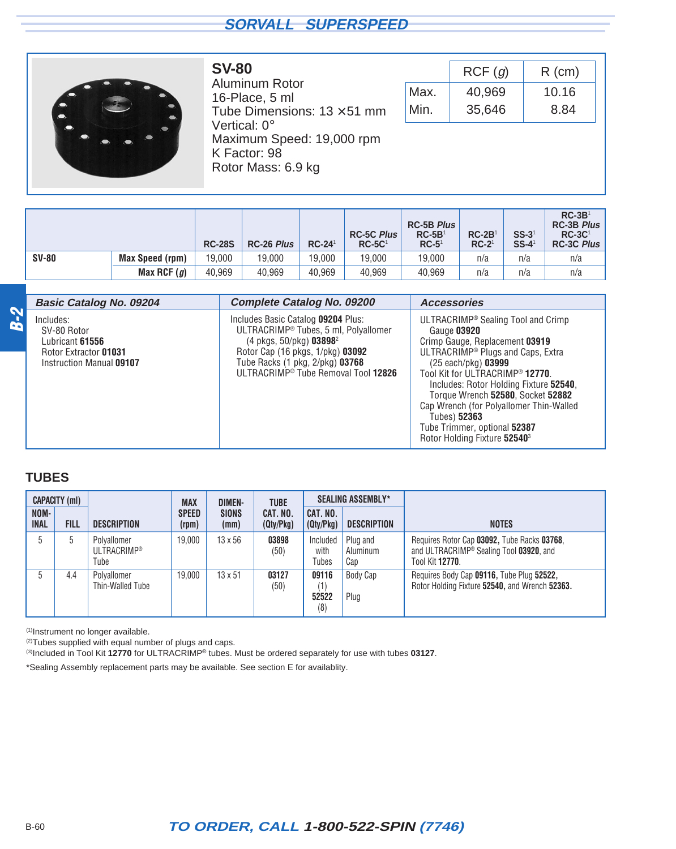<span id="page-41-0"></span>

**SV-80** Aluminum Rotor 16-Place, 5 ml Tube Dimensions:  $13 \times 51$  mm Vertical: 0° Maximum Speed: 19,000 rpm K Factor: 98 Rotor Mass: 6.9 kg

|      | RCF(g) | $R$ (cm) |
|------|--------|----------|
| Max. | 40,969 | 10.16    |
| Min. | 35,646 | 8.84     |

|              |                        | <b>RC-28S</b> | <b>RC-26 Plus</b> | $RC-241$ | <b>RC-5C Plus</b><br>$RC-5C1$ | <b>RC-5B Plus</b><br>$RC-5B1$<br>$RC-51$ | $RC-2B1$<br>$RC-21$ | $SS-31$<br>$SS-4$ <sup>1</sup> | $RC-3B1$<br><b>RC-3B Plus</b><br>$RC-3C1$<br><b>RC-3C Plus</b> |
|--------------|------------------------|---------------|-------------------|----------|-------------------------------|------------------------------------------|---------------------|--------------------------------|----------------------------------------------------------------|
| <b>SV-80</b> | <b>Max Speed (rpm)</b> | 19.000        | 19,000            | 19.000   | 19.000                        | 19.000                                   | n/a                 | n/a                            | n/a                                                            |
|              | Max RCF $(g)$          | 40.969        | 40,969            | 40.969   | 40.969                        | 40.969                                   | n/a                 | n/a                            | n/a                                                            |

|            | <b>Basic Catalog No. 09204</b>                                                                   | <b>Complete Catalog No. 09200</b>                                                                                                                                                                                                                | <b>Accessories</b>                                                                                                                                                                                                                                                                                                                                                                                                               |
|------------|--------------------------------------------------------------------------------------------------|--------------------------------------------------------------------------------------------------------------------------------------------------------------------------------------------------------------------------------------------------|----------------------------------------------------------------------------------------------------------------------------------------------------------------------------------------------------------------------------------------------------------------------------------------------------------------------------------------------------------------------------------------------------------------------------------|
| <b>2-2</b> | Includes:<br>SV-80 Rotor<br>Lubricant 61556<br>Rotor Extractor 01031<br>Instruction Manual 09107 | Includes Basic Catalog 09204 Plus:<br>ULTRACRIMP® Tubes, 5 ml, Polyallomer<br>$(4 \text{ pkgs}, 50/\text{pkg})$ 03898 <sup>2</sup><br>Rotor Cap (16 pkgs, 1/pkg) 03092<br>Tube Racks (1 pkg, 2/pkg) 03768<br>ULTRACRIMP® Tube Removal Tool 12826 | ULTRACRIMP <sup>®</sup> Sealing Tool and Crimp<br>Gauge 03920<br>Crimp Gauge, Replacement 03919<br>ULTRACRIMP <sup>®</sup> Plugs and Caps, Extra<br>(25 each/pkg) 03999<br>Tool Kit for ULTRACRIMP® 12770.<br>Includes: Rotor Holding Fixture 52540,<br>Torque Wrench 52580, Socket 52882<br>Cap Wrench (for Polyallomer Thin-Walled<br>Tubes) 52363<br>Tube Trimmer, optional 52387<br>Rotor Holding Fixture 52540 <sup>3</sup> |

#### **TUBES**

|                     | CAPACITY (ml) |                                           | <b>MAX</b>            | <b>DIMEN-</b>        | <b>TUBE</b>           |                              | <b>SEALING ASSEMBLY*</b>    |                                                                                                                               |
|---------------------|---------------|-------------------------------------------|-----------------------|----------------------|-----------------------|------------------------------|-----------------------------|-------------------------------------------------------------------------------------------------------------------------------|
| NOM-<br><b>INAL</b> | <b>FILL</b>   | <b>DESCRIPTION</b>                        | <b>SPEED</b><br>(rpm) | <b>SIONS</b><br>(mm) | CAT. NO.<br>(Qty/Pkg) | CAT. NO.<br>(Qty/Pkg)        | <b>DESCRIPTION</b>          | <b>NOTES</b>                                                                                                                  |
|                     | 5             | Polvallomer<br><b>ULTRACRIMP®</b><br>Tube | 19.000                | $13 \times 56$       | 03898<br>(50)         | Included<br>with<br>Tubes    | Plug and<br>Aluminum<br>Cap | Requires Rotor Cap 03092, Tube Racks 03768,<br>and ULTRACRIMP <sup>®</sup> Sealing Tool 03920, and<br>Tool Kit <b>12770</b> . |
|                     | 4.4           | Polyallomer<br>Thin-Walled Tube           | 19.000                | $13 \times 51$       | 03127<br>(50)         | 09116<br>(1)<br>52522<br>(8) | Body Cap<br>Plug            | Requires Body Cap 09116, Tube Plug 52522,<br>Rotor Holding Fixture 52540, and Wrench 52363.                                   |

(1)Instrument no longer available.

<sup>(2)</sup>Tubes supplied with equal number of plugs and caps.

(3)Included in Tool Kit **12770** for ULTRACRIMP® tubes. Must be ordered separately for use with tubes **03127**.

\*Sealing Assembly replacement parts may be available. See section E for availablity.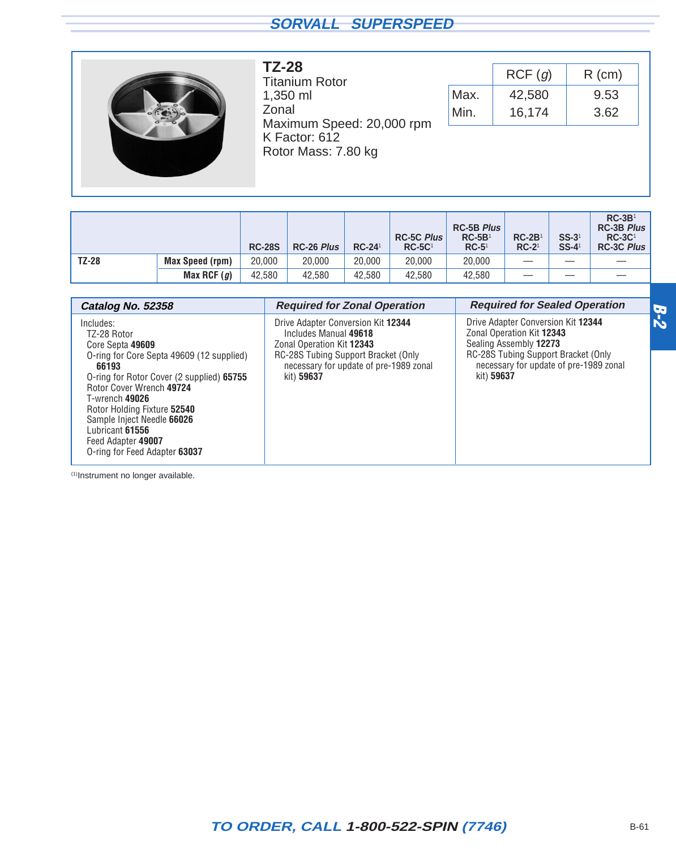<span id="page-42-0"></span>

**TZ-28** Titanium Rotor 1,350 ml Zonal Maximum Speed: 20,000 rpm K Factor: 612 Rotor Mass: 7.80 kg

|      | RCF(q) | $R$ (cm) |
|------|--------|----------|
| Max. | 42,580 | 9.53     |
| Min. | 16,174 | 3.62     |

|              |                        | <b>RC-28S</b> | <b>RC-26 Plus</b> | $RC-24$ <sup>1</sup> | <b>RC-5C Plus</b><br>$RC-5C1$ | <b>RC-5B Plus</b><br>$RC-5B1$<br>$RC-5^1$ | $RC-2B1$<br>$RC-21$ | $SS-31$<br>$SS-4$ <sup>1</sup> | $RC-3B1$<br><b>RC-3B Plus</b><br>$RC-3C1$<br><b>RC-3C Plus</b> |
|--------------|------------------------|---------------|-------------------|----------------------|-------------------------------|-------------------------------------------|---------------------|--------------------------------|----------------------------------------------------------------|
| <b>TZ-28</b> | <b>Max Speed (rpm)</b> | 20,000        | 20,000            | 20.000               | 20,000                        | 20,000                                    |                     |                                |                                                                |
|              | Max RCF $(g)$          | 42,580        | 42,580            | 42.580               | 42,580                        | 42,580                                    |                     |                                |                                                                |

| Catalog No. 52358                                                                                                                                                                                                                                                                                                                    | <b>Required for Zonal Operation</b>                                                                                                                                                     | <b>Required for Sealed Operation</b>                                                                                                                                                     | $\boldsymbol{\sigma}$ |
|--------------------------------------------------------------------------------------------------------------------------------------------------------------------------------------------------------------------------------------------------------------------------------------------------------------------------------------|-----------------------------------------------------------------------------------------------------------------------------------------------------------------------------------------|------------------------------------------------------------------------------------------------------------------------------------------------------------------------------------------|-----------------------|
| Includes:<br>TZ-28 Rotor<br>Core Septa 49609<br>O-ring for Core Septa 49609 (12 supplied)<br>66193<br>O-ring for Rotor Cover (2 supplied) 65755<br>Rotor Cover Wrench 49724<br>T-wrench 49026<br>Rotor Holding Fixture 52540<br>Sample Inject Needle 66026<br>Lubricant 61556<br>Feed Adapter 49007<br>O-ring for Feed Adapter 63037 | Drive Adapter Conversion Kit 12344<br>Includes Manual 49618<br>Zonal Operation Kit 12343<br>RC-28S Tubing Support Bracket (Only<br>necessary for update of pre-1989 zonal<br>kit) 59637 | Drive Adapter Conversion Kit 12344<br>Zonal Operation Kit 12343<br>Sealing Assembly 12273<br>RC-28S Tubing Support Bracket (Only<br>necessary for update of pre-1989 zonal<br>kit) 59637 | $\mathbf{k}$          |

(1)Instrument no longer available.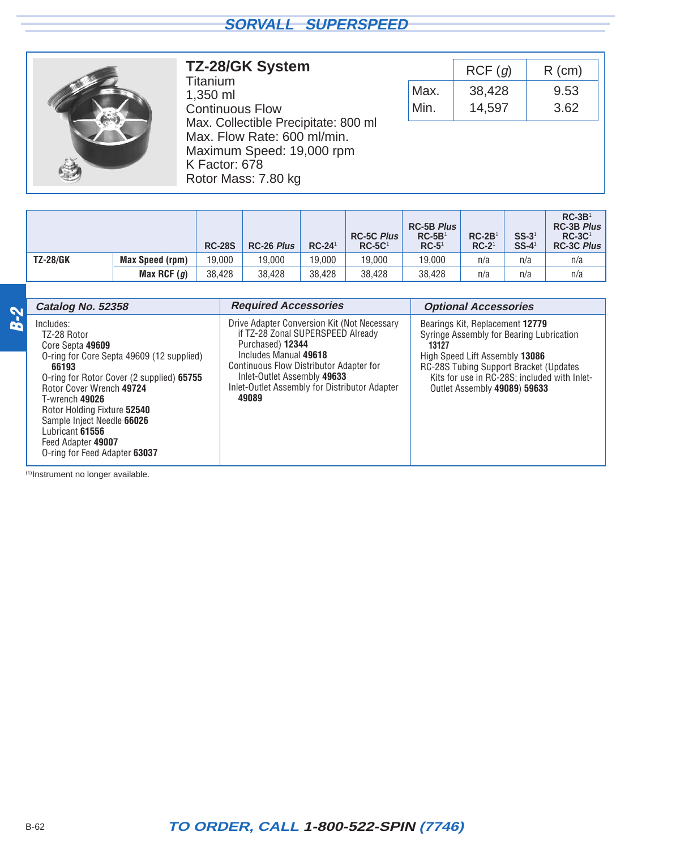<span id="page-43-0"></span>

#### **TZ-28/GK System**

Titanium 1,350 ml Continuous Flow Max. Collectible Precipitate: 800 ml Max. Flow Rate: 600 ml/min. Maximum Speed: 19,000 rpm K Factor: 678 Rotor Mass: 7.80 kg

|      | RCF(q) | $R$ (cm) |
|------|--------|----------|
| Max. | 38,428 | 9.53     |
| Min. | 14,597 | 3.62     |

|                 |                 | <b>RC-28S</b> | <b>RC-26 Plus</b> | $RC-241$ | <b>RC-5C Plus</b><br>$RC-5C1$ | <b>RC-5B Plus</b><br>$RC-5B1$<br>$RC-51$ | $RC-2B1$<br>$RC-21$ | $SS-31$<br>$SS-4$ <sup>1</sup> | $RC-3B1$<br><b>RC-3B Plus</b><br>$RC-3C1$<br><b>RC-3C Plus</b> |
|-----------------|-----------------|---------------|-------------------|----------|-------------------------------|------------------------------------------|---------------------|--------------------------------|----------------------------------------------------------------|
| <b>TZ-28/GK</b> | Max Speed (rpm) | 19.000        | 19,000            | 19.000   | 19.000                        | 19.000                                   | n/a                 | n/a                            | n/a                                                            |
|                 | Max RCF $(g)$   | 38.428        | 38.428            | 38.428   | 38.428                        | 38.428                                   | n/a                 | n/a                            | n/a                                                            |

|            | Catalog No. 52358                                                                                                                                                                                                                                                                                                                    | <b>Required Accessories</b>                                                                                                                                                                                                                                       | <b>Optional Accessories</b>                                                                                                                                                                                                                              |
|------------|--------------------------------------------------------------------------------------------------------------------------------------------------------------------------------------------------------------------------------------------------------------------------------------------------------------------------------------|-------------------------------------------------------------------------------------------------------------------------------------------------------------------------------------------------------------------------------------------------------------------|----------------------------------------------------------------------------------------------------------------------------------------------------------------------------------------------------------------------------------------------------------|
| <b>8-2</b> | Includes:<br>TZ-28 Rotor<br>Core Septa 49609<br>O-ring for Core Septa 49609 (12 supplied)<br>66193<br>O-ring for Rotor Cover (2 supplied) 65755<br>Rotor Cover Wrench 49724<br>T-wrench 49026<br>Rotor Holding Fixture 52540<br>Sample Inject Needle 66026<br>Lubricant 61556<br>Feed Adapter 49007<br>O-ring for Feed Adapter 63037 | Drive Adapter Conversion Kit (Not Necessary<br>if TZ-28 Zonal SUPERSPEED Already<br>Purchased) 12344<br>Includes Manual 49618<br>Continuous Flow Distributor Adapter for<br>Inlet-Outlet Assembly 49633<br>Inlet-Outlet Assembly for Distributor Adapter<br>49089 | Bearings Kit, Replacement 12779<br>Syringe Assembly for Bearing Lubrication<br>13127<br>High Speed Lift Assembly 13086<br><b>RC-28S Tubing Support Bracket (Updates)</b><br>Kits for use in RC-28S; included with Inlet-<br>Outlet Assembly 49089) 59633 |

(1)Instrument no longer available.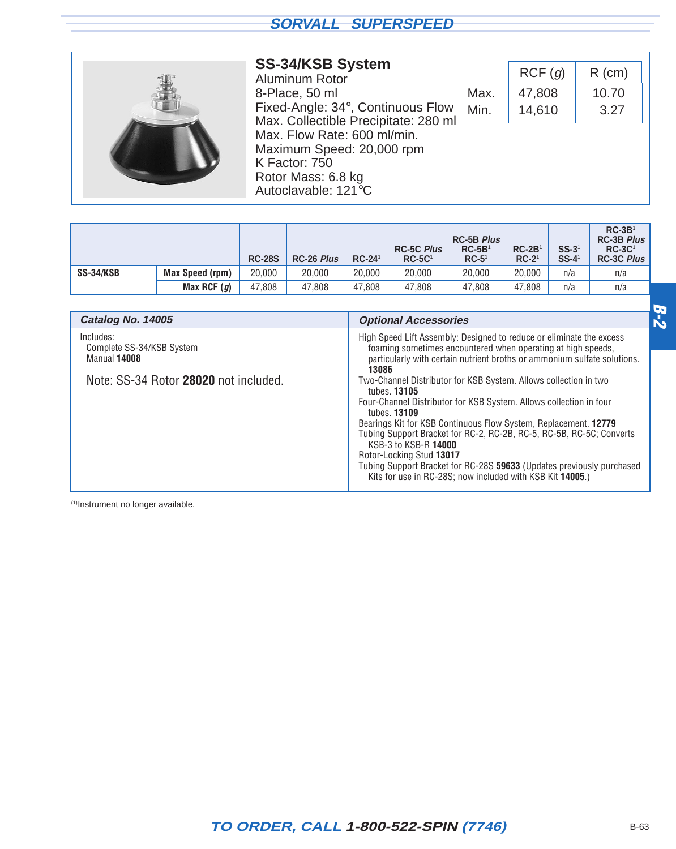| <b>SS-34/KSB System</b><br>Aluminum Rotor                                                                              |      | RCF(g) | $R$ (cm) |
|------------------------------------------------------------------------------------------------------------------------|------|--------|----------|
| 8-Place, 50 ml                                                                                                         | Max. | 47,808 | 10.70    |
| Fixed-Angle: 34°, Continuous Flow<br>Max. Collectible Precipitate: 280 ml                                              | Min. | 14,610 | 3.27     |
| Max. Flow Rate: 600 ml/min.<br>Maximum Speed: 20,000 rpm<br>K Factor: 750<br>Rotor Mass: 6.8 kg<br>Autoclavable: 121°C |      |        |          |

|           |                        | <b>RC-28S</b> | <b>RC-26 Plus</b> | $RC-24$ <sup>1</sup> | <b>RC-5C Plus</b><br>$RC-5C1$ | <b>RC-5B Plus</b><br>$RC-5B1$<br>$RC-5^{\circ}$ | $RC-2B1$<br>$RC-21$ | $SS-31$<br>$SS-4$ <sup>1</sup> | $RC-3B1$<br>RC-3B Plus<br>$RC-3C1$<br>RC-3C Plus |
|-----------|------------------------|---------------|-------------------|----------------------|-------------------------------|-------------------------------------------------|---------------------|--------------------------------|--------------------------------------------------|
| SS-34/KSB | <b>Max Speed (rpm)</b> | 20,000        | 20,000            | 20.000               | 20,000                        | 20,000                                          | 20,000              | n/a                            | n/a                                              |
|           | Max RCF $(g)$          | 47.808        | 47,808            | 47.808               | 47.808                        | 47.808                                          | 47.808              | n/a                            | n/a                                              |

| Catalog No. 14005                                                                               | <b>Optional Accessories</b>                                                                                                                                                                                                                                                                                                                                                                                                                                                                                                                                                                                                                                                               | 65 |
|-------------------------------------------------------------------------------------------------|-------------------------------------------------------------------------------------------------------------------------------------------------------------------------------------------------------------------------------------------------------------------------------------------------------------------------------------------------------------------------------------------------------------------------------------------------------------------------------------------------------------------------------------------------------------------------------------------------------------------------------------------------------------------------------------------|----|
| Includes:<br>Complete SS-34/KSB System<br>Manual 14008<br>Note: SS-34 Rotor 28020 not included. | High Speed Lift Assembly: Designed to reduce or eliminate the excess<br>foaming sometimes encountered when operating at high speeds,<br>particularly with certain nutrient broths or ammonium sulfate solutions.<br>13086<br>Two-Channel Distributor for KSB System. Allows collection in two<br>tubes. <b>13105</b><br>Four-Channel Distributor for KSB System. Allows collection in four<br>tubes. <b>13109</b><br>Bearings Kit for KSB Continuous Flow System, Replacement. 12779<br>Tubing Support Bracket for RC-2, RC-2B, RC-5, RC-5B, RC-5C; Converts<br>KSB-3 to KSB-R 14000<br>Rotor-Locking Stud 13017<br>Tubing Support Bracket for RC-28S 59633 (Updates previously purchased |    |
|                                                                                                 | Kits for use in RC-28S; now included with KSB Kit 14005.)                                                                                                                                                                                                                                                                                                                                                                                                                                                                                                                                                                                                                                 |    |

(1)Instrument no longer available.

<span id="page-44-0"></span>г